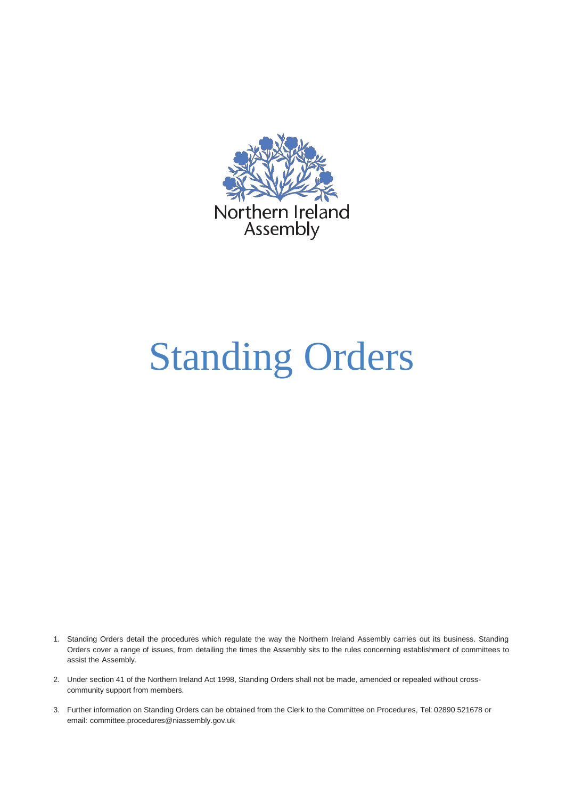

# Standing Orders

- 1. Standing Orders detail the procedures which regulate the way the Northern Ireland Assembly carries out its business. Standing Orders cover a range of issues, from detailing the times the Assembly sits to the rules concerning establishment of committees to assist the Assembly.
- 2. Under section 41 of the Northern Ireland Act 1998, Standing Orders shall not be made, amended or repealed without crosscommunity support from members.
- 3. Further information on Standing Orders can be obtained from the Clerk to the Committee on Procedures, Tel: 02890 521678 or email: [committee.procedures@niassembly.gov.uk](mailto:committee.procedures@niassembly.gov.uk)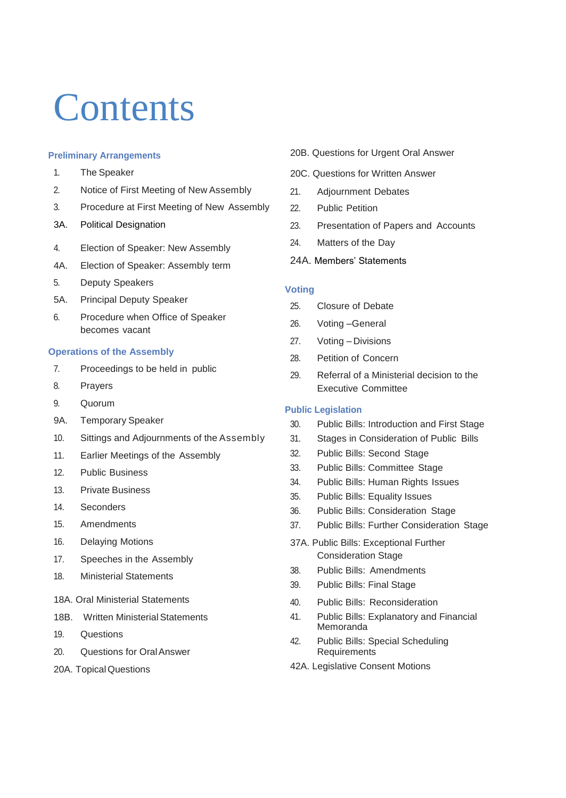# **Contents**

## **Preliminary Arrangements**

- 1. The Speaker
- 2. Notice of First Meeting of New Assembly
- 3. Procedure at First Meeting of New Assembly
- 3A. Political Designation
- 4. Election of Speaker: New Assembly
- 4A. Election of Speaker: Assembly term
- 5. Deputy Speakers
- 5A. Principal Deputy Speaker
- 6. Procedure when Office of Speaker becomes vacant

## **Operations of the Assembly**

- 7. Proceedings to be held in public
- 8. Prayers
- 9. Quorum
- 9A. Temporary Speaker
- 10. Sittings and Adjournments of the Assembly
- 11. Earlier Meetings of the Assembly
- 12. Public Business
- 13. Private Business
- 14. Seconders
- 15. Amendments
- 16. Delaying Motions
- 17. Speeches in the Assembly
- 18. Ministerial Statements
- 18A. Oral Ministerial Statements
- 18B. Written Ministerial Statements
- 19. Questions
- 20. Questions for OralAnswer
- 20A. Topical Questions
- 20B. Questions for Urgent Oral Answer
- 20C. Questions for Written Answer
- 21. Adjournment Debates
- 22. Public Petition
- 23. Presentation of Papers and Accounts
- 24. Matters of the Day
- 24A. Members' Statements

### **Voting**

- 25. Closure of Debate
- 26. Voting –General
- 27. Voting Divisions
- 28. Petition of Concern
- 29. Referral of a Ministerial decision to the Executive Committee

## **Public Legislation**

- 30. Public Bills: Introduction and First Stage
- 31. Stages in Consideration of Public Bills
- 32. Public Bills: Second Stage
- 33. Public Bills: Committee Stage
- 34. Public Bills: Human Rights Issues
- 35. Public Bills: Equality Issues
- 36. Public Bills: Consideration Stage
- 37. Public Bills: Further Consideration Stage
- 37A. Public Bills: Exceptional Further Consideration Stage
- 38. Public Bills: Amendments
- 39. Public Bills: Final Stage
- 40. Public Bills: Reconsideration
- 41. Public Bills: Explanatory and Financial Memoranda
- 42. Public Bills: Special Scheduling Requirements
- 42A. Legislative Consent Motions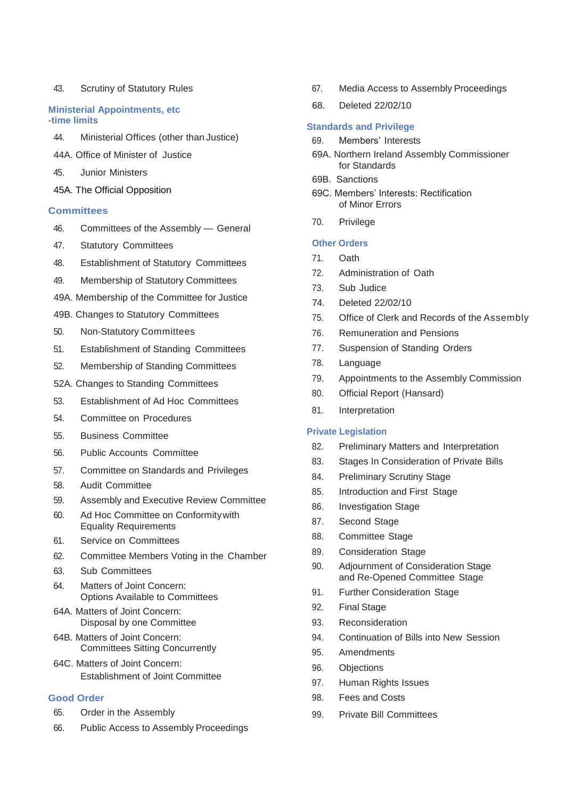### 43. Scrutiny of Statutory Rules

#### **Ministerial Appointments, etc -time limits**

- 44. Ministerial Offices (other than Justice)
- 44A. Office of Minister of Justice
- 45. Junior Ministers
- 45A. The Official Opposition

### **Committees**

- 46. Committees of the Assembly General
- 47. Statutory Committees
- 48. Establishment of Statutory Committees
- 49. Membership of Statutory Committees
- 49A. Membership of the Committee for Justice
- 49B. Changes to Statutory Committees
- 50. Non-Statutory Committees
- 51. Establishment of Standing Committees
- 52. Membership of Standing Committees
- 52A. Changes to Standing Committees
- 53. Establishment of Ad Hoc Committees
- 54. Committee on Procedures
- 55. Business Committee
- 56. Public Accounts Committee
- 57. Committee on Standards and Privileges
- 58. Audit Committee
- 59. Assembly and Executive Review Committee
- 60. Ad Hoc Committee on Conformitywith Equality Requirements
- 61. Service on Committees
- 62. Committee Members Voting in the Chamber
- 63. Sub Committees
- 64. Matters of Joint Concern: Options Available to Committees
- 64A. Matters of Joint Concern: Disposal by one Committee
- 64B. Matters of Joint Concern: Committees Sitting Concurrently
- 64C. Matters of Joint Concern: Establishment of Joint Committee

# **Good Order**

- 65. Order in the Assembly
- 66. Public Access to Assembly Proceedings
- 67. Media Access to Assembly Proceedings
- 68. Deleted 22/02/10

## **Standards and Privilege**

- 69. Members' Interests
- 69A. Northern Ireland Assembly Commissioner for Standards
- 69B. Sanctions
- 69C. Members' Interests: Rectification of Minor Errors
- 70. Privilege

### **Other Orders**

- 71. Oath
- 72. Administration of Oath
- 73. Sub Judice
- 74. Deleted 22/02/10
- 75. Office of Clerk and Records of the Assembly
- 76. Remuneration and Pensions
- 77. Suspension of Standing Orders
- 78. Language
- 79. Appointments to the Assembly Commission
- 80. Official Report (Hansard)
- 81. Interpretation

#### **Private Legislation**

- 82. Preliminary Matters and Interpretation
- 83. Stages In Consideration of Private Bills
- 84. Preliminary Scrutiny Stage
- 85. Introduction and First Stage
- 86. Investigation Stage
- 87. Second Stage
- 88. Committee Stage
- 89. Consideration Stage
- 90. Adjournment of Consideration Stage and Re-Opened Committee Stage
- 91. Further Consideration Stage
- 92. Final Stage
- 93. Reconsideration
- 94. Continuation of Bills into New Session
- 95. Amendments
- 96. Objections
- 97. Human Rights Issues
- 98. Fees and Costs
- 99. Private Bill Committees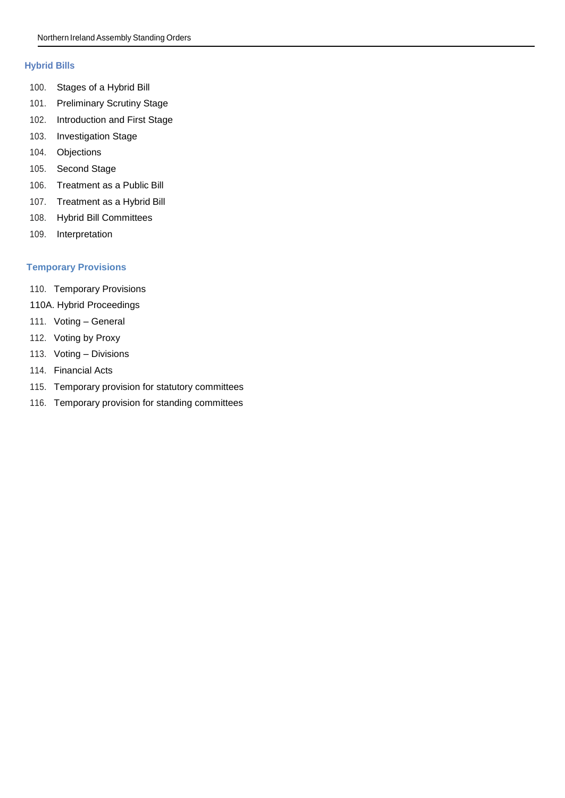### **Hybrid Bills**

- 100. Stages of a Hybrid Bill
- 101. Preliminary Scrutiny Stage
- 102. Introduction and First Stage
- 103. Investigation Stage
- 104. Objections
- 105. Second Stage
- 106. Treatment as a Public Bill
- 107. Treatment as a Hybrid Bill
- 108. Hybrid Bill Committees
- 109. Interpretation

## **Temporary Provisions**

- 110. Temporary Provisions
- 110A. Hybrid Proceedings
- 111. Voting General
- 112. Voting by Proxy
- 113. Voting Divisions
- 114. Financial Acts
- 115. Temporary provision for statutory committees
- 116. Temporary provision for standing committees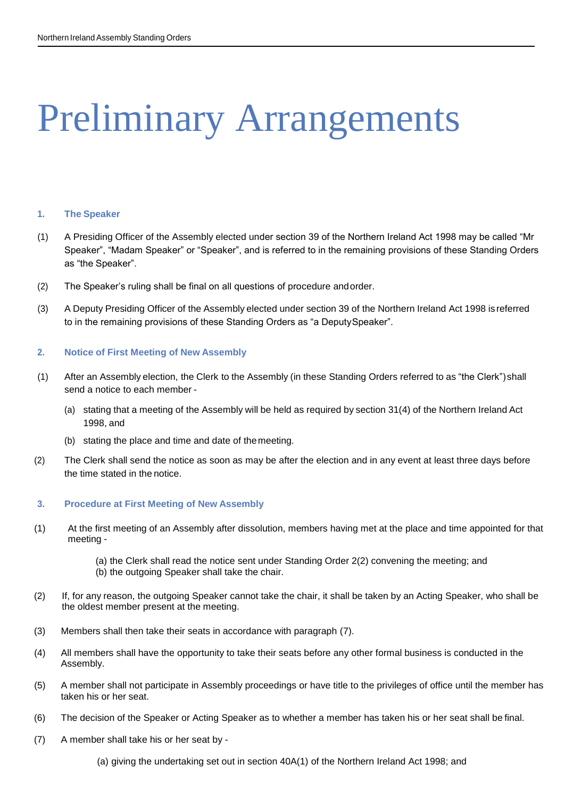# Preliminary Arrangements

### **1. The Speaker**

- (1) A Presiding Officer of the Assembly elected under section 39 of the Northern Ireland Act 1998 may be called "Mr Speaker", "Madam Speaker" or "Speaker", and is referred to in the remaining provisions of these Standing Orders as "the Speaker".
- (2) The Speaker's ruling shall be final on all questions of procedure andorder.
- (3) A Deputy Presiding Officer of the Assembly elected under section 39 of the Northern Ireland Act 1998 is referred to in the remaining provisions of these Standing Orders as "a DeputySpeaker".

### **2. Notice of First Meeting of New Assembly**

- (1) After an Assembly election, the Clerk to the Assembly (in these Standing Orders referred to as "the Clerk") shall send a notice to each member -
	- (a) stating that a meeting of the Assembly will be held as required by section 31(4) of the Northern Ireland Act 1998, and
	- (b) stating the place and time and date of themeeting.
- (2) The Clerk shall send the notice as soon as may be after the election and in any event at least three days before the time stated in the notice.

#### **3. Procedure at First Meeting of New Assembly**

- (1) At the first meeting of an Assembly after dissolution, members having met at the place and time appointed for that meeting -
	- (a) the Clerk shall read the notice sent under Standing Order 2(2) convening the meeting; and (b) the outgoing Speaker shall take the chair.
- (2) If, for any reason, the outgoing Speaker cannot take the chair, it shall be taken by an Acting Speaker, who shall be the oldest member present at the meeting.
- (3) Members shall then take their seats in accordance with paragraph (7).
- (4) All members shall have the opportunity to take their seats before any other formal business is conducted in the Assembly.
- (5) A member shall not participate in Assembly proceedings or have title to the privileges of office until the member has taken his or her seat.
- (6) The decision of the Speaker or Acting Speaker as to whether a member has taken his or her seat shall be final.
- (7) A member shall take his or her seat by -

(a) giving the undertaking set out in section 40A(1) of the Northern Ireland Act 1998; and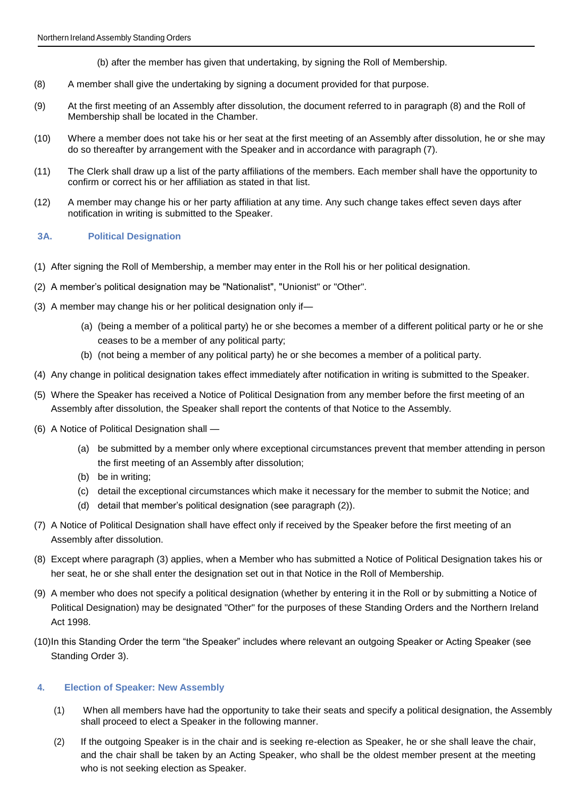(b) after the member has given that undertaking, by signing the Roll of Membership.

- (8) A member shall give the undertaking by signing a document provided for that purpose.
- (9) At the first meeting of an Assembly after dissolution, the document referred to in paragraph (8) and the Roll of Membership shall be located in the Chamber.
- (10) Where a member does not take his or her seat at the first meeting of an Assembly after dissolution, he or she may do so thereafter by arrangement with the Speaker and in accordance with paragraph (7).
- (11) The Clerk shall draw up a list of the party affiliations of the members. Each member shall have the opportunity to confirm or correct his or her affiliation as stated in that list.
- (12) A member may change his or her party affiliation at any time. Any such change takes effect seven days after notification in writing is submitted to the Speaker.

### **3A. Political Designation**

- (1) After signing the Roll of Membership, a member may enter in the Roll his or her political designation.
- (2) A member's political designation may be "Nationalist", "Unionist" or "Other".
- (3) A member may change his or her political designation only if—
	- (a) (being a member of a political party) he or she becomes a member of a different political party or he or she ceases to be a member of any political party;
	- (b) (not being a member of any political party) he or she becomes a member of a political party.
- (4) Any change in political designation takes effect immediately after notification in writing is submitted to the Speaker.
- (5) Where the Speaker has received a Notice of Political Designation from any member before the first meeting of an Assembly after dissolution, the Speaker shall report the contents of that Notice to the Assembly.
- (6) A Notice of Political Designation shall
	- (a) be submitted by a member only where exceptional circumstances prevent that member attending in person the first meeting of an Assembly after dissolution;
	- (b) be in writing;
	- (c) detail the exceptional circumstances which make it necessary for the member to submit the Notice; and
	- (d) detail that member's political designation (see paragraph (2)).
- (7) A Notice of Political Designation shall have effect only if received by the Speaker before the first meeting of an Assembly after dissolution.
- (8) Except where paragraph (3) applies, when a Member who has submitted a Notice of Political Designation takes his or her seat, he or she shall enter the designation set out in that Notice in the Roll of Membership.
- (9) A member who does not specify a political designation (whether by entering it in the Roll or by submitting a Notice of Political Designation) may be designated "Other" for the purposes of these Standing Orders and the Northern Ireland Act 1998.
- (10)In this Standing Order the term "the Speaker" includes where relevant an outgoing Speaker or Acting Speaker (see Standing Order 3).

#### **4. Election of Speaker: New Assembly**

- (1) When all members have had the opportunity to take their seats and specify a political designation, the Assembly shall proceed to elect a Speaker in the following manner.
- (2) If the outgoing Speaker is in the chair and is seeking re-election as Speaker, he or she shall leave the chair, and the chair shall be taken by an Acting Speaker, who shall be the oldest member present at the meeting who is not seeking election as Speaker.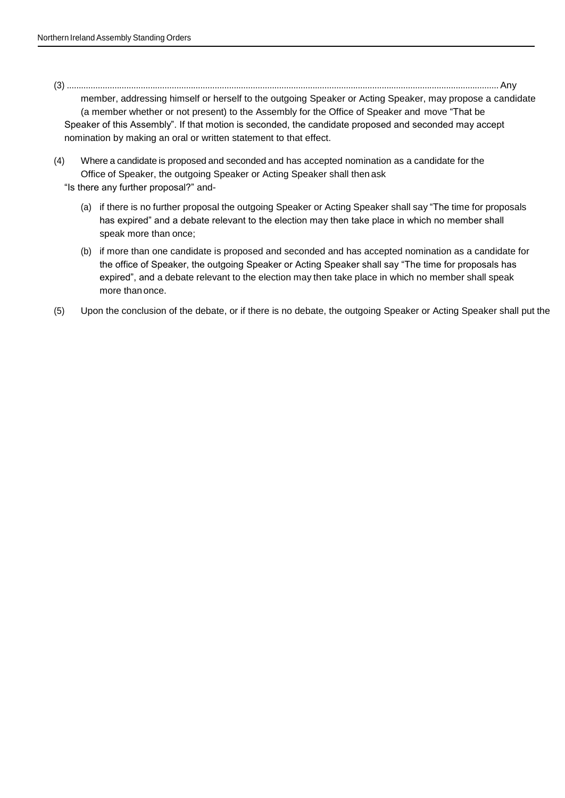- (3) ..................................................................................................................................................................................... Any member, addressing himself or herself to the outgoing Speaker or Acting Speaker, may propose a candidate (a member whether or not present) to the Assembly for the Office of Speaker and move "That be Speaker of this Assembly". If that motion is seconded, the candidate proposed and seconded may accept nomination by making an oral or written statement to that effect.
- (4) Where a candidate is proposed and seconded and has accepted nomination as a candidate for the Office of Speaker, the outgoing Speaker or Acting Speaker shall then ask
	- "Is there any further proposal?" and-
		- (a) if there is no further proposal the outgoing Speaker or Acting Speaker shall say "The time for proposals has expired" and a debate relevant to the election may then take place in which no member shall speak more than once;
		- (b) if more than one candidate is proposed and seconded and has accepted nomination as a candidate for the office of Speaker, the outgoing Speaker or Acting Speaker shall say "The time for proposals has expired", and a debate relevant to the election may then take place in which no member shall speak more than once.
- (5) Upon the conclusion of the debate, or if there is no debate, the outgoing Speaker or Acting Speaker shall put the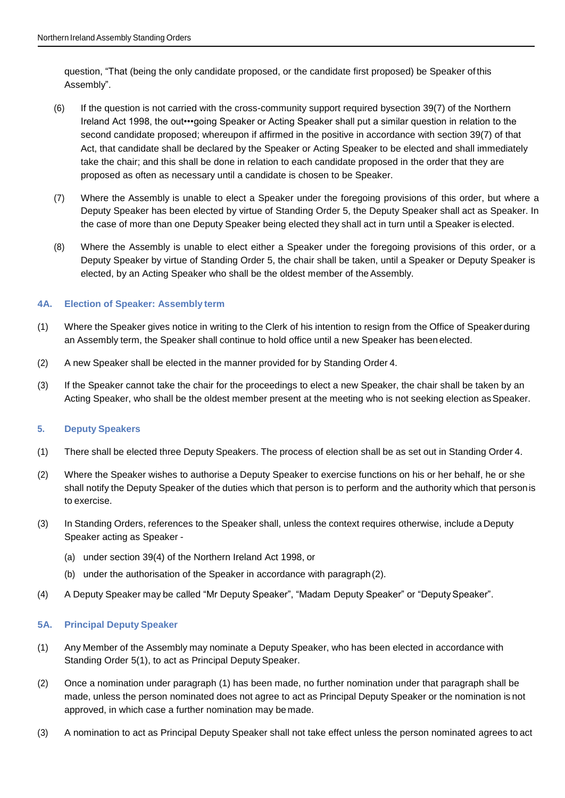question, "That (being the only candidate proposed, or the candidate first proposed) be Speaker of this Assembly".

- (6) If the question is not carried with the cross-community support required bysection 39(7) of the Northern Ireland Act 1998, the out•••going Speaker or Acting Speaker shall put a similar question in relation to the second candidate proposed; whereupon if affirmed in the positive in accordance with section 39(7) of that Act, that candidate shall be declared by the Speaker or Acting Speaker to be elected and shall immediately take the chair; and this shall be done in relation to each candidate proposed in the order that they are proposed as often as necessary until a candidate is chosen to be Speaker.
- (7) Where the Assembly is unable to elect a Speaker under the foregoing provisions of this order, but where a Deputy Speaker has been elected by virtue of Standing Order 5, the Deputy Speaker shall act as Speaker. In the case of more than one Deputy Speaker being elected they shall act in turn until a Speaker is elected.
- (8) Where the Assembly is unable to elect either a Speaker under the foregoing provisions of this order, or a Deputy Speaker by virtue of Standing Order 5, the chair shall be taken, until a Speaker or Deputy Speaker is elected, by an Acting Speaker who shall be the oldest member of theAssembly.

## **4A. Election of Speaker: Assembly term**

- (1) Where the Speaker gives notice in writing to the Clerk of his intention to resign from the Office of Speakerduring an Assembly term, the Speaker shall continue to hold office until a new Speaker has been elected.
- (2) A new Speaker shall be elected in the manner provided for by Standing Order 4.
- (3) If the Speaker cannot take the chair for the proceedings to elect a new Speaker, the chair shall be taken by an Acting Speaker, who shall be the oldest member present at the meeting who is not seeking election asSpeaker.

#### **5. Deputy Speakers**

- (1) There shall be elected three Deputy Speakers. The process of election shall be as set out in Standing Order 4.
- (2) Where the Speaker wishes to authorise a Deputy Speaker to exercise functions on his or her behalf, he or she shall notify the Deputy Speaker of the duties which that person is to perform and the authority which that personis to exercise.
- (3) In Standing Orders, references to the Speaker shall, unless the context requires otherwise, include a Deputy Speaker acting as Speaker -
	- (a) under section 39(4) of the Northern Ireland Act 1998, or
	- (b) under the authorisation of the Speaker in accordance with paragraph(2).
- (4) A Deputy Speaker may be called "Mr Deputy Speaker", "Madam Deputy Speaker" or "DeputySpeaker".

## **5A. Principal Deputy Speaker**

- (1) Any Member of the Assembly may nominate a Deputy Speaker, who has been elected in accordance with Standing Order 5(1), to act as Principal Deputy Speaker.
- (2) Once a nomination under paragraph (1) has been made, no further nomination under that paragraph shall be made, unless the person nominated does not agree to act as Principal Deputy Speaker or the nomination is not approved, in which case a further nomination may be made.
- (3) A nomination to act as Principal Deputy Speaker shall not take effect unless the person nominated agrees to act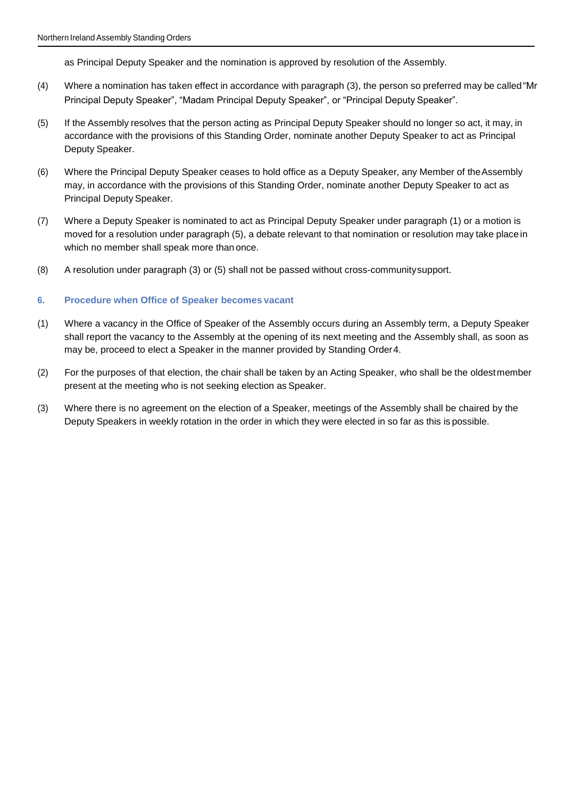as Principal Deputy Speaker and the nomination is approved by resolution of the Assembly.

- (4) Where a nomination has taken effect in accordance with paragraph (3), the person so preferred may be called"Mr Principal Deputy Speaker", "Madam Principal Deputy Speaker", or "Principal Deputy Speaker".
- (5) If the Assembly resolves that the person acting as Principal Deputy Speaker should no longer so act, it may, in accordance with the provisions of this Standing Order, nominate another Deputy Speaker to act as Principal Deputy Speaker.
- (6) Where the Principal Deputy Speaker ceases to hold office as a Deputy Speaker, any Member of theAssembly may, in accordance with the provisions of this Standing Order, nominate another Deputy Speaker to act as Principal Deputy Speaker.
- (7) Where a Deputy Speaker is nominated to act as Principal Deputy Speaker under paragraph (1) or a motion is moved for a resolution under paragraph (5), a debate relevant to that nomination or resolution may take place in which no member shall speak more than once.
- (8) A resolution under paragraph (3) or (5) shall not be passed without cross-communitysupport.

### **6. Procedure when Office of Speaker becomes vacant**

- (1) Where a vacancy in the Office of Speaker of the Assembly occurs during an Assembly term, a Deputy Speaker shall report the vacancy to the Assembly at the opening of its next meeting and the Assembly shall, as soon as may be, proceed to elect a Speaker in the manner provided by Standing Order4.
- (2) For the purposes of that election, the chair shall be taken by an Acting Speaker, who shall be the oldestmember present at the meeting who is not seeking election as Speaker.
- (3) Where there is no agreement on the election of a Speaker, meetings of the Assembly shall be chaired by the Deputy Speakers in weekly rotation in the order in which they were elected in so far as this is possible.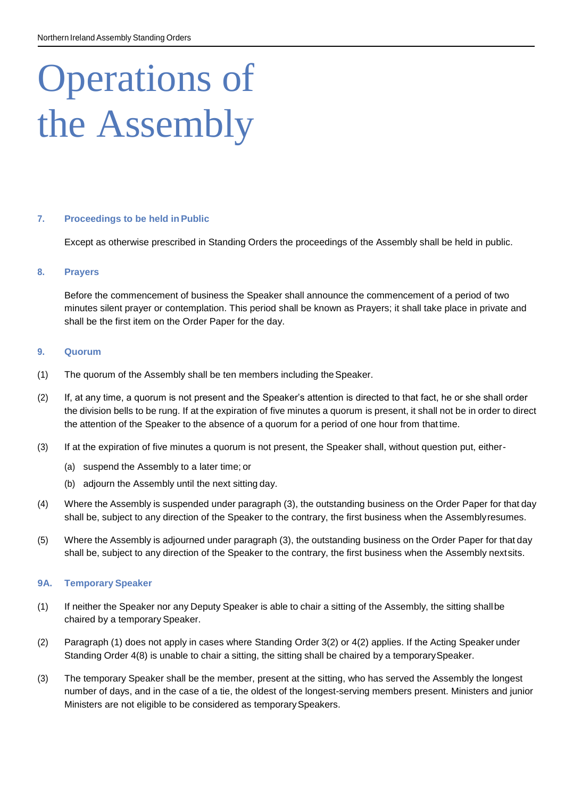# Operations of the Assembly

#### **7. Proceedings to be held inPublic**

Except as otherwise prescribed in Standing Orders the proceedings of the Assembly shall be held in public.

#### **8. Prayers**

Before the commencement of business the Speaker shall announce the commencement of a period of two minutes silent prayer or contemplation. This period shall be known as Prayers; it shall take place in private and shall be the first item on the Order Paper for the day.

#### **9. Quorum**

- (1) The quorum of the Assembly shall be ten members including theSpeaker.
- (2) If, at any time, a quorum is not present and the Speaker's attention is directed to that fact, he or she shall order the division bells to be rung. If at the expiration of five minutes a quorum is present, it shall not be in order to direct the attention of the Speaker to the absence of a quorum for a period of one hour from that time.
- (3) If at the expiration of five minutes a quorum is not present, the Speaker shall, without question put, either-
	- (a) suspend the Assembly to a later time; or
	- (b) adjourn the Assembly until the next sitting day.
- (4) Where the Assembly is suspended under paragraph (3), the outstanding business on the Order Paper for that day shall be, subject to any direction of the Speaker to the contrary, the first business when the Assemblyresumes.
- (5) Where the Assembly is adjourned under paragraph (3), the outstanding business on the Order Paper for that day shall be, subject to any direction of the Speaker to the contrary, the first business when the Assembly nextsits.

#### **9A. Temporary Speaker**

- (1) If neither the Speaker nor any Deputy Speaker is able to chair a sitting of the Assembly, the sitting shallbe chaired by a temporary Speaker.
- (2) Paragraph (1) does not apply in cases where Standing Order 3(2) or 4(2) applies. If the Acting Speaker under Standing Order 4(8) is unable to chair a sitting, the sitting shall be chaired by a temporarySpeaker.
- (3) The temporary Speaker shall be the member, present at the sitting, who has served the Assembly the longest number of days, and in the case of a tie, the oldest of the longest-serving members present. Ministers and junior Ministers are not eligible to be considered as temporary Speakers.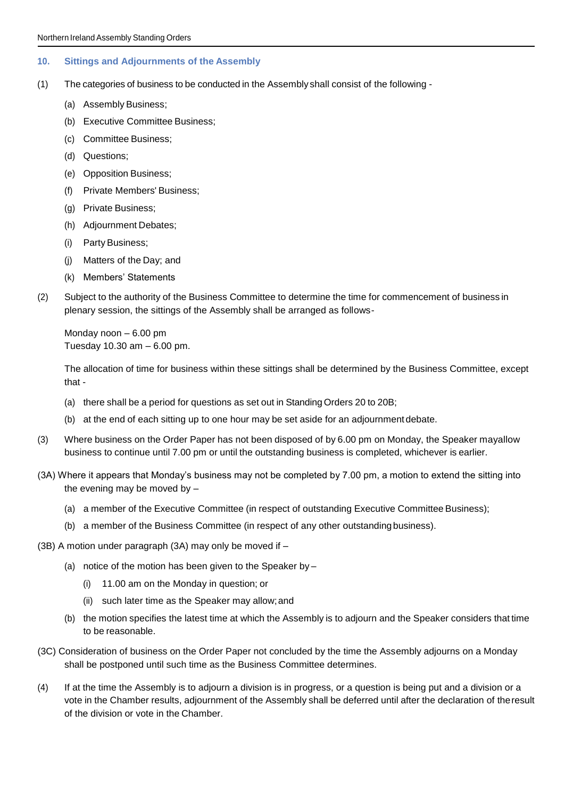## **10. Sittings and Adjournments of the Assembly**

- (1) The categories of business to be conducted in the Assembly shall consist of the following
	- (a) Assembly Business;
	- (b) Executive Committee Business;
	- (c) Committee Business;
	- (d) Questions;
	- (e) Opposition Business;
	- (f) Private Members' Business;
	- (g) Private Business;
	- (h) Adjournment Debates;
	- (i) Party Business;
	- (j) Matters of the Day; and
	- (k) Members' Statements
- (2) Subject to the authority of the Business Committee to determine the time for commencement of business in plenary session, the sittings of the Assembly shall be arranged as follows-

Monday noon – 6.00 pm Tuesday 10.30 am – 6.00 pm.

The allocation of time for business within these sittings shall be determined by the Business Committee, except that -

- (a) there shall be a period for questions as set out in Standing Orders 20 to 20B;
- (b) at the end of each sitting up to one hour may be set aside for an adjournment debate.
- (3) Where business on the Order Paper has not been disposed of by 6.00 pm on Monday, the Speaker mayallow business to continue until 7.00 pm or until the outstanding business is completed, whichever is earlier.
- (3A) Where it appears that Monday's business may not be completed by 7.00 pm, a motion to extend the sitting into the evening may be moved by –
	- (a) a member of the Executive Committee (in respect of outstanding Executive Committee Business);
	- (b) a member of the Business Committee (in respect of any other outstandingbusiness).
- (3B) A motion under paragraph (3A) may only be moved if
	- (a) notice of the motion has been given to the Speaker by
		- (i) 11.00 am on the Monday in question; or
		- (ii) such later time as the Speaker may allow;and
	- (b) the motion specifies the latest time at which the Assembly is to adjourn and the Speaker considers that time to be reasonable.
- (3C) Consideration of business on the Order Paper not concluded by the time the Assembly adjourns on a Monday shall be postponed until such time as the Business Committee determines.
- (4) If at the time the Assembly is to adjourn a division is in progress, or a question is being put and a division or a vote in the Chamber results, adjournment of the Assembly shall be deferred until after the declaration of theresult of the division or vote in the Chamber.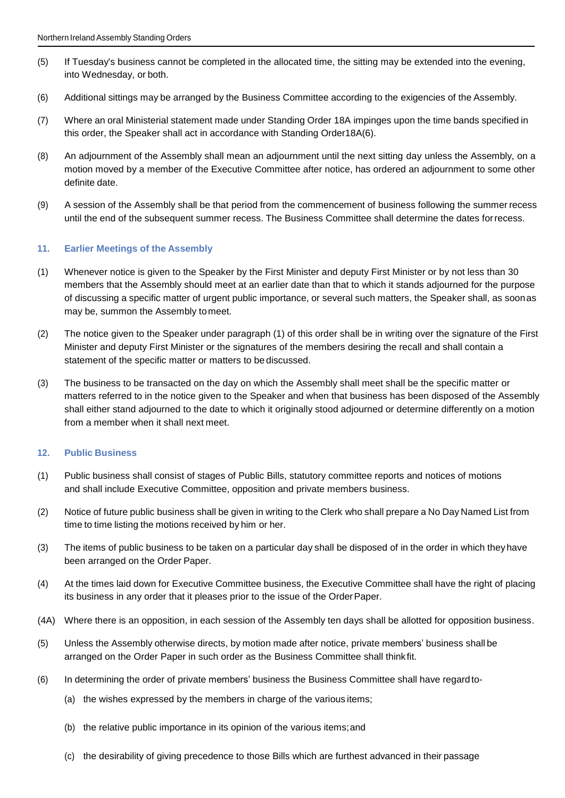- (5) If Tuesday's business cannot be completed in the allocated time, the sitting may be extended into the evening, into Wednesday, or both.
- (6) Additional sittings may be arranged by the Business Committee according to the exigencies of the Assembly.
- (7) Where an oral Ministerial statement made under Standing Order 18A impinges upon the time bands specified in this order, the Speaker shall act in accordance with Standing Order18A(6).
- (8) An adjournment of the Assembly shall mean an adjournment until the next sitting day unless the Assembly, on a motion moved by a member of the Executive Committee after notice, has ordered an adjournment to some other definite date.
- (9) A session of the Assembly shall be that period from the commencement of business following the summer recess until the end of the subsequent summer recess. The Business Committee shall determine the dates forrecess.

## **11. Earlier Meetings of the Assembly**

- (1) Whenever notice is given to the Speaker by the First Minister and deputy First Minister or by not less than 30 members that the Assembly should meet at an earlier date than that to which it stands adjourned for the purpose of discussing a specific matter of urgent public importance, or several such matters, the Speaker shall, as soonas may be, summon the Assembly tomeet.
- (2) The notice given to the Speaker under paragraph (1) of this order shall be in writing over the signature of the First Minister and deputy First Minister or the signatures of the members desiring the recall and shall contain a statement of the specific matter or matters to be discussed.
- (3) The business to be transacted on the day on which the Assembly shall meet shall be the specific matter or matters referred to in the notice given to the Speaker and when that business has been disposed of the Assembly shall either stand adjourned to the date to which it originally stood adjourned or determine differently on a motion from a member when it shall next meet.

#### **12. Public Business**

- (1) Public business shall consist of stages of Public Bills, statutory committee reports and notices of motions and shall include Executive Committee, opposition and private members business.
- (2) Notice of future public business shall be given in writing to the Clerk who shall prepare a No Day Named List from time to time listing the motions received by him or her.
- (3) The items of public business to be taken on a particular day shall be disposed of in the order in which theyhave been arranged on the Order Paper.
- (4) At the times laid down for Executive Committee business, the Executive Committee shall have the right of placing its business in any order that it pleases prior to the issue of the Order Paper.
- (4A) Where there is an opposition, in each session of the Assembly ten days shall be allotted for opposition business.
- (5) Unless the Assembly otherwise directs, by motion made after notice, private members' business shall be arranged on the Order Paper in such order as the Business Committee shall thinkfit.
- (6) In determining the order of private members' business the Business Committee shall have regardto-
	- (a) the wishes expressed by the members in charge of the various items;
	- (b) the relative public importance in its opinion of the various items;and
	- (c) the desirability of giving precedence to those Bills which are furthest advanced in their passage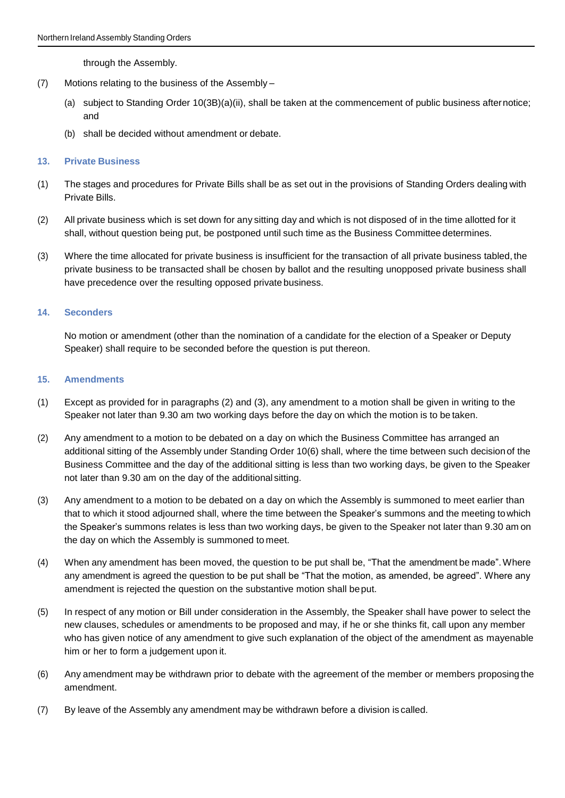through the Assembly.

- (7) Motions relating to the business of the Assembly
	- (a) subject to Standing Order 10(3B)(a)(ii), shall be taken at the commencement of public business afternotice; and
	- (b) shall be decided without amendment or debate.

### **13. Private Business**

- (1) The stages and procedures for Private Bills shall be as set out in the provisions of Standing Orders dealing with Private Bills.
- (2) All private business which is set down for any sitting day and which is not disposed of in the time allotted for it shall, without question being put, be postponed until such time as the Business Committee determines.
- (3) Where the time allocated for private business is insufficient for the transaction of all private business tabled, the private business to be transacted shall be chosen by ballot and the resulting unopposed private business shall have precedence over the resulting opposed private business.

## **14. Seconders**

No motion or amendment (other than the nomination of a candidate for the election of a Speaker or Deputy Speaker) shall require to be seconded before the question is put thereon.

#### **15. Amendments**

- (1) Except as provided for in paragraphs (2) and (3), any amendment to a motion shall be given in writing to the Speaker not later than 9.30 am two working days before the day on which the motion is to be taken.
- (2) Any amendment to a motion to be debated on a day on which the Business Committee has arranged an additional sitting of the Assembly under Standing Order 10(6) shall, where the time between such decisionof the Business Committee and the day of the additional sitting is less than two working days, be given to the Speaker not later than 9.30 am on the day of the additional sitting.
- (3) Any amendment to a motion to be debated on a day on which the Assembly is summoned to meet earlier than that to which it stood adjourned shall, where the time between the Speaker's summons and the meeting towhich the Speaker's summons relates is less than two working days, be given to the Speaker not later than 9.30 am on the day on which the Assembly is summoned to meet.
- (4) When any amendment has been moved, the question to be put shall be, "That the amendment be made".Where any amendment is agreed the question to be put shall be "That the motion, as amended, be agreed". Where any amendment is rejected the question on the substantive motion shall beput.
- (5) In respect of any motion or Bill under consideration in the Assembly, the Speaker shall have power to select the new clauses, schedules or amendments to be proposed and may, if he or she thinks fit, call upon any member who has given notice of any amendment to give such explanation of the object of the amendment as mayenable him or her to form a judgement upon it.
- (6) Any amendment may be withdrawn prior to debate with the agreement of the member or members proposing the amendment.
- (7) By leave of the Assembly any amendment may be withdrawn before a division is called.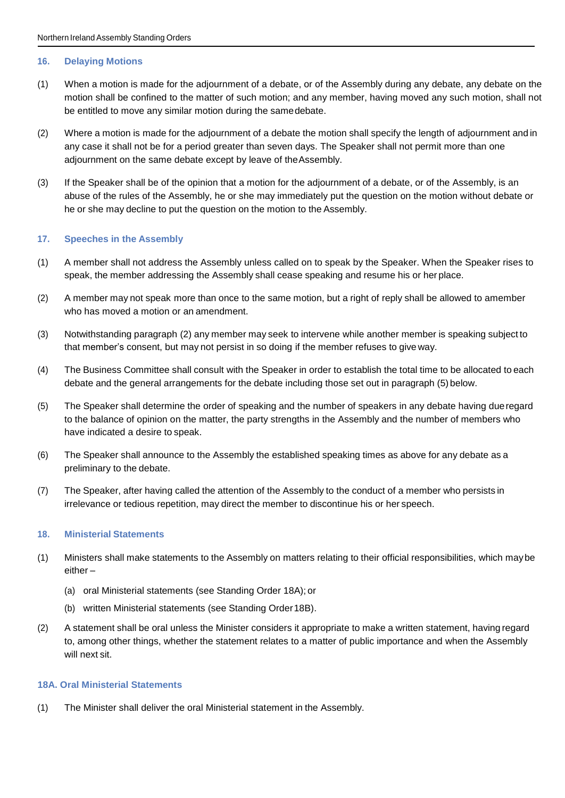## **16. Delaying Motions**

- (1) When a motion is made for the adjournment of a debate, or of the Assembly during any debate, any debate on the motion shall be confined to the matter of such motion; and any member, having moved any such motion, shall not be entitled to move any similar motion during the samedebate.
- (2) Where a motion is made for the adjournment of a debate the motion shall specify the length of adjournment and in any case it shall not be for a period greater than seven days. The Speaker shall not permit more than one adjournment on the same debate except by leave of theAssembly.
- (3) If the Speaker shall be of the opinion that a motion for the adjournment of a debate, or of the Assembly, is an abuse of the rules of the Assembly, he or she may immediately put the question on the motion without debate or he or she may decline to put the question on the motion to the Assembly.

## **17. Speeches in the Assembly**

- (1) A member shall not address the Assembly unless called on to speak by the Speaker. When the Speaker rises to speak, the member addressing the Assembly shall cease speaking and resume his or her place.
- (2) A member may not speak more than once to the same motion, but a right of reply shall be allowed to amember who has moved a motion or an amendment.
- (3) Notwithstanding paragraph (2) any member may seek to intervene while another member is speaking subject to that member's consent, but may not persist in so doing if the member refuses to give way.
- (4) The Business Committee shall consult with the Speaker in order to establish the total time to be allocated to each debate and the general arrangements for the debate including those set out in paragraph (5) below.
- (5) The Speaker shall determine the order of speaking and the number of speakers in any debate having dueregard to the balance of opinion on the matter, the party strengths in the Assembly and the number of members who have indicated a desire to speak.
- (6) The Speaker shall announce to the Assembly the established speaking times as above for any debate as a preliminary to the debate.
- (7) The Speaker, after having called the attention of the Assembly to the conduct of a member who persists in irrelevance or tedious repetition, may direct the member to discontinue his or her speech.

## **18. Ministerial Statements**

- (1) Ministers shall make statements to the Assembly on matters relating to their official responsibilities, which maybe either –
	- (a) oral Ministerial statements (see Standing Order 18A); or
	- (b) written Ministerial statements (see Standing Order18B).
- (2) A statement shall be oral unless the Minister considers it appropriate to make a written statement, having regard to, among other things, whether the statement relates to a matter of public importance and when the Assembly will next sit.

## **18A. Oral Ministerial Statements**

(1) The Minister shall deliver the oral Ministerial statement in the Assembly.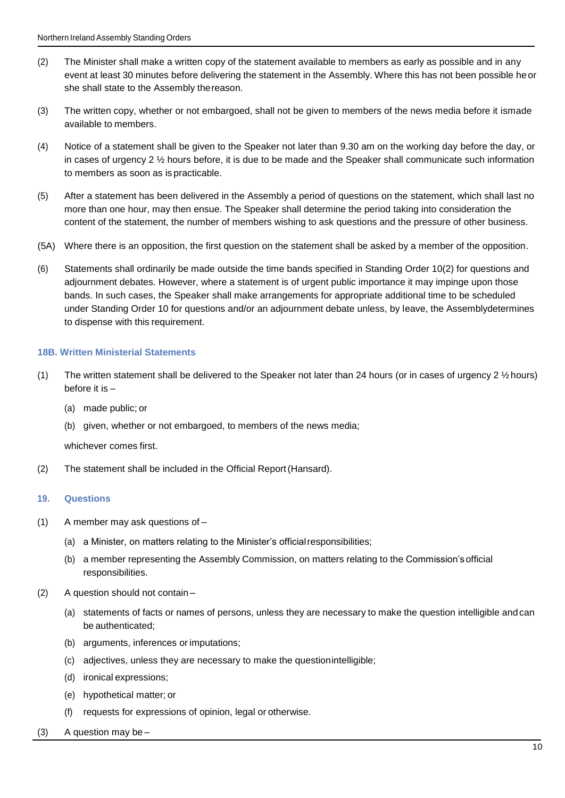- (2) The Minister shall make a written copy of the statement available to members as early as possible and in any event at least 30 minutes before delivering the statement in the Assembly. Where this has not been possible heor she shall state to the Assembly thereason.
- (3) The written copy, whether or not embargoed, shall not be given to members of the news media before it ismade available to members.
- (4) Notice of a statement shall be given to the Speaker not later than 9.30 am on the working day before the day, or in cases of urgency  $2 \frac{1}{2}$  hours before, it is due to be made and the Speaker shall communicate such information to members as soon as is practicable.
- (5) After a statement has been delivered in the Assembly a period of questions on the statement, which shall last no more than one hour, may then ensue. The Speaker shall determine the period taking into consideration the content of the statement, the number of members wishing to ask questions and the pressure of other business.
- (5A) Where there is an opposition, the first question on the statement shall be asked by a member of the opposition.
- (6) Statements shall ordinarily be made outside the time bands specified in Standing Order 10(2) for questions and adjournment debates. However, where a statement is of urgent public importance it may impinge upon those bands. In such cases, the Speaker shall make arrangements for appropriate additional time to be scheduled under Standing Order 10 for questions and/or an adjournment debate unless, by leave, the Assemblydetermines to dispense with this requirement.

### **18B. Written Ministerial Statements**

- (1) The written statement shall be delivered to the Speaker not later than 24 hours (or in cases of urgency  $2 \frac{1}{2}$  hours) before it is –
	- (a) made public; or
	- (b) given, whether or not embargoed, to members of the news media;

whichever comes first.

(2) The statement shall be included in the Official Report(Hansard).

## **19. Questions**

- (1) A member may ask questions of
	- (a) a Minister, on matters relating to the Minister's officialresponsibilities;
	- (b) a member representing the Assembly Commission, on matters relating to the Commission'sofficial responsibilities.
- (2) A question should not contain
	- (a) statements of facts or names of persons, unless they are necessary to make the question intelligible and can be authenticated;
	- (b) arguments, inferences or imputations;
	- (c) adjectives, unless they are necessary to make the questionintelligible;
	- (d) ironical expressions;
	- (e) hypothetical matter; or
	- (f) requests for expressions of opinion, legal or otherwise.
- $(3)$  A question may be –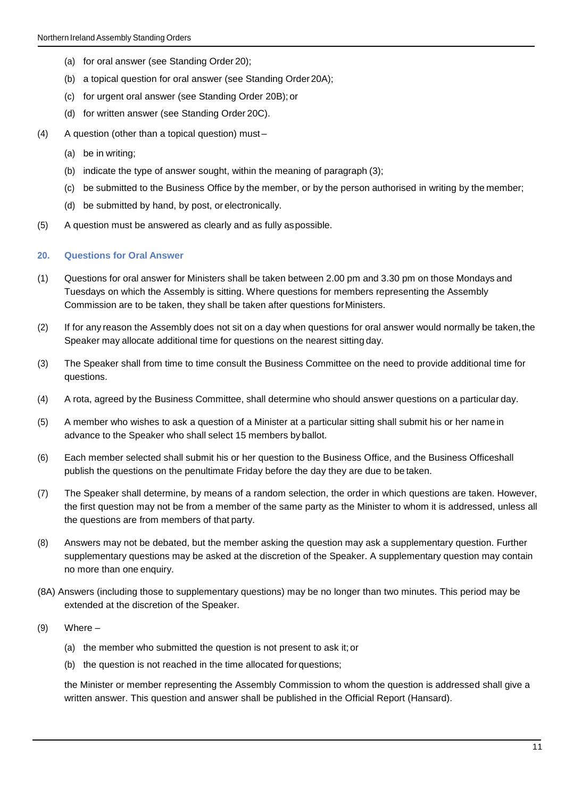- (a) for oral answer (see Standing Order 20);
- (b) a topical question for oral answer (see Standing Order20A);
- (c) for urgent oral answer (see Standing Order 20B); or
- (d) for written answer (see Standing Order 20C).
- (4) A question (other than a topical question) must
	- (a) be in writing;
	- (b) indicate the type of answer sought, within the meaning of paragraph (3);
	- (c) be submitted to the Business Office by the member, or by the person authorised in writing by the member;
	- (d) be submitted by hand, by post, or electronically.
- (5) A question must be answered as clearly and as fully aspossible.

### **20. Questions for Oral Answer**

- (1) Questions for oral answer for Ministers shall be taken between 2.00 pm and 3.30 pm on those Mondays and Tuesdays on which the Assembly is sitting. Where questions for members representing the Assembly Commission are to be taken, they shall be taken after questions forMinisters.
- (2) If for any reason the Assembly does not sit on a day when questions for oral answer would normally be taken, the Speaker may allocate additional time for questions on the nearest sitting day.
- (3) The Speaker shall from time to time consult the Business Committee on the need to provide additional time for questions.
- (4) A rota, agreed by the Business Committee, shall determine who should answer questions on a particular day.
- (5) A member who wishes to ask a question of a Minister at a particular sitting shall submit his or her name in advance to the Speaker who shall select 15 members byballot.
- (6) Each member selected shall submit his or her question to the Business Office, and the Business Officeshall publish the questions on the penultimate Friday before the day they are due to be taken.
- (7) The Speaker shall determine, by means of a random selection, the order in which questions are taken. However, the first question may not be from a member of the same party as the Minister to whom it is addressed, unless all the questions are from members of that party.
- (8) Answers may not be debated, but the member asking the question may ask a supplementary question. Further supplementary questions may be asked at the discretion of the Speaker. A supplementary question may contain no more than one enquiry.
- (8A) Answers (including those to supplementary questions) may be no longer than two minutes. This period may be extended at the discretion of the Speaker.
- (9) Where
	- (a) the member who submitted the question is not present to ask it; or
	- (b) the question is not reached in the time allocated forquestions;

the Minister or member representing the Assembly Commission to whom the question is addressed shall give a written answer. This question and answer shall be published in the Official Report (Hansard).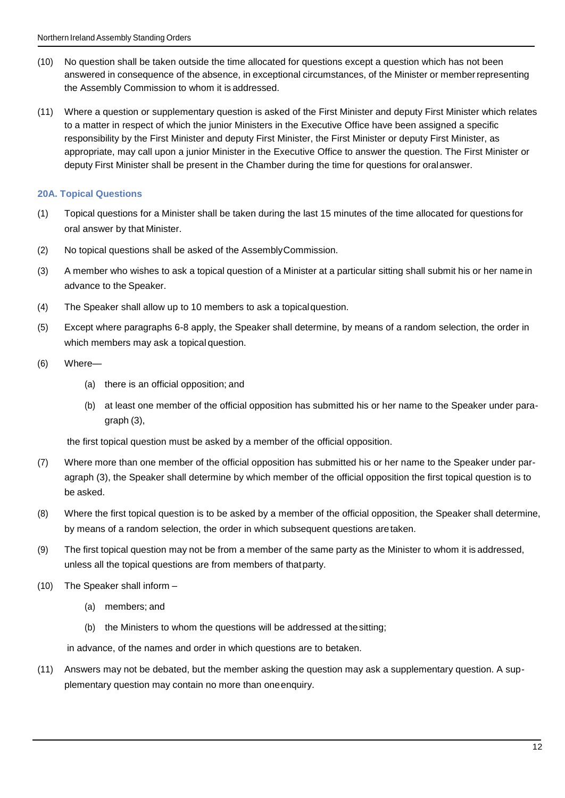- (10) No question shall be taken outside the time allocated for questions except a question which has not been answered in consequence of the absence, in exceptional circumstances, of the Minister or memberrepresenting the Assembly Commission to whom it is addressed.
- (11) Where a question or supplementary question is asked of the First Minister and deputy First Minister which relates to a matter in respect of which the junior Ministers in the Executive Office have been assigned a specific responsibility by the First Minister and deputy First Minister, the First Minister or deputy First Minister, as appropriate, may call upon a junior Minister in the Executive Office to answer the question. The First Minister or deputy First Minister shall be present in the Chamber during the time for questions for oralanswer.

# **20A. Topical Questions**

- (1) Topical questions for a Minister shall be taken during the last 15 minutes of the time allocated for questions for oral answer by that Minister.
- (2) No topical questions shall be asked of the AssemblyCommission.
- (3) A member who wishes to ask a topical question of a Minister at a particular sitting shall submit his or her name in advance to the Speaker.
- (4) The Speaker shall allow up to 10 members to ask a topicalquestion.
- (5) Except where paragraphs 6-8 apply, the Speaker shall determine, by means of a random selection, the order in which members may ask a topical question.
- (6) Where—
	- (a) there is an official opposition; and
	- (b) at least one member of the official opposition has submitted his or her name to the Speaker under paragraph (3),

the first topical question must be asked by a member of the official opposition.

- (7) Where more than one member of the official opposition has submitted his or her name to the Speaker under paragraph (3), the Speaker shall determine by which member of the official opposition the first topical question is to be asked.
- (8) Where the first topical question is to be asked by a member of the official opposition, the Speaker shall determine, by means of a random selection, the order in which subsequent questions aretaken.
- (9) The first topical question may not be from a member of the same party as the Minister to whom it is addressed, unless all the topical questions are from members of thatparty.
- (10) The Speaker shall inform
	- (a) members; and
	- (b) the Ministers to whom the questions will be addressed at thesitting;

in advance, of the names and order in which questions are to betaken.

(11) Answers may not be debated, but the member asking the question may ask a supplementary question. A supplementary question may contain no more than oneenquiry.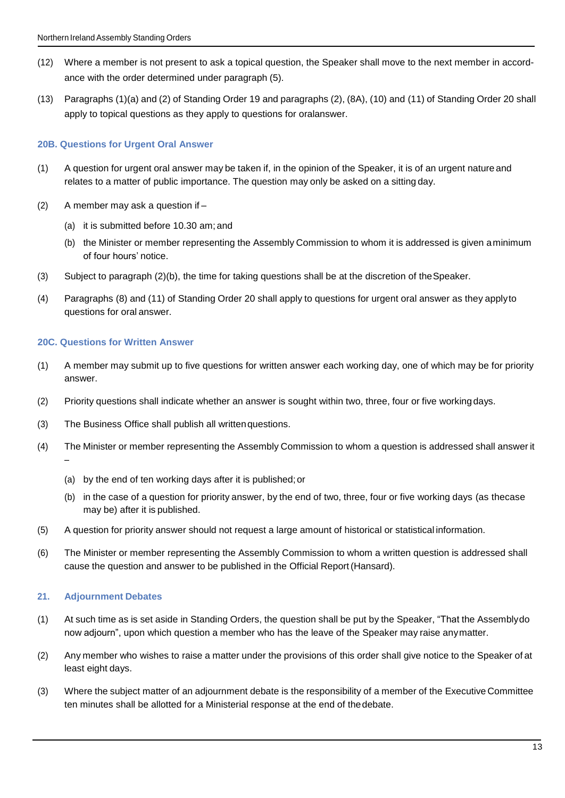- (12) Where a member is not present to ask a topical question, the Speaker shall move to the next member in accordance with the order determined under paragraph (5).
- (13) Paragraphs (1)(a) and (2) of Standing Order 19 and paragraphs (2), (8A), (10) and (11) of Standing Order 20 shall apply to topical questions as they apply to questions for oralanswer.

# **20B. Questions for Urgent Oral Answer**

- (1) A question for urgent oral answer may be taken if, in the opinion of the Speaker, it is of an urgent nature and relates to a matter of public importance. The question may only be asked on a sitting day.
- (2) A member may ask a question if
	- (a) it is submitted before 10.30 am; and
	- (b) the Minister or member representing the Assembly Commission to whom it is addressed is given aminimum of four hours' notice.
- (3) Subject to paragraph (2)(b), the time for taking questions shall be at the discretion of theSpeaker.
- (4) Paragraphs (8) and (11) of Standing Order 20 shall apply to questions for urgent oral answer as they applyto questions for oral answer.

## **20C. Questions for Written Answer**

- (1) A member may submit up to five questions for written answer each working day, one of which may be for priority answer.
- (2) Priority questions shall indicate whether an answer is sought within two, three, four or five workingdays.
- (3) The Business Office shall publish all writtenquestions.
- (4) The Minister or member representing the Assembly Commission to whom a question is addressed shall answer it –
	- (a) by the end of ten working days after it is published;or
	- (b) in the case of a question for priority answer, by the end of two, three, four or five working days (as thecase may be) after it is published.
- (5) A question for priority answer should not request a large amount of historical or statistical information.
- (6) The Minister or member representing the Assembly Commission to whom a written question is addressed shall cause the question and answer to be published in the Official Report(Hansard).

# **21. Adjournment Debates**

- (1) At such time as is set aside in Standing Orders, the question shall be put by the Speaker, "That the Assemblydo now adjourn", upon which question a member who has the leave of the Speaker may raise anymatter.
- (2) Any member who wishes to raise a matter under the provisions of this order shall give notice to the Speaker of at least eight days.
- (3) Where the subject matter of an adjournment debate is the responsibility of a member of the Executive Committee ten minutes shall be allotted for a Ministerial response at the end of thedebate.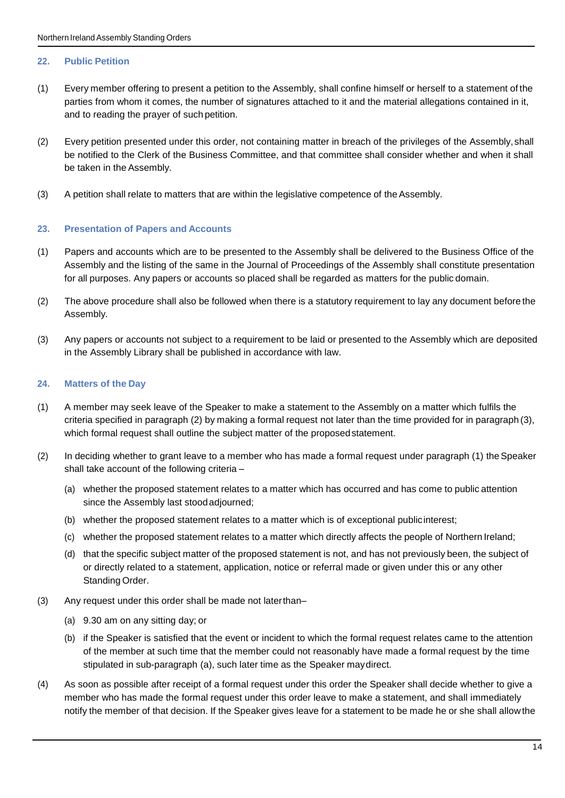## **22. Public Petition**

- (1) Every member offering to present a petition to the Assembly, shall confine himself or herself to a statement of the parties from whom it comes, the number of signatures attached to it and the material allegations contained in it, and to reading the prayer of such petition.
- (2) Every petition presented under this order, not containing matter in breach of the privileges of the Assembly,shall be notified to the Clerk of the Business Committee, and that committee shall consider whether and when it shall be taken in the Assembly.
- (3) A petition shall relate to matters that are within the legislative competence of theAssembly.

## **23. Presentation of Papers and Accounts**

- (1) Papers and accounts which are to be presented to the Assembly shall be delivered to the Business Office of the Assembly and the listing of the same in the Journal of Proceedings of the Assembly shall constitute presentation for all purposes. Any papers or accounts so placed shall be regarded as matters for the public domain.
- (2) The above procedure shall also be followed when there is a statutory requirement to lay any document before the Assembly.
- (3) Any papers or accounts not subject to a requirement to be laid or presented to the Assembly which are deposited in the Assembly Library shall be published in accordance with law.

## **24. Matters of the Day**

- (1) A member may seek leave of the Speaker to make a statement to the Assembly on a matter which fulfils the criteria specified in paragraph (2) by making a formal request not later than the time provided for in paragraph (3), which formal request shall outline the subject matter of the proposedstatement.
- (2) In deciding whether to grant leave to a member who has made a formal request under paragraph (1) theSpeaker shall take account of the following criteria –
	- (a) whether the proposed statement relates to a matter which has occurred and has come to public attention since the Assembly last stoodadjourned;
	- (b) whether the proposed statement relates to a matter which is of exceptional publicinterest;
	- (c) whether the proposed statement relates to a matter which directly affects the people of Northern Ireland;
	- (d) that the specific subject matter of the proposed statement is not, and has not previously been, the subject of or directly related to a statement, application, notice or referral made or given under this or any other Standing Order.
- (3) Any request under this order shall be made not laterthan–
	- (a) 9.30 am on any sitting day; or
	- (b) if the Speaker is satisfied that the event or incident to which the formal request relates came to the attention of the member at such time that the member could not reasonably have made a formal request by the time stipulated in sub-paragraph (a), such later time as the Speaker maydirect.
- (4) As soon as possible after receipt of a formal request under this order the Speaker shall decide whether to give a member who has made the formal request under this order leave to make a statement, and shall immediately notify the member of that decision. If the Speaker gives leave for a statement to be made he or she shall allowthe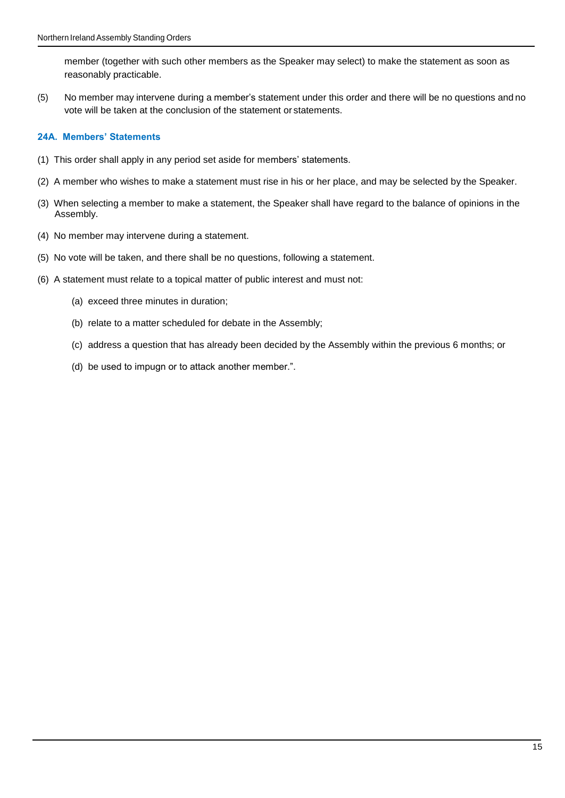member (together with such other members as the Speaker may select) to make the statement as soon as reasonably practicable.

(5) No member may intervene during a member's statement under this order and there will be no questions and no vote will be taken at the conclusion of the statement or statements.

## **24A. Members' Statements**

- (1) This order shall apply in any period set aside for members' statements.
- (2) A member who wishes to make a statement must rise in his or her place, and may be selected by the Speaker.
- (3) When selecting a member to make a statement, the Speaker shall have regard to the balance of opinions in the Assembly.
- (4) No member may intervene during a statement.
- (5) No vote will be taken, and there shall be no questions, following a statement.
- (6) A statement must relate to a topical matter of public interest and must not:
	- (a) exceed three minutes in duration;
	- (b) relate to a matter scheduled for debate in the Assembly;
	- (c) address a question that has already been decided by the Assembly within the previous 6 months; or
	- (d) be used to impugn or to attack another member.".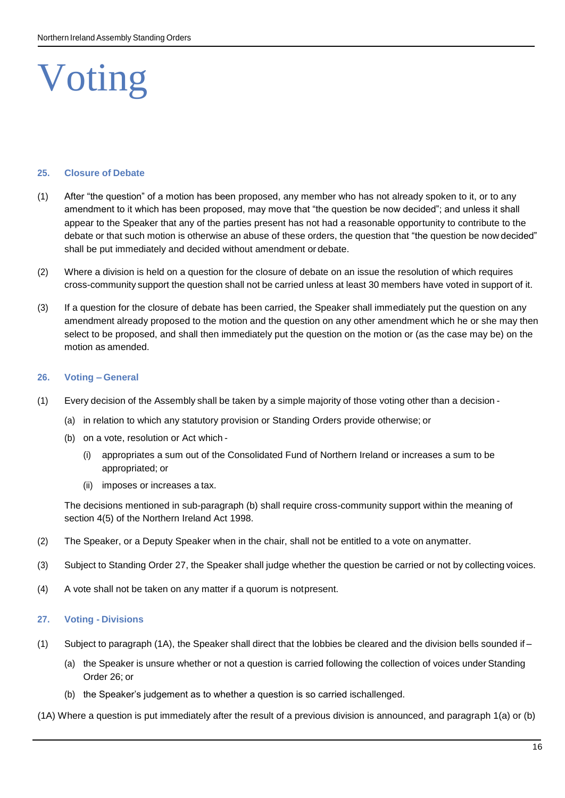# Voting

#### **25. Closure of Debate**

- (1) After "the question" of a motion has been proposed, any member who has not already spoken to it, or to any amendment to it which has been proposed, may move that "the question be now decided"; and unless it shall appear to the Speaker that any of the parties present has not had a reasonable opportunity to contribute to the debate or that such motion is otherwise an abuse of these orders, the question that "the question be now decided" shall be put immediately and decided without amendment or debate.
- (2) Where a division is held on a question for the closure of debate on an issue the resolution of which requires cross-community support the question shall not be carried unless at least 30 members have voted in support of it.
- (3) If a question for the closure of debate has been carried, the Speaker shall immediately put the question on any amendment already proposed to the motion and the question on any other amendment which he or she may then select to be proposed, and shall then immediately put the question on the motion or (as the case may be) on the motion as amended.

### **26. Voting – General**

- (1) Every decision of the Assembly shall be taken by a simple majority of those voting other than a decision
	- (a) in relation to which any statutory provision or Standing Orders provide otherwise; or
	- (b) on a vote, resolution or Act which
		- (i) appropriates a sum out of the Consolidated Fund of Northern Ireland or increases a sum to be appropriated; or
		- (ii) imposes or increases a tax.

The decisions mentioned in sub-paragraph (b) shall require cross-community support within the meaning of section 4(5) of the Northern Ireland Act 1998.

- (2) The Speaker, or a Deputy Speaker when in the chair, shall not be entitled to a vote on anymatter.
- (3) Subject to Standing Order 27, the Speaker shall judge whether the question be carried or not by collecting voices.
- (4) A vote shall not be taken on any matter if a quorum is notpresent.

## **27. Voting - Divisions**

- (1) Subject to paragraph (1A), the Speaker shall direct that the lobbies be cleared and the division bells sounded if
	- (a) the Speaker is unsure whether or not a question is carried following the collection of voices under Standing Order 26; or
	- (b) the Speaker's judgement as to whether a question is so carried ischallenged.
- (1A) Where a question is put immediately after the result of a previous division is announced, and paragraph 1(a) or (b)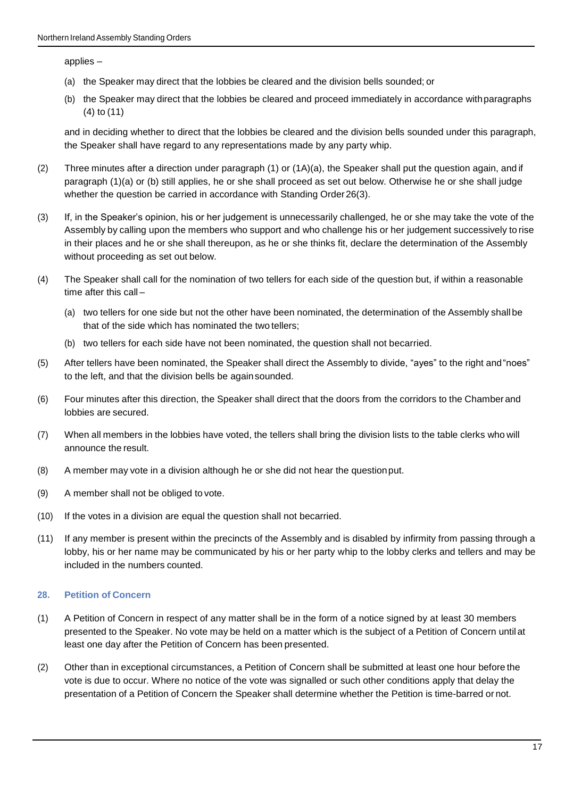applies –

- (a) the Speaker may direct that the lobbies be cleared and the division bells sounded; or
- (b) the Speaker may direct that the lobbies be cleared and proceed immediately in accordance withparagraphs (4) to (11)

and in deciding whether to direct that the lobbies be cleared and the division bells sounded under this paragraph, the Speaker shall have regard to any representations made by any party whip.

- (2) Three minutes after a direction under paragraph (1) or (1A)(a), the Speaker shall put the question again, and if paragraph (1)(a) or (b) still applies, he or she shall proceed as set out below. Otherwise he or she shall judge whether the question be carried in accordance with Standing Order 26(3).
- (3) If, in the Speaker's opinion, his or her judgement is unnecessarily challenged, he or she may take the vote of the Assembly by calling upon the members who support and who challenge his or her judgement successively to rise in their places and he or she shall thereupon, as he or she thinks fit, declare the determination of the Assembly without proceeding as set out below.
- (4) The Speaker shall call for the nomination of two tellers for each side of the question but, if within a reasonable time after this call –
	- (a) two tellers for one side but not the other have been nominated, the determination of the Assembly shall be that of the side which has nominated the two tellers;
	- (b) two tellers for each side have not been nominated, the question shall not becarried.
- (5) After tellers have been nominated, the Speaker shall direct the Assembly to divide, "ayes" to the right and"noes" to the left, and that the division bells be againsounded.
- (6) Four minutes after this direction, the Speaker shall direct that the doors from the corridors to the Chamber and lobbies are secured.
- (7) When all members in the lobbies have voted, the tellers shall bring the division lists to the table clerks who will announce the result.
- (8) A member may vote in a division although he or she did not hear the questionput.
- (9) A member shall not be obliged to vote.
- (10) If the votes in a division are equal the question shall not becarried.
- (11) If any member is present within the precincts of the Assembly and is disabled by infirmity from passing through a lobby, his or her name may be communicated by his or her party whip to the lobby clerks and tellers and may be included in the numbers counted.

## **28. Petition of Concern**

- (1) A Petition of Concern in respect of any matter shall be in the form of a notice signed by at least 30 members presented to the Speaker. No vote may be held on a matter which is the subject of a Petition of Concern until at least one day after the Petition of Concern has been presented.
- (2) Other than in exceptional circumstances, a Petition of Concern shall be submitted at least one hour before the vote is due to occur. Where no notice of the vote was signalled or such other conditions apply that delay the presentation of a Petition of Concern the Speaker shall determine whether the Petition is time-barred or not.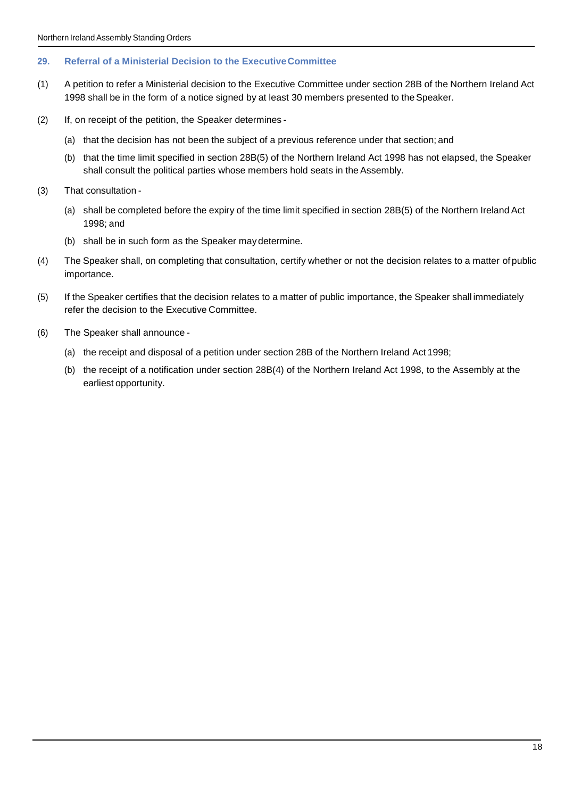## **29. Referral of a Ministerial Decision to the ExecutiveCommittee**

- (1) A petition to refer a Ministerial decision to the Executive Committee under section 28B of the Northern Ireland Act 1998 shall be in the form of a notice signed by at least 30 members presented to the Speaker.
- (2) If, on receipt of the petition, the Speaker determines
	- (a) that the decision has not been the subject of a previous reference under that section; and
	- (b) that the time limit specified in section 28B(5) of the Northern Ireland Act 1998 has not elapsed, the Speaker shall consult the political parties whose members hold seats in the Assembly.
- (3) That consultation
	- (a) shall be completed before the expiry of the time limit specified in section 28B(5) of the Northern Ireland Act 1998; and
	- (b) shall be in such form as the Speaker maydetermine.
- (4) The Speaker shall, on completing that consultation, certify whether or not the decision relates to a matter of public importance.
- (5) If the Speaker certifies that the decision relates to a matter of public importance, the Speaker shall immediately refer the decision to the Executive Committee.
- (6) The Speaker shall announce
	- (a) the receipt and disposal of a petition under section 28B of the Northern Ireland Act 1998;
	- (b) the receipt of a notification under section 28B(4) of the Northern Ireland Act 1998, to the Assembly at the earliest opportunity.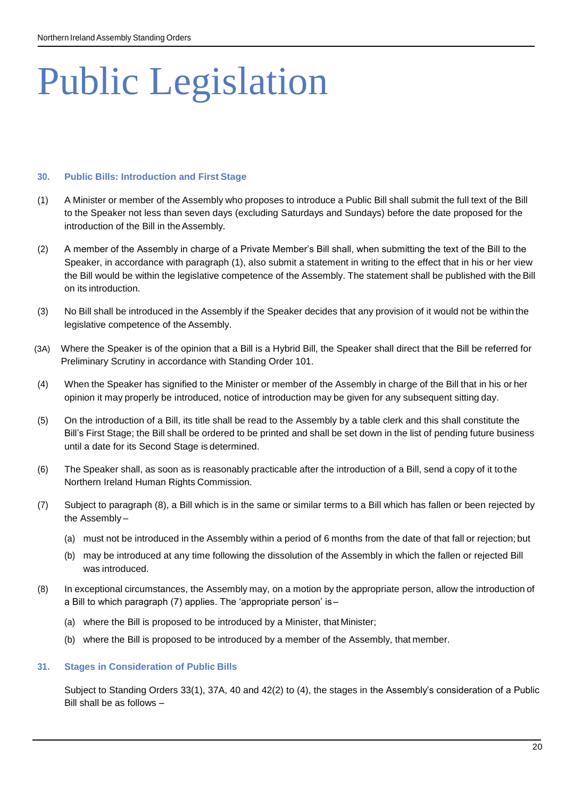# Public Legislation

#### **30. Public Bills: Introduction and First Stage**

- (1) A Minister or member of the Assembly who proposes to introduce a Public Bill shall submit the full text of the Bill to the Speaker not less than seven days (excluding Saturdays and Sundays) before the date proposed for the introduction of the Bill in the Assembly.
- (2) A member of the Assembly in charge of a Private Member's Bill shall, when submitting the text of the Bill to the Speaker, in accordance with paragraph (1), also submit a statement in writing to the effect that in his or her view the Bill would be within the legislative competence of the Assembly. The statement shall be published with the Bill on its introduction.
- (3) No Bill shall be introduced in the Assembly if the Speaker decides that any provision of it would not be within the legislative competence of the Assembly.
- (3A) Where the Speaker is of the opinion that a Bill is a Hybrid Bill, the Speaker shall direct that the Bill be referred for Preliminary Scrutiny in accordance with Standing Order 101.
- (4) When the Speaker has signified to the Minister or member of the Assembly in charge of the Bill that in his or her opinion it may properly be introduced, notice of introduction may be given for any subsequent sitting day.
- (5) On the introduction of a Bill, its title shall be read to the Assembly by a table clerk and this shall constitute the Bill's First Stage; the Bill shall be ordered to be printed and shall be set down in the list of pending future business until a date for its Second Stage is determined.
- (6) The Speaker shall, as soon as is reasonably practicable after the introduction of a Bill, send a copy of it to the Northern Ireland Human Rights Commission.
- (7) Subject to paragraph (8), a Bill which is in the same or similar terms to a Bill which has fallen or been rejected by the Assembly –
	- (a) must not be introduced in the Assembly within a period of 6 months from the date of that fall or rejection; but
	- (b) may be introduced at any time following the dissolution of the Assembly in which the fallen or rejected Bill was introduced.
- (8) In exceptional circumstances, the Assembly may, on a motion by the appropriate person, allow the introduction of a Bill to which paragraph (7) applies. The 'appropriate person' is –
	- (a) where the Bill is proposed to be introduced by a Minister, that Minister;
	- (b) where the Bill is proposed to be introduced by a member of the Assembly, that member.

#### **31. Stages in Consideration of Public Bills**

Subject to Standing Orders 33(1), 37A, 40 and 42(2) to (4), the stages in the Assembly's consideration of a Public Bill shall be as follows –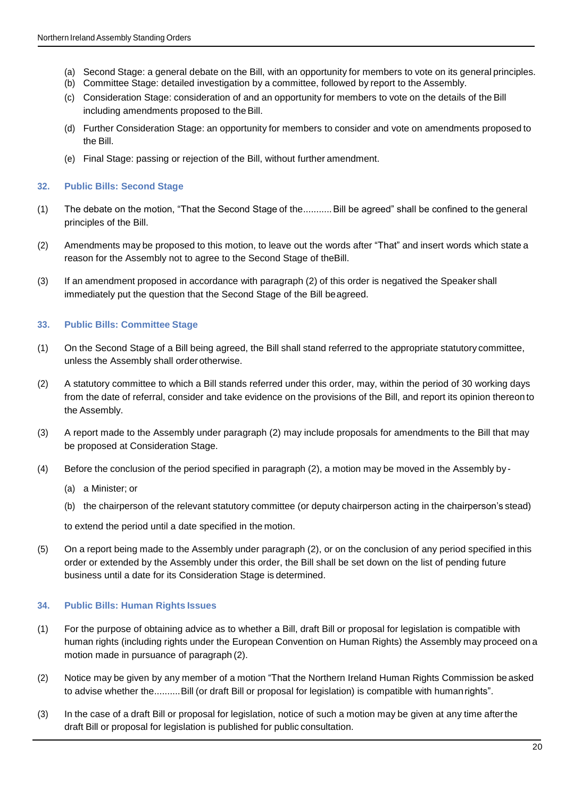- (a) Second Stage: a general debate on the Bill, with an opportunity for members to vote on its general principles.
- (b) Committee Stage: detailed investigation by a committee, followed by report to the Assembly.
- (c) Consideration Stage: consideration of and an opportunity for members to vote on the details of the Bill including amendments proposed to the Bill.
- (d) Further Consideration Stage: an opportunity for members to consider and vote on amendments proposed to the Bill.
- (e) Final Stage: passing or rejection of the Bill, without further amendment.

## **32. Public Bills: Second Stage**

- (1) The debate on the motion, "That the Second Stage of the...........Bill be agreed" shall be confined to the general principles of the Bill.
- (2) Amendments may be proposed to this motion, to leave out the words after "That" and insert words which state a reason for the Assembly not to agree to the Second Stage of theBill.
- (3) If an amendment proposed in accordance with paragraph (2) of this order is negatived the Speaker shall immediately put the question that the Second Stage of the Bill beagreed.

# **33. Public Bills: Committee Stage**

- (1) On the Second Stage of a Bill being agreed, the Bill shall stand referred to the appropriate statutory committee, unless the Assembly shall order otherwise.
- (2) A statutory committee to which a Bill stands referred under this order, may, within the period of 30 working days from the date of referral, consider and take evidence on the provisions of the Bill, and report its opinion thereon to the Assembly.
- (3) A report made to the Assembly under paragraph (2) may include proposals for amendments to the Bill that may be proposed at Consideration Stage.
- (4) Before the conclusion of the period specified in paragraph (2), a motion may be moved in the Assembly by
	- (a) a Minister; or
	- (b) the chairperson of the relevant statutory committee (or deputy chairperson acting in the chairperson's stead)

to extend the period until a date specified in the motion.

(5) On a report being made to the Assembly under paragraph (2), or on the conclusion of any period specified in this order or extended by the Assembly under this order, the Bill shall be set down on the list of pending future business until a date for its Consideration Stage is determined.

# **34. Public Bills: Human Rights Issues**

- (1) For the purpose of obtaining advice as to whether a Bill, draft Bill or proposal for legislation is compatible with human rights (including rights under the European Convention on Human Rights) the Assembly may proceed on a motion made in pursuance of paragraph (2).
- (2) Notice may be given by any member of a motion "That the Northern Ireland Human Rights Commission be asked to advise whether the..........Bill (or draft Bill or proposal for legislation) is compatible with humanrights".
- (3) In the case of a draft Bill or proposal for legislation, notice of such a motion may be given at any time afterthe draft Bill or proposal for legislation is published for public consultation.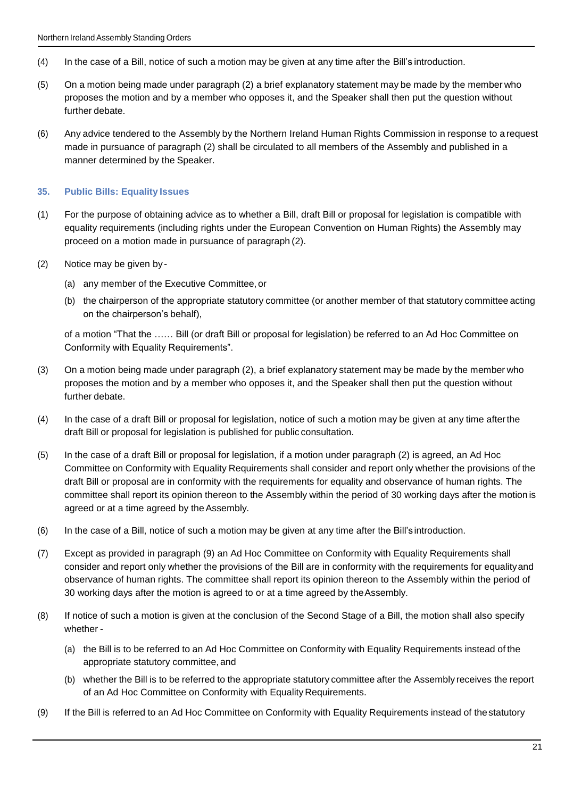- (4) In the case of a Bill, notice of such a motion may be given at any time after the Bill's introduction.
- (5) On a motion being made under paragraph (2) a brief explanatory statement may be made by the member who proposes the motion and by a member who opposes it, and the Speaker shall then put the question without further debate.
- (6) Any advice tendered to the Assembly by the Northern Ireland Human Rights Commission in response to a request made in pursuance of paragraph (2) shall be circulated to all members of the Assembly and published in a manner determined by the Speaker.

## **35. Public Bills: Equality Issues**

- (1) For the purpose of obtaining advice as to whether a Bill, draft Bill or proposal for legislation is compatible with equality requirements (including rights under the European Convention on Human Rights) the Assembly may proceed on a motion made in pursuance of paragraph (2).
- (2) Notice may be given by
	- (a) any member of the Executive Committee, or
	- (b) the chairperson of the appropriate statutory committee (or another member of that statutory committee acting on the chairperson's behalf),

of a motion "That the …… Bill (or draft Bill or proposal for legislation) be referred to an Ad Hoc Committee on Conformity with Equality Requirements".

- (3) On a motion being made under paragraph (2), a brief explanatory statement may be made by the member who proposes the motion and by a member who opposes it, and the Speaker shall then put the question without further debate.
- (4) In the case of a draft Bill or proposal for legislation, notice of such a motion may be given at any time afterthe draft Bill or proposal for legislation is published for public consultation.
- (5) In the case of a draft Bill or proposal for legislation, if a motion under paragraph (2) is agreed, an Ad Hoc Committee on Conformity with Equality Requirements shall consider and report only whether the provisions of the draft Bill or proposal are in conformity with the requirements for equality and observance of human rights. The committee shall report its opinion thereon to the Assembly within the period of 30 working days after the motion is agreed or at a time agreed by the Assembly.
- (6) In the case of a Bill, notice of such a motion may be given at any time after the Bill's introduction.
- (7) Except as provided in paragraph (9) an Ad Hoc Committee on Conformity with Equality Requirements shall consider and report only whether the provisions of the Bill are in conformity with the requirements for equalityand observance of human rights. The committee shall report its opinion thereon to the Assembly within the period of 30 working days after the motion is agreed to or at a time agreed by theAssembly.
- (8) If notice of such a motion is given at the conclusion of the Second Stage of a Bill, the motion shall also specify whether -
	- (a) the Bill is to be referred to an Ad Hoc Committee on Conformity with Equality Requirements instead of the appropriate statutory committee, and
	- (b) whether the Bill is to be referred to the appropriate statutory committee after the Assembly receives the report of an Ad Hoc Committee on Conformity with Equality Requirements.
- (9) If the Bill is referred to an Ad Hoc Committee on Conformity with Equality Requirements instead of thestatutory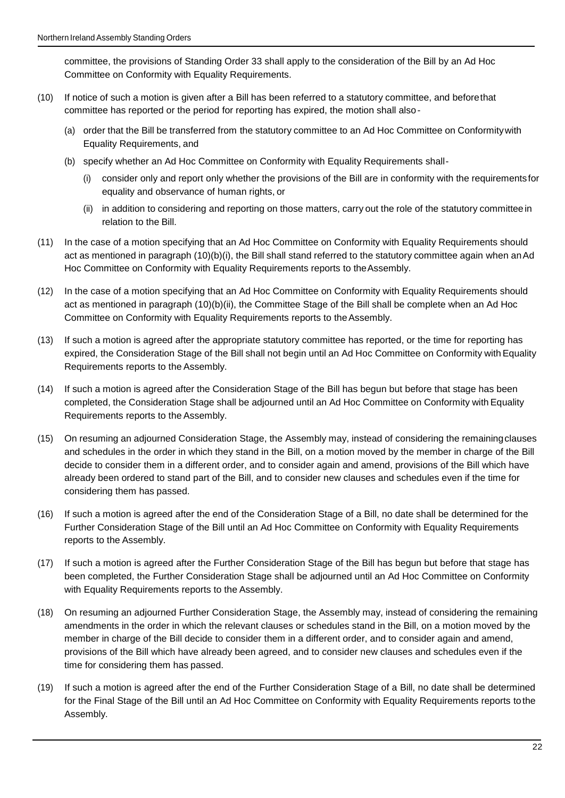committee, the provisions of Standing Order 33 shall apply to the consideration of the Bill by an Ad Hoc Committee on Conformity with Equality Requirements.

- (10) If notice of such a motion is given after a Bill has been referred to a statutory committee, and beforethat committee has reported or the period for reporting has expired, the motion shall also-
	- (a) order that the Bill be transferred from the statutory committee to an Ad Hoc Committee on Conformitywith Equality Requirements, and
	- (b) specify whether an Ad Hoc Committee on Conformity with Equality Requirements shall-
		- (i) consider only and report only whether the provisions of the Bill are in conformity with the requirementsfor equality and observance of human rights, or
		- (ii) in addition to considering and reporting on those matters, carry out the role of the statutory committeein relation to the Bill.
- (11) In the case of a motion specifying that an Ad Hoc Committee on Conformity with Equality Requirements should act as mentioned in paragraph (10)(b)(i), the Bill shall stand referred to the statutory committee again when anAd Hoc Committee on Conformity with Equality Requirements reports to theAssembly.
- (12) In the case of a motion specifying that an Ad Hoc Committee on Conformity with Equality Requirements should act as mentioned in paragraph (10)(b)(ii), the Committee Stage of the Bill shall be complete when an Ad Hoc Committee on Conformity with Equality Requirements reports to theAssembly.
- (13) If such a motion is agreed after the appropriate statutory committee has reported, or the time for reporting has expired, the Consideration Stage of the Bill shall not begin until an Ad Hoc Committee on Conformity with Equality Requirements reports to the Assembly.
- (14) If such a motion is agreed after the Consideration Stage of the Bill has begun but before that stage has been completed, the Consideration Stage shall be adjourned until an Ad Hoc Committee on Conformity with Equality Requirements reports to the Assembly.
- (15) On resuming an adjourned Consideration Stage, the Assembly may, instead of considering the remainingclauses and schedules in the order in which they stand in the Bill, on a motion moved by the member in charge of the Bill decide to consider them in a different order, and to consider again and amend, provisions of the Bill which have already been ordered to stand part of the Bill, and to consider new clauses and schedules even if the time for considering them has passed.
- (16) If such a motion is agreed after the end of the Consideration Stage of a Bill, no date shall be determined for the Further Consideration Stage of the Bill until an Ad Hoc Committee on Conformity with Equality Requirements reports to the Assembly.
- (17) If such a motion is agreed after the Further Consideration Stage of the Bill has begun but before that stage has been completed, the Further Consideration Stage shall be adjourned until an Ad Hoc Committee on Conformity with Equality Requirements reports to the Assembly.
- (18) On resuming an adjourned Further Consideration Stage, the Assembly may, instead of considering the remaining amendments in the order in which the relevant clauses or schedules stand in the Bill, on a motion moved by the member in charge of the Bill decide to consider them in a different order, and to consider again and amend, provisions of the Bill which have already been agreed, and to consider new clauses and schedules even if the time for considering them has passed.
- (19) If such a motion is agreed after the end of the Further Consideration Stage of a Bill, no date shall be determined for the Final Stage of the Bill until an Ad Hoc Committee on Conformity with Equality Requirements reports tothe Assembly.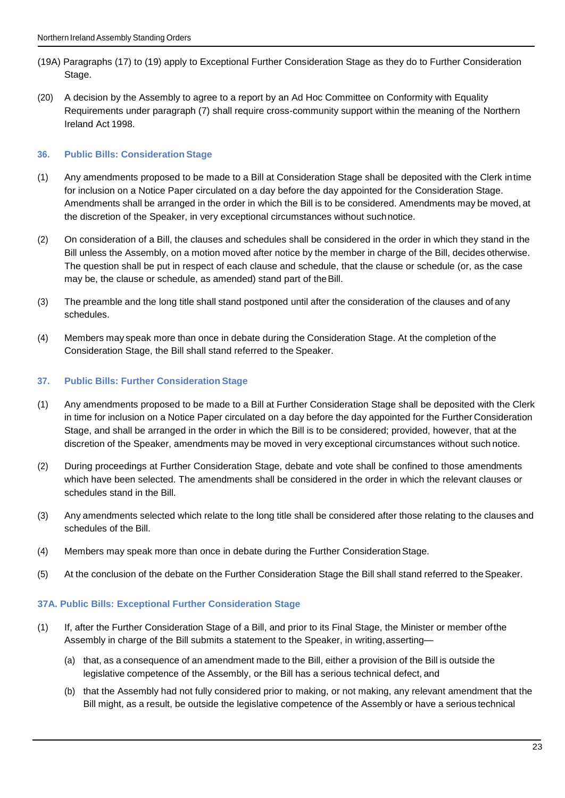- (19A) Paragraphs (17) to (19) apply to Exceptional Further Consideration Stage as they do to Further Consideration Stage.
- (20) A decision by the Assembly to agree to a report by an Ad Hoc Committee on Conformity with Equality Requirements under paragraph (7) shall require cross-community support within the meaning of the Northern Ireland Act 1998.

# **36. Public Bills: Consideration Stage**

- (1) Any amendments proposed to be made to a Bill at Consideration Stage shall be deposited with the Clerk intime for inclusion on a Notice Paper circulated on a day before the day appointed for the Consideration Stage. Amendments shall be arranged in the order in which the Bill is to be considered. Amendments may be moved, at the discretion of the Speaker, in very exceptional circumstances without suchnotice.
- (2) On consideration of a Bill, the clauses and schedules shall be considered in the order in which they stand in the Bill unless the Assembly, on a motion moved after notice by the member in charge of the Bill, decides otherwise. The question shall be put in respect of each clause and schedule, that the clause or schedule (or, as the case may be, the clause or schedule, as amended) stand part of theBill.
- (3) The preamble and the long title shall stand postponed until after the consideration of the clauses and of any schedules.
- (4) Members may speak more than once in debate during the Consideration Stage. At the completion of the Consideration Stage, the Bill shall stand referred to the Speaker.

# **37. Public Bills: Further Consideration Stage**

- (1) Any amendments proposed to be made to a Bill at Further Consideration Stage shall be deposited with the Clerk in time for inclusion on a Notice Paper circulated on a day before the day appointed for the Further Consideration Stage, and shall be arranged in the order in which the Bill is to be considered; provided, however, that at the discretion of the Speaker, amendments may be moved in very exceptional circumstances without such notice.
- (2) During proceedings at Further Consideration Stage, debate and vote shall be confined to those amendments which have been selected. The amendments shall be considered in the order in which the relevant clauses or schedules stand in the Bill.
- (3) Any amendments selected which relate to the long title shall be considered after those relating to the clauses and schedules of the Bill.
- (4) Members may speak more than once in debate during the Further Consideration Stage.
- (5) At the conclusion of the debate on the Further Consideration Stage the Bill shall stand referred to the Speaker.

# **37A. Public Bills: Exceptional Further Consideration Stage**

- (1) If, after the Further Consideration Stage of a Bill, and prior to its Final Stage, the Minister or member ofthe Assembly in charge of the Bill submits a statement to the Speaker, in writing, asserting—
	- (a) that, as a consequence of an amendment made to the Bill, either a provision of the Bill is outside the legislative competence of the Assembly, or the Bill has a serious technical defect, and
	- (b) that the Assembly had not fully considered prior to making, or not making, any relevant amendment that the Bill might, as a result, be outside the legislative competence of the Assembly or have a serious technical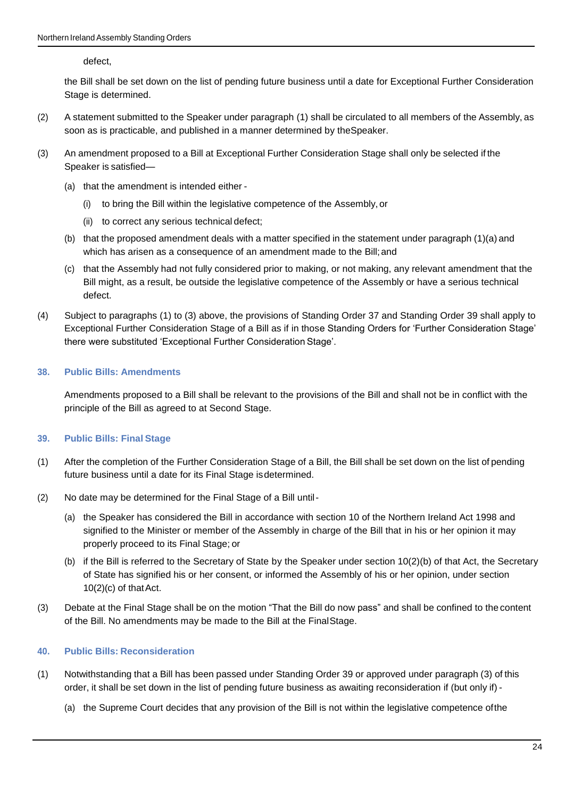## defect,

the Bill shall be set down on the list of pending future business until a date for Exceptional Further Consideration Stage is determined.

- (2) A statement submitted to the Speaker under paragraph (1) shall be circulated to all members of the Assembly, as soon as is practicable, and published in a manner determined by theSpeaker.
- (3) An amendment proposed to a Bill at Exceptional Further Consideration Stage shall only be selected if the Speaker is satisfied—
	- (a) that the amendment is intended either
		- (i) to bring the Bill within the legislative competence of the Assembly, or
		- (ii) to correct any serious technical defect;
	- (b) that the proposed amendment deals with a matter specified in the statement under paragraph (1)(a) and which has arisen as a consequence of an amendment made to the Bill; and
	- (c) that the Assembly had not fully considered prior to making, or not making, any relevant amendment that the Bill might, as a result, be outside the legislative competence of the Assembly or have a serious technical defect.
- (4) Subject to paragraphs (1) to (3) above, the provisions of Standing Order 37 and Standing Order 39 shall apply to Exceptional Further Consideration Stage of a Bill as if in those Standing Orders for 'Further Consideration Stage' there were substituted 'Exceptional Further Consideration Stage'.

## **38. Public Bills: Amendments**

Amendments proposed to a Bill shall be relevant to the provisions of the Bill and shall not be in conflict with the principle of the Bill as agreed to at Second Stage.

# **39. Public Bills: Final Stage**

- (1) After the completion of the Further Consideration Stage of a Bill, the Bill shall be set down on the list of pending future business until a date for its Final Stage isdetermined.
- (2) No date may be determined for the Final Stage of a Bill until-
	- (a) the Speaker has considered the Bill in accordance with section 10 of the Northern Ireland Act 1998 and signified to the Minister or member of the Assembly in charge of the Bill that in his or her opinion it may properly proceed to its Final Stage; or
	- (b) if the Bill is referred to the Secretary of State by the Speaker under section 10(2)(b) of that Act, the Secretary of State has signified his or her consent, or informed the Assembly of his or her opinion, under section  $10(2)(c)$  of that Act.
- (3) Debate at the Final Stage shall be on the motion "That the Bill do now pass" and shall be confined to the content of the Bill. No amendments may be made to the Bill at the FinalStage.

# **40. Public Bills: Reconsideration**

- (1) Notwithstanding that a Bill has been passed under Standing Order 39 or approved under paragraph (3) of this order, it shall be set down in the list of pending future business as awaiting reconsideration if (but only if) -
	- (a) the Supreme Court decides that any provision of the Bill is not within the legislative competence ofthe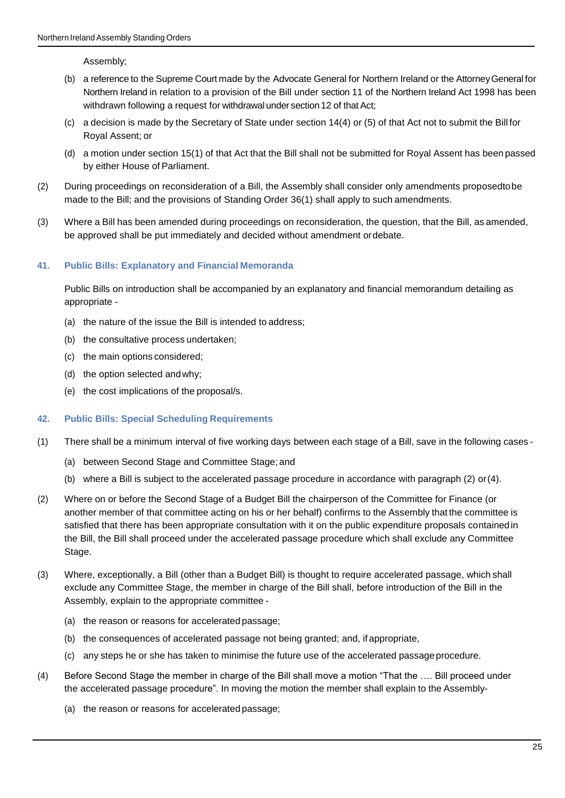## Assembly;

- (b) a reference to the Supreme Court made by the Advocate General for Northern Ireland or the AttorneyGeneral for Northern Ireland in relation to a provision of the Bill under section 11 of the Northern Ireland Act 1998 has been withdrawn following a request for withdrawal under section 12 of that Act;
- (c) a decision is made by the Secretary of State under section 14(4) or (5) of that Act not to submit the Bill for Royal Assent; or
- (d) a motion under section 15(1) of that Act that the Bill shall not be submitted for Royal Assent has been passed by either House of Parliament.
- (2) During proceedings on reconsideration of a Bill, the Assembly shall consider only amendments proposedtobe made to the Bill; and the provisions of Standing Order 36(1) shall apply to such amendments.
- (3) Where a Bill has been amended during proceedings on reconsideration, the question, that the Bill, as amended, be approved shall be put immediately and decided without amendment ordebate.

## **41. Public Bills: Explanatory and Financial Memoranda**

Public Bills on introduction shall be accompanied by an explanatory and financial memorandum detailing as appropriate -

- (a) the nature of the issue the Bill is intended to address;
- (b) the consultative process undertaken;
- (c) the main options considered;
- (d) the option selected andwhy;
- (e) the cost implications of the proposal/s.

## **42. Public Bills: Special Scheduling Requirements**

- (1) There shall be a minimum interval of five working days between each stage of a Bill, save in the following cases
	- (a) between Second Stage and Committee Stage; and
	- (b) where a Bill is subject to the accelerated passage procedure in accordance with paragraph (2) or(4).
- (2) Where on or before the Second Stage of a Budget Bill the chairperson of the Committee for Finance (or another member of that committee acting on his or her behalf) confirms to the Assembly that the committee is satisfied that there has been appropriate consultation with it on the public expenditure proposals containedin the Bill, the Bill shall proceed under the accelerated passage procedure which shall exclude any Committee Stage.
- (3) Where, exceptionally, a Bill (other than a Budget Bill) is thought to require accelerated passage, which shall exclude any Committee Stage, the member in charge of the Bill shall, before introduction of the Bill in the Assembly, explain to the appropriate committee -
	- (a) the reason or reasons for accelerated passage;
	- (b) the consequences of accelerated passage not being granted; and, if appropriate,
	- (c) any steps he or she has taken to minimise the future use of the accelerated passageprocedure.
- (4) Before Second Stage the member in charge of the Bill shall move a motion "That the …. Bill proceed under the accelerated passage procedure". In moving the motion the member shall explain to the Assembly-
	- (a) the reason or reasons for accelerated passage;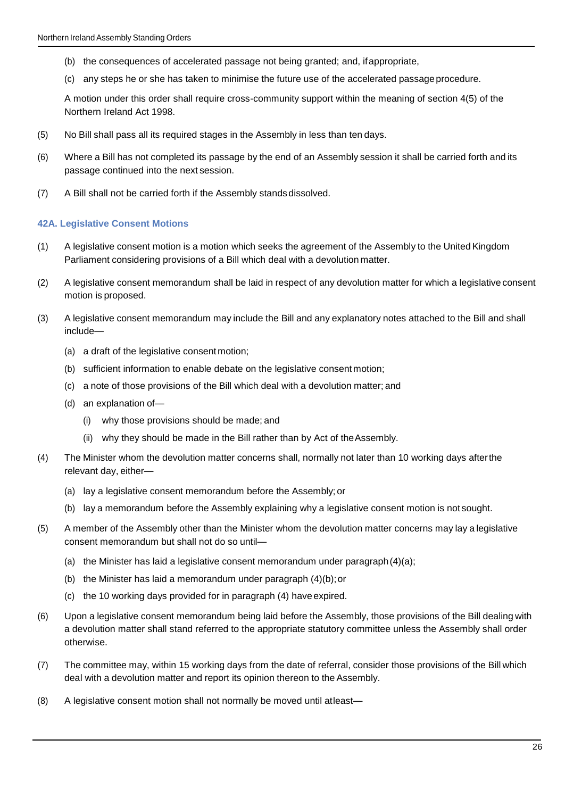- (b) the consequences of accelerated passage not being granted; and, ifappropriate,
- (c) any steps he or she has taken to minimise the future use of the accelerated passageprocedure.

A motion under this order shall require cross-community support within the meaning of section 4(5) of the Northern Ireland Act 1998.

- (5) No Bill shall pass all its required stages in the Assembly in less than ten days.
- (6) Where a Bill has not completed its passage by the end of an Assembly session it shall be carried forth and its passage continued into the next session.
- (7) A Bill shall not be carried forth if the Assembly stands dissolved.

# **42A. Legislative Consent Motions**

- (1) A legislative consent motion is a motion which seeks the agreement of the Assembly to the UnitedKingdom Parliament considering provisions of a Bill which deal with a devolution matter.
- (2) A legislative consent memorandum shall be laid in respect of any devolution matter for which a legislative consent motion is proposed.
- (3) A legislative consent memorandum may include the Bill and any explanatory notes attached to the Bill and shall include—
	- (a) a draft of the legislative consent motion;
	- (b) sufficient information to enable debate on the legislative consent motion;
	- (c) a note of those provisions of the Bill which deal with a devolution matter; and
	- (d) an explanation of—
		- (i) why those provisions should be made; and
		- (ii) why they should be made in the Bill rather than by Act of theAssembly.
- (4) The Minister whom the devolution matter concerns shall, normally not later than 10 working days afterthe relevant day, either—
	- (a) lay a legislative consent memorandum before the Assembly; or
	- (b) lay a memorandum before the Assembly explaining why a legislative consent motion is not sought.
- (5) A member of the Assembly other than the Minister whom the devolution matter concerns may lay a legislative consent memorandum but shall not do so until—
	- (a) the Minister has laid a legislative consent memorandum under paragraph(4)(a);
	- (b) the Minister has laid a memorandum under paragraph  $(4)(b)$ ; or
	- (c) the 10 working days provided for in paragraph (4) haveexpired.
- (6) Upon a legislative consent memorandum being laid before the Assembly, those provisions of the Bill dealing with a devolution matter shall stand referred to the appropriate statutory committee unless the Assembly shall order otherwise.
- (7) The committee may, within 15 working days from the date of referral, consider those provisions of the Bill which deal with a devolution matter and report its opinion thereon to the Assembly.
- (8) A legislative consent motion shall not normally be moved until atleast—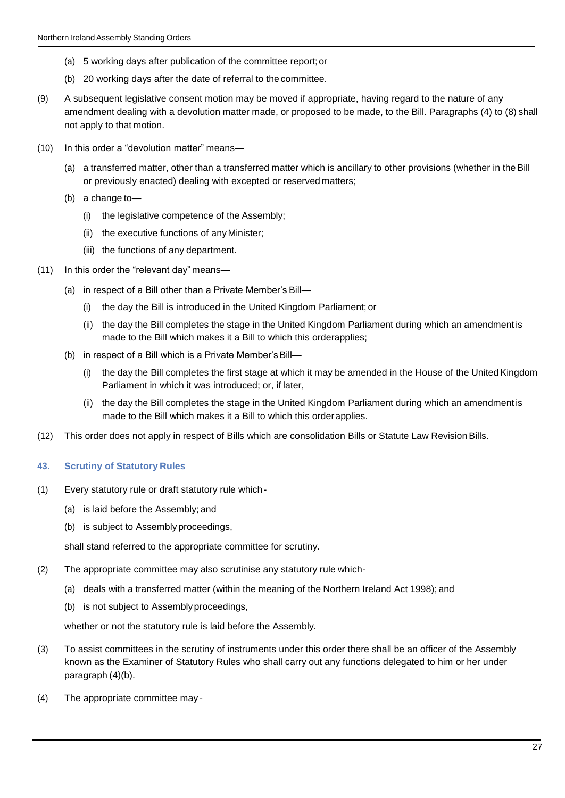- (a) 5 working days after publication of the committee report;or
- (b) 20 working days after the date of referral to the committee.
- (9) A subsequent legislative consent motion may be moved if appropriate, having regard to the nature of any amendment dealing with a devolution matter made, or proposed to be made, to the Bill. Paragraphs (4) to (8) shall not apply to that motion.
- (10) In this order a "devolution matter" means—
	- (a) a transferred matter, other than a transferred matter which is ancillary to other provisions (whether in theBill or previously enacted) dealing with excepted or reserved matters;
	- (b) a change to—
		- (i) the legislative competence of the Assembly;
		- (ii) the executive functions of anyMinister;
		- (iii) the functions of any department.
- (11) In this order the "relevant day" means—
	- (a) in respect of a Bill other than a Private Member's Bill—
		- (i) the day the Bill is introduced in the United Kingdom Parliament; or
		- (ii) the day the Bill completes the stage in the United Kingdom Parliament during which an amendment is made to the Bill which makes it a Bill to which this orderapplies;
	- (b) in respect of a Bill which is a Private Member's Bill-
		- (i) the day the Bill completes the first stage at which it may be amended in the House of the UnitedKingdom Parliament in which it was introduced; or, if later,
		- (ii) the day the Bill completes the stage in the United Kingdom Parliament during which an amendment is made to the Bill which makes it a Bill to which this orderapplies.
- (12) This order does not apply in respect of Bills which are consolidation Bills or Statute Law RevisionBills.

# **43. Scrutiny of Statutory Rules**

- (1) Every statutory rule or draft statutory rule which-
	- (a) is laid before the Assembly; and
	- (b) is subject to Assembly proceedings,

shall stand referred to the appropriate committee for scrutiny.

- (2) The appropriate committee may also scrutinise any statutory rule which-
	- (a) deals with a transferred matter (within the meaning of the Northern Ireland Act 1998); and
	- (b) is not subject to Assemblyproceedings,

whether or not the statutory rule is laid before the Assembly.

- (3) To assist committees in the scrutiny of instruments under this order there shall be an officer of the Assembly known as the Examiner of Statutory Rules who shall carry out any functions delegated to him or her under paragraph (4)(b).
- (4) The appropriate committee may -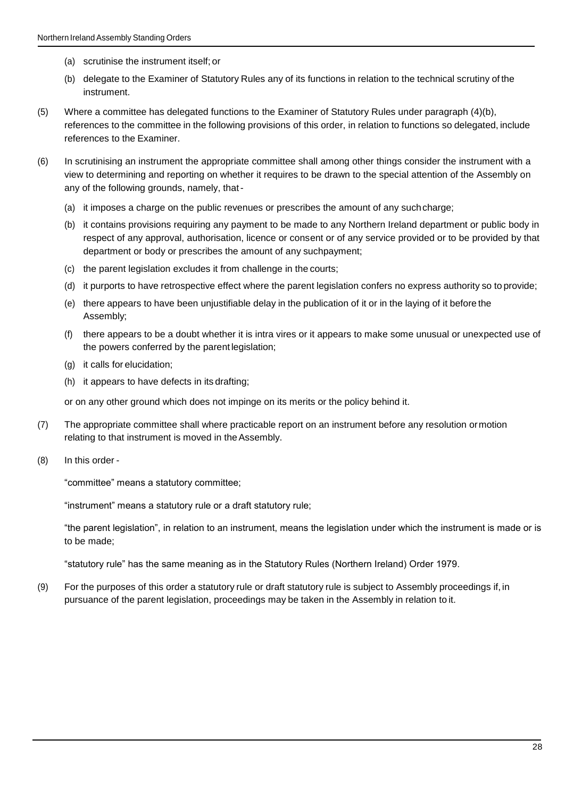- (a) scrutinise the instrument itself; or
- (b) delegate to the Examiner of Statutory Rules any of its functions in relation to the technical scrutiny of the instrument.
- (5) Where a committee has delegated functions to the Examiner of Statutory Rules under paragraph (4)(b), references to the committee in the following provisions of this order, in relation to functions so delegated, include references to the Examiner.
- (6) In scrutinising an instrument the appropriate committee shall among other things consider the instrument with a view to determining and reporting on whether it requires to be drawn to the special attention of the Assembly on any of the following grounds, namely, that-
	- (a) it imposes a charge on the public revenues or prescribes the amount of any suchcharge;
	- (b) it contains provisions requiring any payment to be made to any Northern Ireland department or public body in respect of any approval, authorisation, licence or consent or of any service provided or to be provided by that department or body or prescribes the amount of any suchpayment;
	- (c) the parent legislation excludes it from challenge in the courts;
	- (d) it purports to have retrospective effect where the parent legislation confers no express authority so to provide;
	- (e) there appears to have been unjustifiable delay in the publication of it or in the laying of it before the Assembly;
	- (f) there appears to be a doubt whether it is intra vires or it appears to make some unusual or unexpected use of the powers conferred by the parent legislation;
	- (g) it calls for elucidation;
	- (h) it appears to have defects in its drafting;

or on any other ground which does not impinge on its merits or the policy behind it.

- (7) The appropriate committee shall where practicable report on an instrument before any resolution ormotion relating to that instrument is moved in the Assembly.
- (8) In this order -

"committee" means a statutory committee;

"instrument" means a statutory rule or a draft statutory rule;

"the parent legislation", in relation to an instrument, means the legislation under which the instrument is made or is to be made;

"statutory rule" has the same meaning as in the Statutory Rules (Northern Ireland) Order 1979.

(9) For the purposes of this order a statutory rule or draft statutory rule is subject to Assembly proceedings if, in pursuance of the parent legislation, proceedings may be taken in the Assembly in relation to it.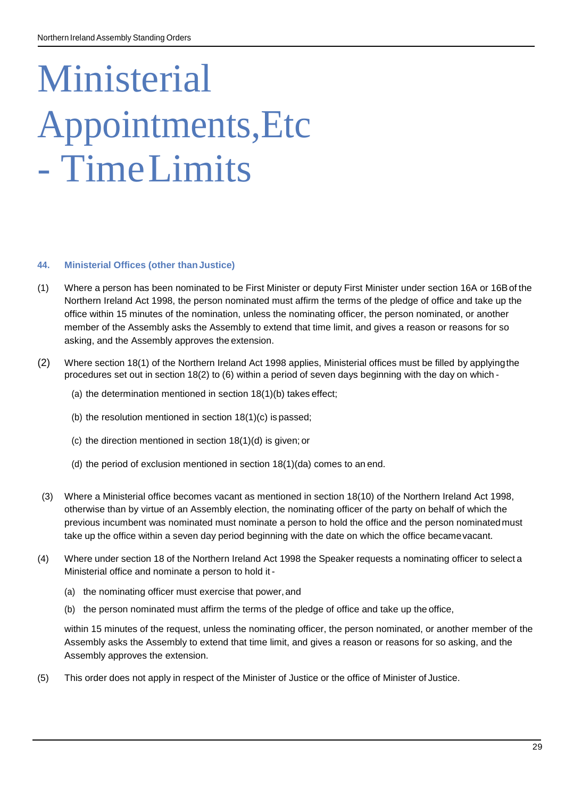# Ministerial Appointments,Etc - TimeLimits

#### **44. Ministerial Offices (other thanJustice)**

- (1) Where a person has been nominated to be First Minister or deputy First Minister under section 16A or 16Bof the Northern Ireland Act 1998, the person nominated must affirm the terms of the pledge of office and take up the office within 15 minutes of the nomination, unless the nominating officer, the person nominated, or another member of the Assembly asks the Assembly to extend that time limit, and gives a reason or reasons for so asking, and the Assembly approves the extension.
- (2) Where section 18(1) of the Northern Ireland Act 1998 applies, Ministerial offices must be filled by applyingthe procedures set out in section 18(2) to (6) within a period of seven days beginning with the day on which -
	- (a) the determination mentioned in section 18(1)(b) takes effect;
	- (b) the resolution mentioned in section 18(1)(c) is passed;
	- (c) the direction mentioned in section 18(1)(d) is given; or
	- (d) the period of exclusion mentioned in section 18(1)(da) comes to an end.
- (3) Where a Ministerial office becomes vacant as mentioned in section 18(10) of the Northern Ireland Act 1998, otherwise than by virtue of an Assembly election, the nominating officer of the party on behalf of which the previous incumbent was nominated must nominate a person to hold the office and the person nominatedmust take up the office within a seven day period beginning with the date on which the office becamevacant.
- (4) Where under section 18 of the Northern Ireland Act 1998 the Speaker requests a nominating officer to select a Ministerial office and nominate a person to hold it -
	- (a) the nominating officer must exercise that power,and
	- (b) the person nominated must affirm the terms of the pledge of office and take up the office,

within 15 minutes of the request, unless the nominating officer, the person nominated, or another member of the Assembly asks the Assembly to extend that time limit, and gives a reason or reasons for so asking, and the Assembly approves the extension.

(5) This order does not apply in respect of the Minister of Justice or the office of Minister of Justice.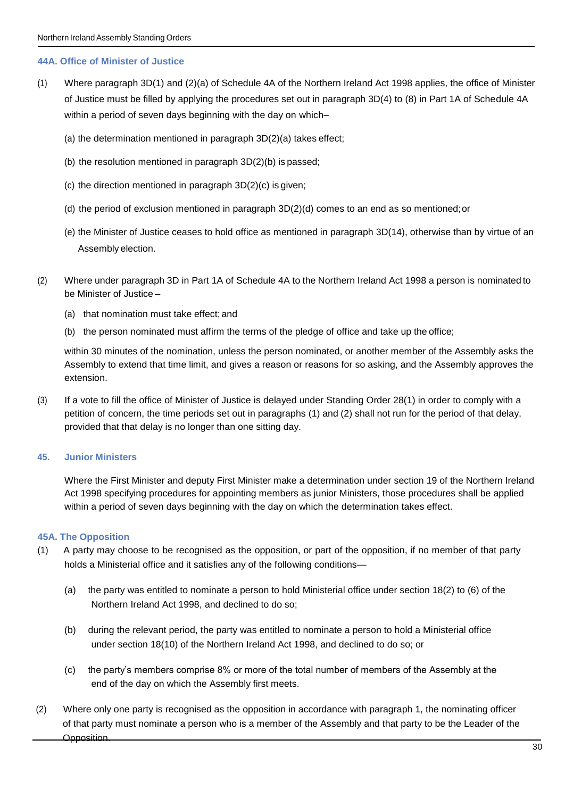## **44A. Office of Minister of Justice**

- (1) Where paragraph 3D(1) and (2)(a) of Schedule 4A of the Northern Ireland Act 1998 applies, the office of Minister of Justice must be filled by applying the procedures set out in paragraph 3D(4) to (8) in Part 1A of Schedule 4A within a period of seven days beginning with the day on which–
	- (a) the determination mentioned in paragraph 3D(2)(a) takes effect;
	- (b) the resolution mentioned in paragraph 3D(2)(b) is passed;
	- (c) the direction mentioned in paragraph 3D(2)(c) is given;
	- (d) the period of exclusion mentioned in paragraph 3D(2)(d) comes to an end as so mentioned;or
	- (e) the Minister of Justice ceases to hold office as mentioned in paragraph 3D(14), otherwise than by virtue of an Assembly election.
- (2) Where under paragraph 3D in Part 1A of Schedule 4A to the Northern Ireland Act 1998 a person is nominated to be Minister of Justice –
	- (a) that nomination must take effect; and
	- (b) the person nominated must affirm the terms of the pledge of office and take up the office;

within 30 minutes of the nomination, unless the person nominated, or another member of the Assembly asks the Assembly to extend that time limit, and gives a reason or reasons for so asking, and the Assembly approves the extension.

(3) If a vote to fill the office of Minister of Justice is delayed under Standing Order 28(1) in order to comply with a petition of concern, the time periods set out in paragraphs (1) and (2) shall not run for the period of that delay, provided that that delay is no longer than one sitting day.

## **45. Junior Ministers**

Where the First Minister and deputy First Minister make a determination under section 19 of the Northern Ireland Act 1998 specifying procedures for appointing members as junior Ministers, those procedures shall be applied within a period of seven days beginning with the day on which the determination takes effect.

## **45A. The Opposition**

- (1) A party may choose to be recognised as the opposition, or part of the opposition, if no member of that party holds a Ministerial office and it satisfies any of the following conditions—
	- (a) the party was entitled to nominate a person to hold Ministerial office under section 18(2) to (6) of the Northern Ireland Act 1998, and declined to do so;
	- (b) during the relevant period, the party was entitled to nominate a person to hold a Ministerial office under section 18(10) of the Northern Ireland Act 1998, and declined to do so; or
	- (c) the party's members comprise 8% or more of the total number of members of the Assembly at the end of the day on which the Assembly first meets.
- (2) Where only one party is recognised as the opposition in accordance with paragraph 1, the nominating officer of that party must nominate a person who is a member of the Assembly and that party to be the Leader of the Opposition.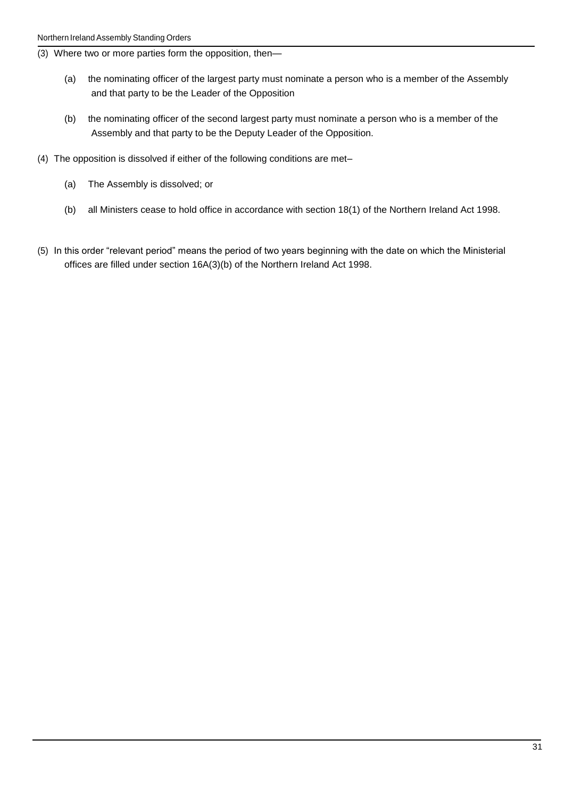(3) Where two or more parties form the opposition, then—

- (a) the nominating officer of the largest party must nominate a person who is a member of the Assembly and that party to be the Leader of the Opposition
- (b) the nominating officer of the second largest party must nominate a person who is a member of the Assembly and that party to be the Deputy Leader of the Opposition.
- (4) The opposition is dissolved if either of the following conditions are met–
	- (a) The Assembly is dissolved; or
	- (b) all Ministers cease to hold office in accordance with section 18(1) of the Northern Ireland Act 1998.
- (5) In this order "relevant period" means the period of two years beginning with the date on which the Ministerial offices are filled under section 16A(3)(b) of the Northern Ireland Act 1998.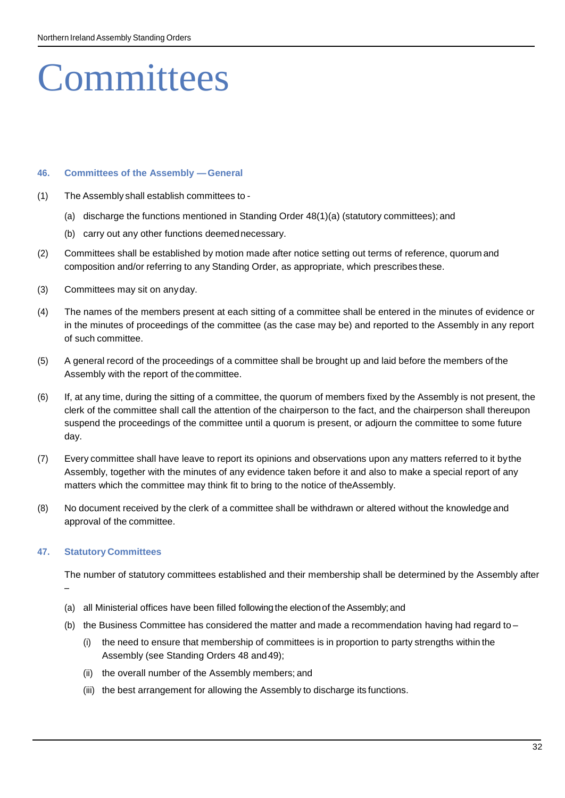# **Committees**

#### **46. Committees of the Assembly —General**

- (1) The Assembly shall establish committees to
	- (a) discharge the functions mentioned in Standing Order 48(1)(a) (statutory committees); and
	- (b) carry out any other functions deemednecessary.
- (2) Committees shall be established by motion made after notice setting out terms of reference, quorum and composition and/or referring to any Standing Order, as appropriate, which prescribes these.
- (3) Committees may sit on anyday.
- (4) The names of the members present at each sitting of a committee shall be entered in the minutes of evidence or in the minutes of proceedings of the committee (as the case may be) and reported to the Assembly in any report of such committee.
- (5) A general record of the proceedings of a committee shall be brought up and laid before the members of the Assembly with the report of thecommittee.
- (6) If, at any time, during the sitting of a committee, the quorum of members fixed by the Assembly is not present, the clerk of the committee shall call the attention of the chairperson to the fact, and the chairperson shall thereupon suspend the proceedings of the committee until a quorum is present, or adjourn the committee to some future day.
- (7) Every committee shall have leave to report its opinions and observations upon any matters referred to it bythe Assembly, together with the minutes of any evidence taken before it and also to make a special report of any matters which the committee may think fit to bring to the notice of theAssembly.
- (8) No document received by the clerk of a committee shall be withdrawn or altered without the knowledge and approval of the committee.

# **47. Statutory Committees**

The number of statutory committees established and their membership shall be determined by the Assembly after –

- (a) all Ministerial offices have been filled followingthe electionof theAssembly; and
- (b) the Business Committee has considered the matter and made a recommendation having had regard to
	- (i) the need to ensure that membership of committees is in proportion to party strengths within the Assembly (see Standing Orders 48 and49);
	- (ii) the overall number of the Assembly members; and
	- (iii) the best arrangement for allowing the Assembly to discharge its functions.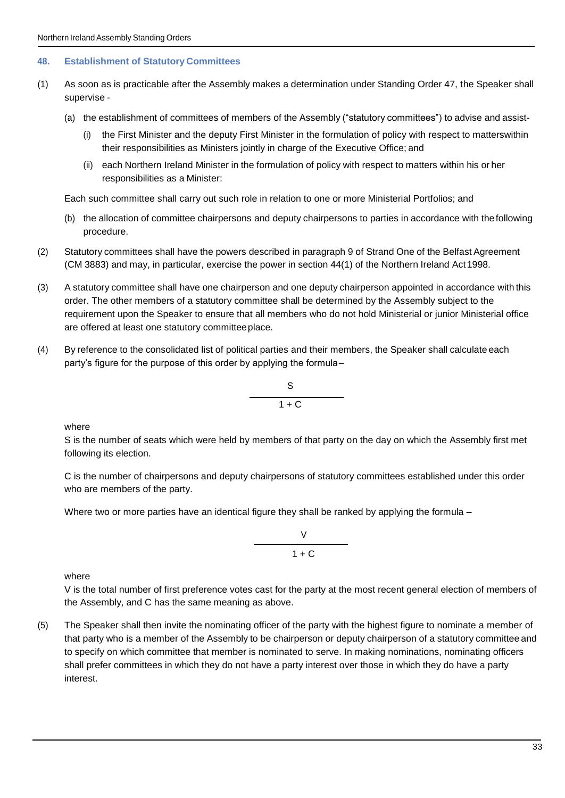# **48. Establishment of Statutory Committees**

- (1) As soon as is practicable after the Assembly makes a determination under Standing Order 47, the Speaker shall supervise -
	- (a) the establishment of committees of members of the Assembly ("statutory committees") to advise and assist-
		- (i) the First Minister and the deputy First Minister in the formulation of policy with respect to matterswithin their responsibilities as Ministers jointly in charge of the Executive Office; and
		- (ii) each Northern Ireland Minister in the formulation of policy with respect to matters within his or her responsibilities as a Minister:

Each such committee shall carry out such role in relation to one or more Ministerial Portfolios; and

- (b) the allocation of committee chairpersons and deputy chairpersons to parties in accordance with thefollowing procedure.
- (2) Statutory committees shall have the powers described in paragraph 9 of Strand One of the Belfast Agreement (CM 3883) and may, in particular, exercise the power in section 44(1) of the Northern Ireland Act1998.
- (3) A statutory committee shall have one chairperson and one deputy chairperson appointed in accordance with this order. The other members of a statutory committee shall be determined by the Assembly subject to the requirement upon the Speaker to ensure that all members who do not hold Ministerial or junior Ministerial office are offered at least one statutory committeeplace.
- (4) By reference to the consolidated list of political parties and their members, the Speaker shall calculate each party's figure for the purpose of this order by applying the formula–

$$
\begin{array}{c}\n S \\
 \hline\n 1 + C\n \end{array}
$$

where

S is the number of seats which were held by members of that party on the day on which the Assembly first met following its election.

C is the number of chairpersons and deputy chairpersons of statutory committees established under this order who are members of the party.

Where two or more parties have an identical figure they shall be ranked by applying the formula –

$$
\begin{array}{c}\nV \\
1 + C\n\end{array}
$$

where

V is the total number of first preference votes cast for the party at the most recent general election of members of the Assembly, and C has the same meaning as above.

(5) The Speaker shall then invite the nominating officer of the party with the highest figure to nominate a member of that party who is a member of the Assembly to be chairperson or deputy chairperson of a statutory committee and to specify on which committee that member is nominated to serve. In making nominations, nominating officers shall prefer committees in which they do not have a party interest over those in which they do have a party interest.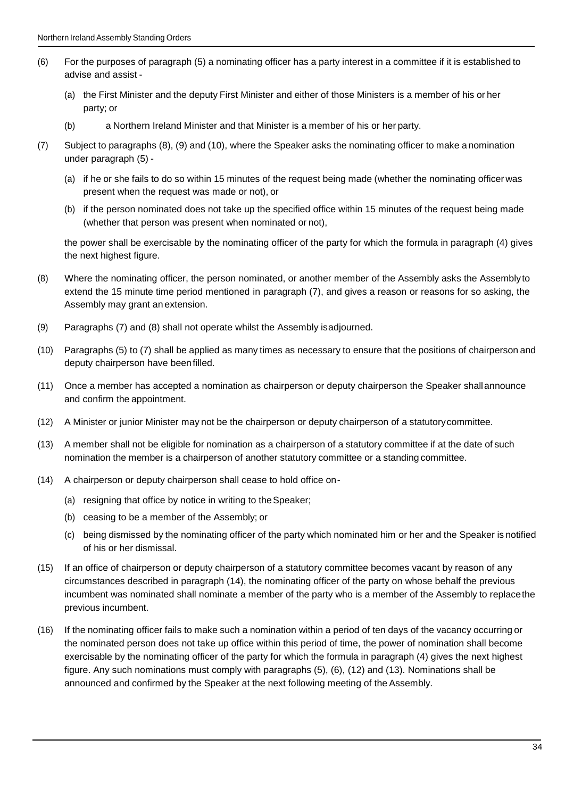- (6) For the purposes of paragraph (5) a nominating officer has a party interest in a committee if it is established to advise and assist -
	- (a) the First Minister and the deputy First Minister and either of those Ministers is a member of his or her party; or
	- (b) a Northern Ireland Minister and that Minister is a member of his or her party.
- (7) Subject to paragraphs (8), (9) and (10), where the Speaker asks the nominating officer to make a nomination under paragraph (5) -
	- (a) if he or she fails to do so within 15 minutes of the request being made (whether the nominating officer was present when the request was made or not), or
	- (b) if the person nominated does not take up the specified office within 15 minutes of the request being made (whether that person was present when nominated or not),

the power shall be exercisable by the nominating officer of the party for which the formula in paragraph (4) gives the next highest figure.

- (8) Where the nominating officer, the person nominated, or another member of the Assembly asks the Assembly to extend the 15 minute time period mentioned in paragraph (7), and gives a reason or reasons for so asking, the Assembly may grant an extension.
- (9) Paragraphs (7) and (8) shall not operate whilst the Assembly isadjourned.
- (10) Paragraphs (5) to (7) shall be applied as many times as necessary to ensure that the positions of chairperson and deputy chairperson have beenfilled.
- (11) Once a member has accepted a nomination as chairperson or deputy chairperson the Speaker shallannounce and confirm the appointment.
- (12) A Minister or junior Minister may not be the chairperson or deputy chairperson of a statutorycommittee.
- (13) A member shall not be eligible for nomination as a chairperson of a statutory committee if at the date of such nomination the member is a chairperson of another statutory committee or a standing committee.
- (14) A chairperson or deputy chairperson shall cease to hold office on-
	- (a) resigning that office by notice in writing to theSpeaker;
	- (b) ceasing to be a member of the Assembly; or
	- (c) being dismissed by the nominating officer of the party which nominated him or her and the Speaker is notified of his or her dismissal.
- (15) If an office of chairperson or deputy chairperson of a statutory committee becomes vacant by reason of any circumstances described in paragraph (14), the nominating officer of the party on whose behalf the previous incumbent was nominated shall nominate a member of the party who is a member of the Assembly to replacethe previous incumbent.
- (16) If the nominating officer fails to make such a nomination within a period of ten days of the vacancy occurring or the nominated person does not take up office within this period of time, the power of nomination shall become exercisable by the nominating officer of the party for which the formula in paragraph (4) gives the next highest figure. Any such nominations must comply with paragraphs (5), (6), (12) and (13). Nominations shall be announced and confirmed by the Speaker at the next following meeting of the Assembly.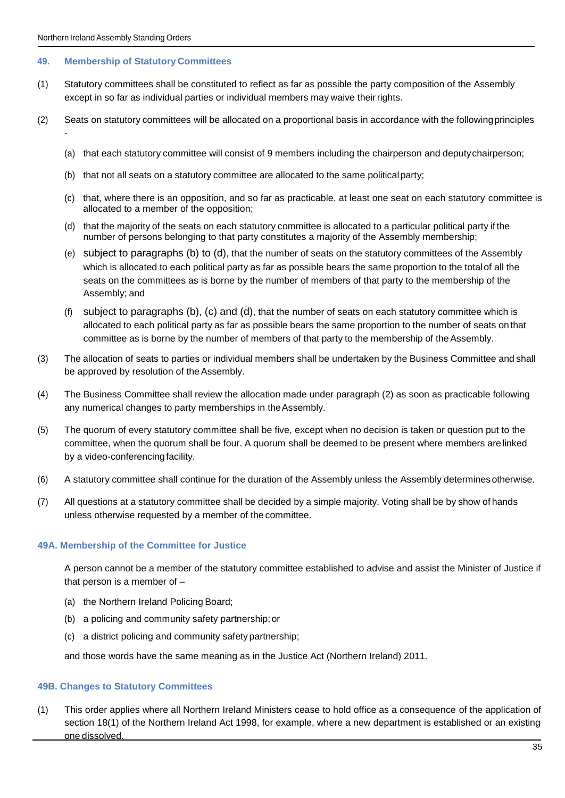-

#### **49. Membership of Statutory Committees**

- (1) Statutory committees shall be constituted to reflect as far as possible the party composition of the Assembly except in so far as individual parties or individual members may waive theirrights.
- (2) Seats on statutory committees will be allocated on a proportional basis in accordance with the followingprinciples
	- (a) that each statutory committee will consist of 9 members including the chairperson and deputychairperson;
	- (b) that not all seats on a statutory committee are allocated to the same politicalparty;
	- (c) that, where there is an opposition, and so far as practicable, at least one seat on each statutory committee is allocated to a member of the opposition;
	- (d) that the majority of the seats on each statutory committee is allocated to a particular political party if the number of persons belonging to that party constitutes a majority of the Assembly membership;
	- (e) subject to paragraphs (b) to (d), that the number of seats on the statutory committees of the Assembly which is allocated to each political party as far as possible bears the same proportion to the totalof all the seats on the committees as is borne by the number of members of that party to the membership of the Assembly; and
	- (f) subject to paragraphs (b), (c) and (d), that the number of seats on each statutory committee which is allocated to each political party as far as possible bears the same proportion to the number of seats onthat committee as is borne by the number of members of that party to the membership of the Assembly.
- (3) The allocation of seats to parties or individual members shall be undertaken by the Business Committee and shall be approved by resolution of the Assembly.
- (4) The Business Committee shall review the allocation made under paragraph (2) as soon as practicable following any numerical changes to party memberships in theAssembly.
- (5) The quorum of every statutory committee shall be five, except when no decision is taken or question put to the committee, when the quorum shall be four. A quorum shall be deemed to be present where members arelinked by a video-conferencing facility.
- (6) A statutory committee shall continue for the duration of the Assembly unless the Assembly determinesotherwise.
- (7) All questions at a statutory committee shall be decided by a simple majority. Voting shall be by show of hands unless otherwise requested by a member of the committee.

# **49A. Membership of the Committee for Justice**

A person cannot be a member of the statutory committee established to advise and assist the Minister of Justice if that person is a member of –

- (a) the Northern Ireland Policing Board;
- (b) a policing and community safety partnership; or
- (c) a district policing and community safety partnership;

and those words have the same meaning as in the Justice Act (Northern Ireland) 2011.

#### **49B. Changes to Statutory Committees**

(1) This order applies where all Northern Ireland Ministers cease to hold office as a consequence of the application of section 18(1) of the Northern Ireland Act 1998, for example, where a new department is established or an existing one dissolved.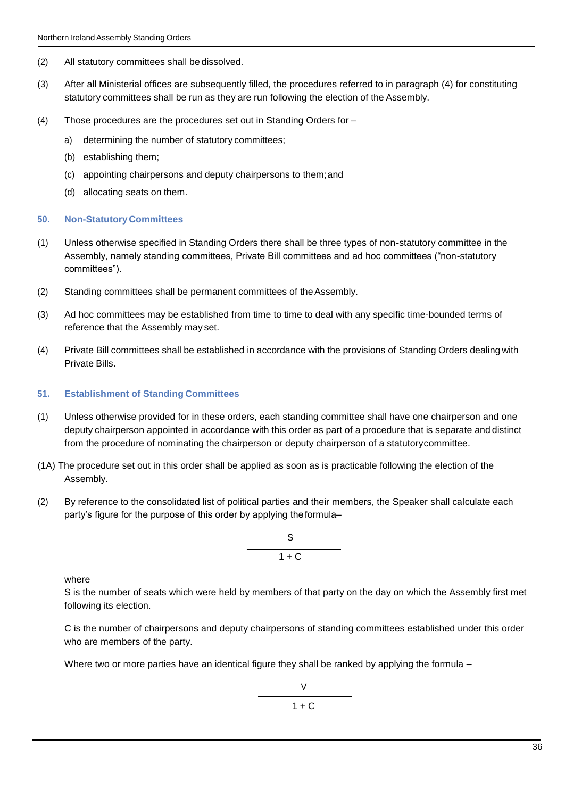- (2) All statutory committees shall be dissolved.
- (3) After all Ministerial offices are subsequently filled, the procedures referred to in paragraph (4) for constituting statutory committees shall be run as they are run following the election of the Assembly.
- (4) Those procedures are the procedures set out in Standing Orders for
	- a) determining the number of statutory committees;
	- (b) establishing them;
	- (c) appointing chairpersons and deputy chairpersons to them;and
	- (d) allocating seats on them.

# **50. Non-Statutory Committees**

- (1) Unless otherwise specified in Standing Orders there shall be three types of non-statutory committee in the Assembly, namely standing committees, Private Bill committees and ad hoc committees ("non-statutory committees").
- (2) Standing committees shall be permanent committees of theAssembly.
- (3) Ad hoc committees may be established from time to time to deal with any specific time-bounded terms of reference that the Assembly may set.
- (4) Private Bill committees shall be established in accordance with the provisions of Standing Orders dealing with Private Bills.

# **51. Establishment of Standing Committees**

- (1) Unless otherwise provided for in these orders, each standing committee shall have one chairperson and one deputy chairperson appointed in accordance with this order as part of a procedure that is separate and distinct from the procedure of nominating the chairperson or deputy chairperson of a statutorycommittee.
- (1A) The procedure set out in this order shall be applied as soon as is practicable following the election of the Assembly.
- (2) By reference to the consolidated list of political parties and their members, the Speaker shall calculate each party's figure for the purpose of this order by applying theformula–

$$
\begin{array}{c}\nS \\
\hline\n1+C\n\end{array}
$$

where

S is the number of seats which were held by members of that party on the day on which the Assembly first met following its election.

C is the number of chairpersons and deputy chairpersons of standing committees established under this order who are members of the party.

Where two or more parties have an identical figure they shall be ranked by applying the formula –

$$
\frac{V}{1+C}
$$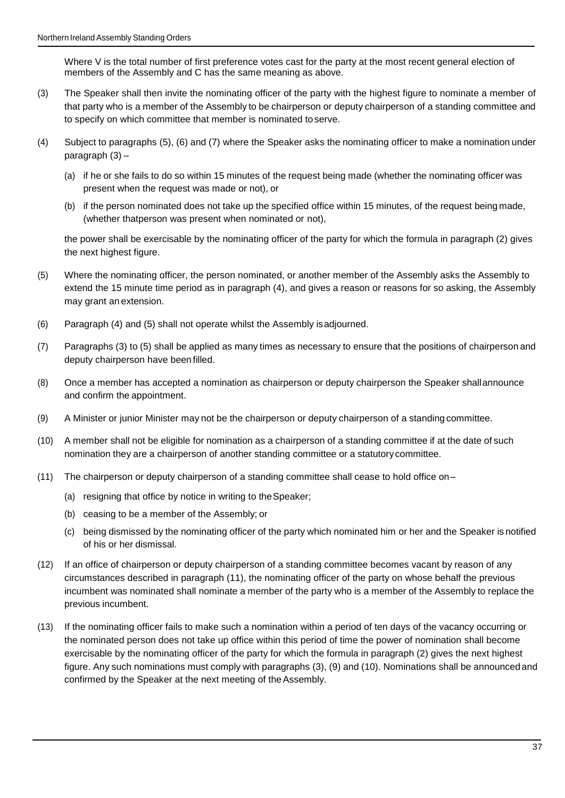Where V is the total number of first preference votes cast for the party at the most recent general election of members of the Assembly and C has the same meaning as above.

- (3) The Speaker shall then invite the nominating officer of the party with the highest figure to nominate a member of that party who is a member of the Assembly to be chairperson or deputy chairperson of a standing committee and to specify on which committee that member is nominated to serve.
- (4) Subject to paragraphs (5), (6) and (7) where the Speaker asks the nominating officer to make a nomination under paragraph (3) –
	- (a) if he or she fails to do so within 15 minutes of the request being made (whether the nominating officer was present when the request was made or not), or
	- (b) if the person nominated does not take up the specified office within 15 minutes, of the request being made, (whether thatperson was present when nominated or not),

the power shall be exercisable by the nominating officer of the party for which the formula in paragraph (2) gives the next highest figure.

- (5) Where the nominating officer, the person nominated, or another member of the Assembly asks the Assembly to extend the 15 minute time period as in paragraph (4), and gives a reason or reasons for so asking, the Assembly may grant an extension.
- (6) Paragraph (4) and (5) shall not operate whilst the Assembly isadjourned.
- (7) Paragraphs (3) to (5) shall be applied as many times as necessary to ensure that the positions of chairperson and deputy chairperson have been filled.
- (8) Once a member has accepted a nomination as chairperson or deputy chairperson the Speaker shallannounce and confirm the appointment.
- (9) A Minister or junior Minister may not be the chairperson or deputy chairperson of a standing committee.
- (10) A member shall not be eligible for nomination as a chairperson of a standing committee if at the date of such nomination they are a chairperson of another standing committee or a statutory committee.
- (11) The chairperson or deputy chairperson of a standing committee shall cease to hold office on–
	- (a) resigning that office by notice in writing to theSpeaker;
	- (b) ceasing to be a member of the Assembly; or
	- (c) being dismissed by the nominating officer of the party which nominated him or her and the Speaker is notified of his or her dismissal.
- (12) If an office of chairperson or deputy chairperson of a standing committee becomes vacant by reason of any circumstances described in paragraph (11), the nominating officer of the party on whose behalf the previous incumbent was nominated shall nominate a member of the party who is a member of the Assembly to replace the previous incumbent.
- (13) If the nominating officer fails to make such a nomination within a period of ten days of the vacancy occurring or the nominated person does not take up office within this period of time the power of nomination shall become exercisable by the nominating officer of the party for which the formula in paragraph (2) gives the next highest figure. Any such nominations must comply with paragraphs (3), (9) and (10). Nominations shall be announcedand confirmed by the Speaker at the next meeting of theAssembly.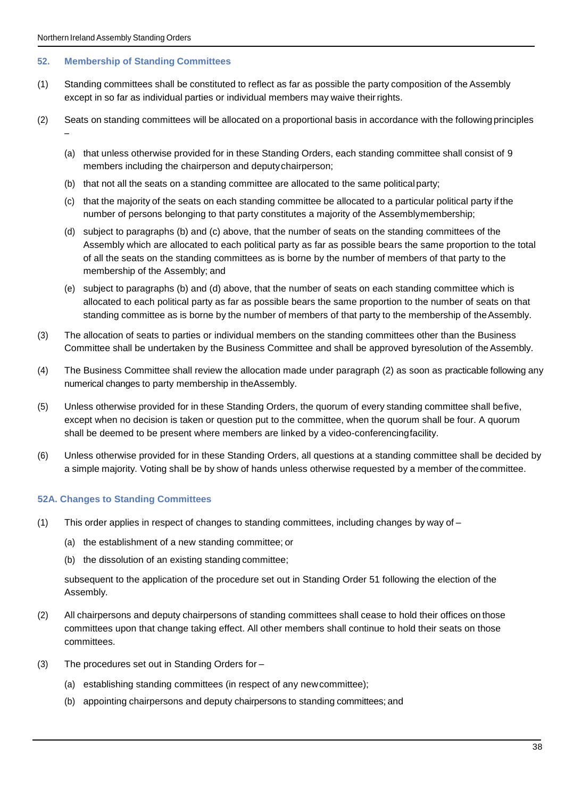# **52. Membership of Standing Committees**

- (1) Standing committees shall be constituted to reflect as far as possible the party composition of the Assembly except in so far as individual parties or individual members may waive theirrights.
- (2) Seats on standing committees will be allocated on a proportional basis in accordance with the followingprinciples –
	- (a) that unless otherwise provided for in these Standing Orders, each standing committee shall consist of 9 members including the chairperson and deputychairperson;
	- (b) that not all the seats on a standing committee are allocated to the same politicalparty;
	- (c) that the majority of the seats on each standing committee be allocated to a particular political party if the number of persons belonging to that party constitutes a majority of the Assemblymembership;
	- (d) subject to paragraphs (b) and (c) above, that the number of seats on the standing committees of the Assembly which are allocated to each political party as far as possible bears the same proportion to the total of all the seats on the standing committees as is borne by the number of members of that party to the membership of the Assembly; and
	- (e) subject to paragraphs (b) and (d) above, that the number of seats on each standing committee which is allocated to each political party as far as possible bears the same proportion to the number of seats on that standing committee as is borne by the number of members of that party to the membership of theAssembly.
- (3) The allocation of seats to parties or individual members on the standing committees other than the Business Committee shall be undertaken by the Business Committee and shall be approved byresolution of theAssembly.
- (4) The Business Committee shall review the allocation made under paragraph (2) as soon as practicable following any numerical changes to party membership in theAssembly.
- (5) Unless otherwise provided for in these Standing Orders, the quorum of every standing committee shall befive, except when no decision is taken or question put to the committee, when the quorum shall be four. A quorum shall be deemed to be present where members are linked by a video-conferencingfacility.
- (6) Unless otherwise provided for in these Standing Orders, all questions at a standing committee shall be decided by a simple majority. Voting shall be by show of hands unless otherwise requested by a member of thecommittee.

# **52A. Changes to Standing Committees**

- (1) This order applies in respect of changes to standing committees, including changes by way of
	- (a) the establishment of a new standing committee; or
	- (b) the dissolution of an existing standing committee;

subsequent to the application of the procedure set out in Standing Order 51 following the election of the Assembly.

- (2) All chairpersons and deputy chairpersons of standing committees shall cease to hold their offices on those committees upon that change taking effect. All other members shall continue to hold their seats on those committees.
- (3) The procedures set out in Standing Orders for
	- (a) establishing standing committees (in respect of any newcommittee);
	- (b) appointing chairpersons and deputy chairpersons to standing committees; and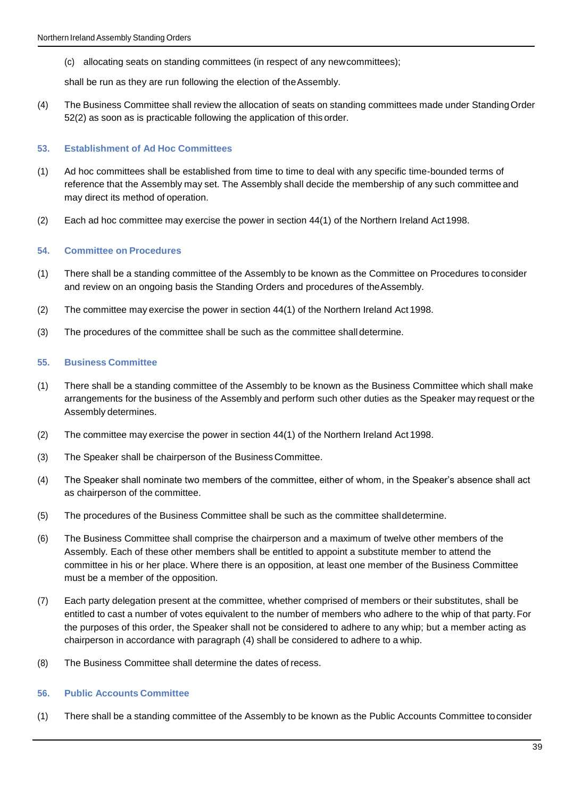(c) allocating seats on standing committees (in respect of any newcommittees);

shall be run as they are run following the election of theAssembly.

(4) The Business Committee shall review the allocation of seats on standing committees made under StandingOrder 52(2) as soon as is practicable following the application of this order.

#### **53. Establishment of Ad Hoc Committees**

- (1) Ad hoc committees shall be established from time to time to deal with any specific time-bounded terms of reference that the Assembly may set. The Assembly shall decide the membership of any such committee and may direct its method of operation.
- (2) Each ad hoc committee may exercise the power in section 44(1) of the Northern Ireland Act 1998.

#### **54. Committee on Procedures**

- (1) There shall be a standing committee of the Assembly to be known as the Committee on Procedures toconsider and review on an ongoing basis the Standing Orders and procedures of theAssembly.
- (2) The committee may exercise the power in section 44(1) of the Northern Ireland Act 1998.
- (3) The procedures of the committee shall be such as the committee shall determine.

#### **55. Business Committee**

- (1) There shall be a standing committee of the Assembly to be known as the Business Committee which shall make arrangements for the business of the Assembly and perform such other duties as the Speaker may request or the Assembly determines.
- (2) The committee may exercise the power in section 44(1) of the Northern Ireland Act 1998.
- (3) The Speaker shall be chairperson of the Business Committee.
- (4) The Speaker shall nominate two members of the committee, either of whom, in the Speaker's absence shall act as chairperson of the committee.
- (5) The procedures of the Business Committee shall be such as the committee shalldetermine.
- (6) The Business Committee shall comprise the chairperson and a maximum of twelve other members of the Assembly. Each of these other members shall be entitled to appoint a substitute member to attend the committee in his or her place. Where there is an opposition, at least one member of the Business Committee must be a member of the opposition.
- (7) Each party delegation present at the committee, whether comprised of members or their substitutes, shall be entitled to cast a number of votes equivalent to the number of members who adhere to the whip of that party.For the purposes of this order, the Speaker shall not be considered to adhere to any whip; but a member acting as chairperson in accordance with paragraph (4) shall be considered to adhere to a whip.
- (8) The Business Committee shall determine the dates of recess.

# **56. Public Accounts Committee**

(1) There shall be a standing committee of the Assembly to be known as the Public Accounts Committee toconsider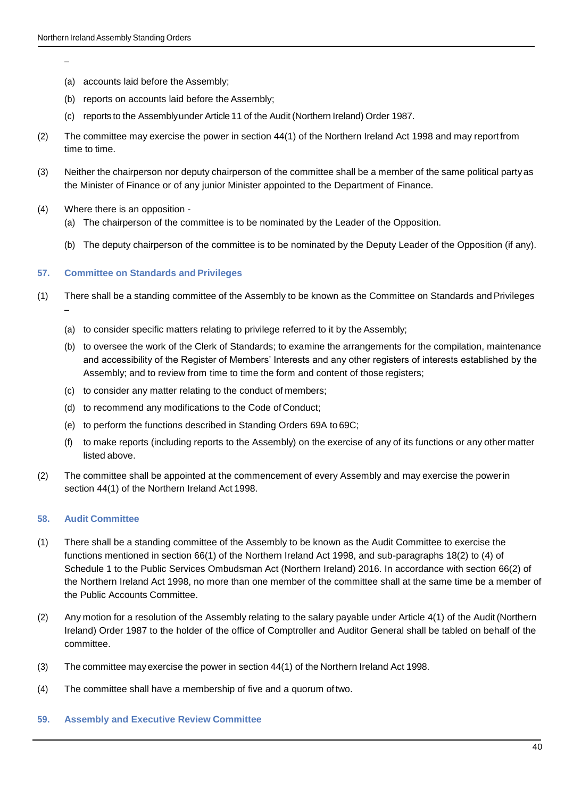- –
- (a) accounts laid before the Assembly;
- (b) reports on accounts laid before the Assembly;
- (c) reports to the Assemblyunder Article 11 of the Audit (Northern Ireland) Order 1987.
- (2) The committee may exercise the power in section 44(1) of the Northern Ireland Act 1998 and may reportfrom time to time.
- (3) Neither the chairperson nor deputy chairperson of the committee shall be a member of the same political partyas the Minister of Finance or of any junior Minister appointed to the Department of Finance.
- (4) Where there is an opposition
	- (a) The chairperson of the committee is to be nominated by the Leader of the Opposition.
	- (b) The deputy chairperson of the committee is to be nominated by the Deputy Leader of the Opposition (if any).

#### **57. Committee on Standards and Privileges**

- (1) There shall be a standing committee of the Assembly to be known as the Committee on Standards andPrivileges –
	- (a) to consider specific matters relating to privilege referred to it by the Assembly;
	- (b) to oversee the work of the Clerk of Standards; to examine the arrangements for the compilation, maintenance and accessibility of the Register of Members' Interests and any other registers of interests established by the Assembly; and to review from time to time the form and content of those registers;
	- (c) to consider any matter relating to the conduct of members;
	- (d) to recommend any modifications to the Code of Conduct;
	- (e) to perform the functions described in Standing Orders 69A to 69C;
	- (f) to make reports (including reports to the Assembly) on the exercise of any of its functions or any other matter listed above.
- (2) The committee shall be appointed at the commencement of every Assembly and may exercise the powerin section 44(1) of the Northern Ireland Act 1998.

# **58. Audit Committee**

- (1) There shall be a standing committee of the Assembly to be known as the Audit Committee to exercise the functions mentioned in section 66(1) of the Northern Ireland Act 1998, and sub-paragraphs 18(2) to (4) of Schedule 1 to the Public Services Ombudsman Act (Northern Ireland) 2016. In accordance with section 66(2) of the Northern Ireland Act 1998, no more than one member of the committee shall at the same time be a member of the Public Accounts Committee.
- (2) Any motion for a resolution of the Assembly relating to the salary payable under Article 4(1) of the Audit (Northern Ireland) Order 1987 to the holder of the office of Comptroller and Auditor General shall be tabled on behalf of the committee.
- (3) The committee may exercise the power in section 44(1) of the Northern Ireland Act 1998.
- (4) The committee shall have a membership of five and a quorum oftwo.

#### **59. Assembly and Executive Review Committee**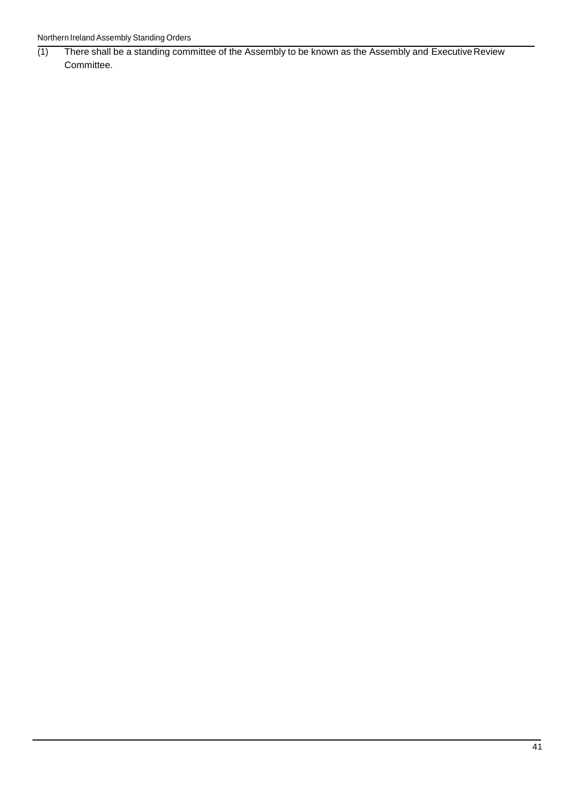$(1)$  There shall be a standing committee of the Assembly to be known as the Assembly and Executive Review Committee.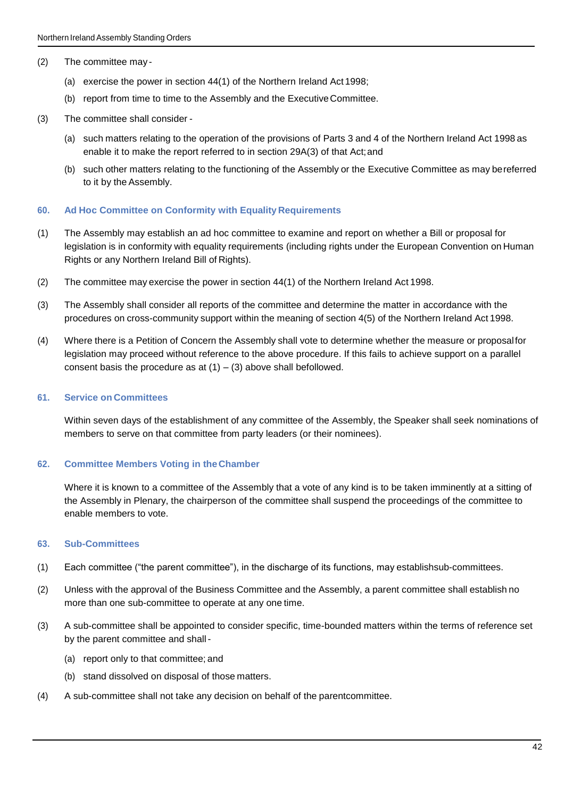#### (2) The committee may -

- (a) exercise the power in section 44(1) of the Northern Ireland Act 1998;
- (b) report from time to time to the Assembly and the ExecutiveCommittee.
- (3) The committee shall consider
	- (a) such matters relating to the operation of the provisions of Parts 3 and 4 of the Northern Ireland Act 1998 as enable it to make the report referred to in section 29A(3) of that Act;and
	- (b) such other matters relating to the functioning of the Assembly or the Executive Committee as may bereferred to it by the Assembly.

# **60. Ad Hoc Committee on Conformity with Equality Requirements**

- (1) The Assembly may establish an ad hoc committee to examine and report on whether a Bill or proposal for legislation is in conformity with equality requirements (including rights under the European Convention on Human Rights or any Northern Ireland Bill of Rights).
- (2) The committee may exercise the power in section 44(1) of the Northern Ireland Act 1998.
- (3) The Assembly shall consider all reports of the committee and determine the matter in accordance with the procedures on cross-community support within the meaning of section 4(5) of the Northern Ireland Act 1998.
- (4) Where there is a Petition of Concern the Assembly shall vote to determine whether the measure or proposalfor legislation may proceed without reference to the above procedure. If this fails to achieve support on a parallel consent basis the procedure as at  $(1) - (3)$  above shall befollowed.

# **61. Service on Committees**

Within seven days of the establishment of any committee of the Assembly, the Speaker shall seek nominations of members to serve on that committee from party leaders (or their nominees).

# **62. Committee Members Voting in theChamber**

Where it is known to a committee of the Assembly that a vote of any kind is to be taken imminently at a sitting of the Assembly in Plenary, the chairperson of the committee shall suspend the proceedings of the committee to enable members to vote.

# **63. Sub-Committees**

- (1) Each committee ("the parent committee"), in the discharge of its functions, may establishsub-committees.
- (2) Unless with the approval of the Business Committee and the Assembly, a parent committee shall establish no more than one sub-committee to operate at any one time.
- (3) A sub-committee shall be appointed to consider specific, time-bounded matters within the terms of reference set by the parent committee and shall-
	- (a) report only to that committee; and
	- (b) stand dissolved on disposal of those matters.
- (4) A sub-committee shall not take any decision on behalf of the parentcommittee.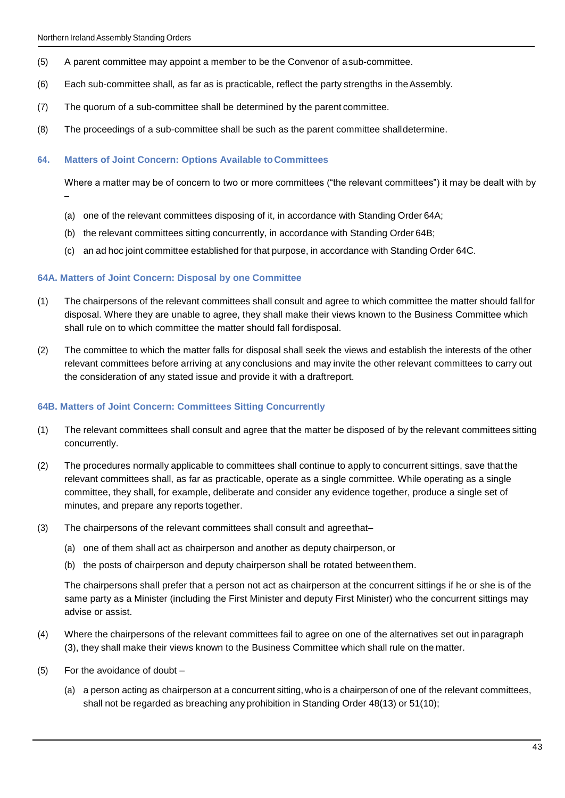- (5) A parent committee may appoint a member to be the Convenor of asub-committee.
- (6) Each sub-committee shall, as far as is practicable, reflect the party strengths in theAssembly.
- (7) The quorum of a sub-committee shall be determined by the parent committee.
- (8) The proceedings of a sub-committee shall be such as the parent committee shalldetermine.

#### **64. Matters of Joint Concern: Options Available toCommittees**

Where a matter may be of concern to two or more committees ("the relevant committees") it may be dealt with by

–

- (a) one of the relevant committees disposing of it, in accordance with Standing Order 64A;
- (b) the relevant committees sitting concurrently, in accordance with Standing Order 64B;
- (c) an ad hoc joint committee established for that purpose, in accordance with Standing Order 64C.

#### **64A. Matters of Joint Concern: Disposal by one Committee**

- (1) The chairpersons of the relevant committees shall consult and agree to which committee the matter should fall for disposal. Where they are unable to agree, they shall make their views known to the Business Committee which shall rule on to which committee the matter should fall fordisposal.
- (2) The committee to which the matter falls for disposal shall seek the views and establish the interests of the other relevant committees before arriving at any conclusions and may invite the other relevant committees to carry out the consideration of any stated issue and provide it with a draftreport.

# **64B. Matters of Joint Concern: Committees Sitting Concurrently**

- (1) The relevant committees shall consult and agree that the matter be disposed of by the relevant committees sitting concurrently.
- (2) The procedures normally applicable to committees shall continue to apply to concurrent sittings, save that the relevant committees shall, as far as practicable, operate as a single committee. While operating as a single committee, they shall, for example, deliberate and consider any evidence together, produce a single set of minutes, and prepare any reports together.
- (3) The chairpersons of the relevant committees shall consult and agreethat–
	- (a) one of them shall act as chairperson and another as deputy chairperson, or
	- (b) the posts of chairperson and deputy chairperson shall be rotated betweenthem.

The chairpersons shall prefer that a person not act as chairperson at the concurrent sittings if he or she is of the same party as a Minister (including the First Minister and deputy First Minister) who the concurrent sittings may advise or assist.

- (4) Where the chairpersons of the relevant committees fail to agree on one of the alternatives set out inparagraph (3), they shall make their views known to the Business Committee which shall rule on the matter.
- (5) For the avoidance of doubt
	- (a) a person acting as chairperson at a concurrent sitting, who is a chairperson of one of the relevant committees, shall not be regarded as breaching any prohibition in Standing Order 48(13) or 51(10);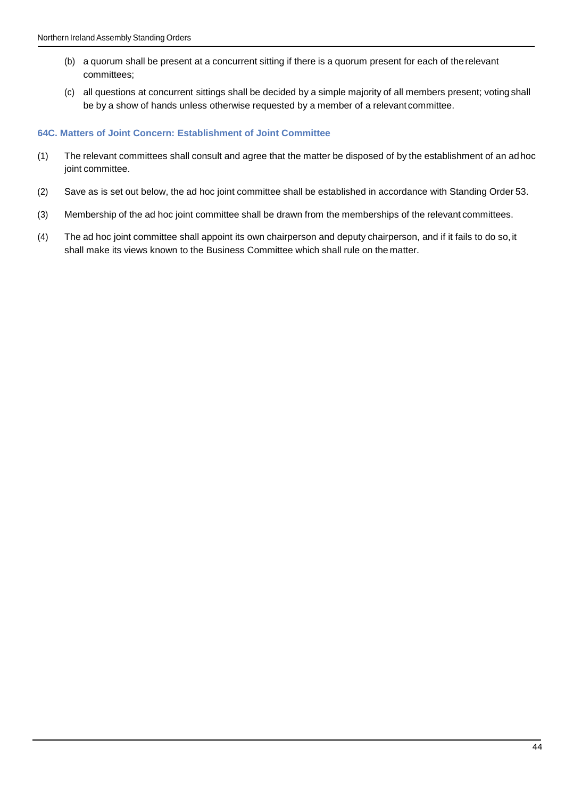- (b) a quorum shall be present at a concurrent sitting if there is a quorum present for each of therelevant committees;
- (c) all questions at concurrent sittings shall be decided by a simple majority of all members present; voting shall be by a show of hands unless otherwise requested by a member of a relevant committee.

#### **64C. Matters of Joint Concern: Establishment of Joint Committee**

- (1) The relevant committees shall consult and agree that the matter be disposed of by the establishment of an adhoc joint committee.
- (2) Save as is set out below, the ad hoc joint committee shall be established in accordance with Standing Order 53.
- (3) Membership of the ad hoc joint committee shall be drawn from the memberships of the relevant committees.
- (4) The ad hoc joint committee shall appoint its own chairperson and deputy chairperson, and if it fails to do so, it shall make its views known to the Business Committee which shall rule on the matter.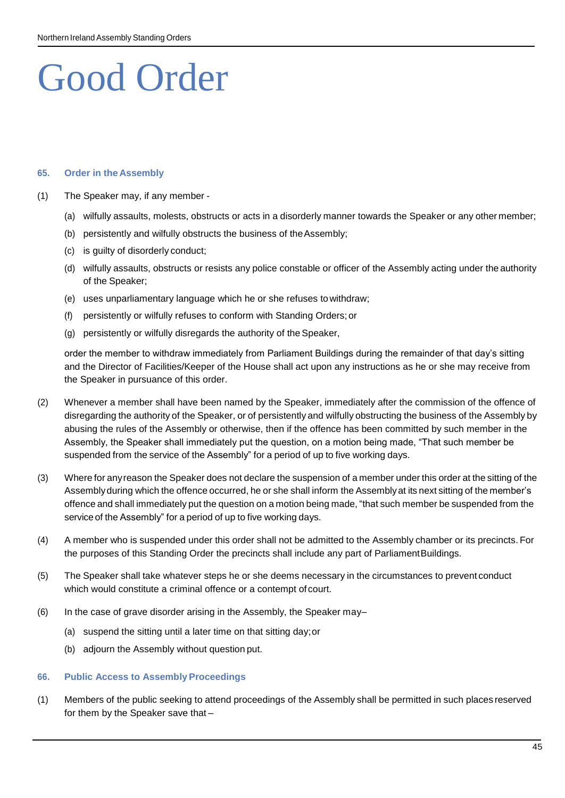# Good Order

#### **65. Order in the Assembly**

- (1) The Speaker may, if any member
	- (a) wilfully assaults, molests, obstructs or acts in a disorderly manner towards the Speaker or any other member;
	- (b) persistently and wilfully obstructs the business of theAssembly;
	- (c) is guilty of disorderly conduct;
	- (d) wilfully assaults, obstructs or resists any police constable or officer of the Assembly acting under the authority of the Speaker;
	- (e) uses unparliamentary language which he or she refuses towithdraw;
	- (f) persistently or wilfully refuses to conform with Standing Orders;or
	- (g) persistently or wilfully disregards the authority of the Speaker,

order the member to withdraw immediately from Parliament Buildings during the remainder of that day's sitting and the Director of Facilities/Keeper of the House shall act upon any instructions as he or she may receive from the Speaker in pursuance of this order.

- (2) Whenever a member shall have been named by the Speaker, immediately after the commission of the offence of disregarding the authority of the Speaker, or of persistently and wilfully obstructing the business of the Assembly by abusing the rules of the Assembly or otherwise, then if the offence has been committed by such member in the Assembly, the Speaker shall immediately put the question, on a motion being made, "That such member be suspended from the service of the Assembly" for a period of up to five working days.
- (3) Where for anyreason the Speaker does not declare the suspension of a member under this order at the sitting of the Assemblyduring which the offence occurred, he or she shall inform the Assemblyat its next sitting of the member's offence and shall immediately put the question on a motion being made, "that such member be suspended from the service of the Assembly" for a period of up to five working days.
- (4) A member who is suspended under this order shall not be admitted to the Assembly chamber or its precincts. For the purposes of this Standing Order the precincts shall include any part of ParliamentBuildings.
- (5) The Speaker shall take whatever steps he or she deems necessary in the circumstances to prevent conduct which would constitute a criminal offence or a contempt of court.
- (6) In the case of grave disorder arising in the Assembly, the Speaker may–
	- (a) suspend the sitting until a later time on that sitting day;or
	- (b) adjourn the Assembly without question put.

#### **66.** Public Access to Assembly Proceedings

(1) Members of the public seeking to attend proceedings of the Assembly shall be permitted in such places reserved for them by the Speaker save that –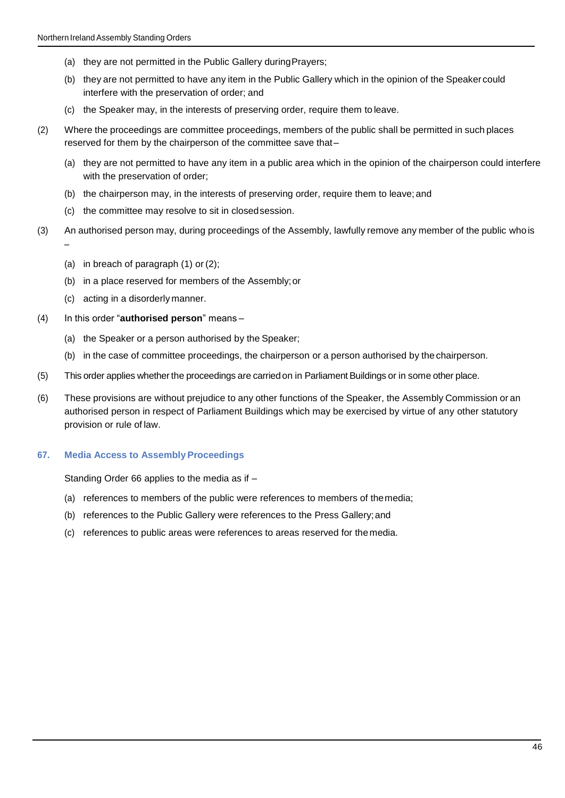- (a) they are not permitted in the Public Gallery duringPrayers;
- (b) they are not permitted to have any item in the Public Gallery which in the opinion of the Speaker could interfere with the preservation of order; and
- (c) the Speaker may, in the interests of preserving order, require them to leave.
- (2) Where the proceedings are committee proceedings, members of the public shall be permitted in such places reserved for them by the chairperson of the committee save that–
	- (a) they are not permitted to have any item in a public area which in the opinion of the chairperson could interfere with the preservation of order;
	- (b) the chairperson may, in the interests of preserving order, require them to leave; and
	- (c) the committee may resolve to sit in closedsession.
- (3) An authorised person may, during proceedings of the Assembly, lawfully remove any member of the public whois –
	- (a) in breach of paragraph (1) or (2);
	- (b) in a place reserved for members of the Assembly;or
	- (c) acting in a disorderly manner.
- (4) In this order "**authorised person**" means
	- (a) the Speaker or a person authorised by the Speaker;
	- (b) in the case of committee proceedings, the chairperson or a person authorised by the chairperson.
- (5) This order applies whetherthe proceedings are carriedon in Parliament Buildings or in some other place.
- (6) These provisions are without prejudice to any other functions of the Speaker, the Assembly Commission or an authorised person in respect of Parliament Buildings which may be exercised by virtue of any other statutory provision or rule of law.

#### **67. Media Access to Assembly Proceedings**

Standing Order 66 applies to the media as if –

- (a) references to members of the public were references to members of themedia;
- (b) references to the Public Gallery were references to the Press Gallery;and
- (c) references to public areas were references to areas reserved for the media.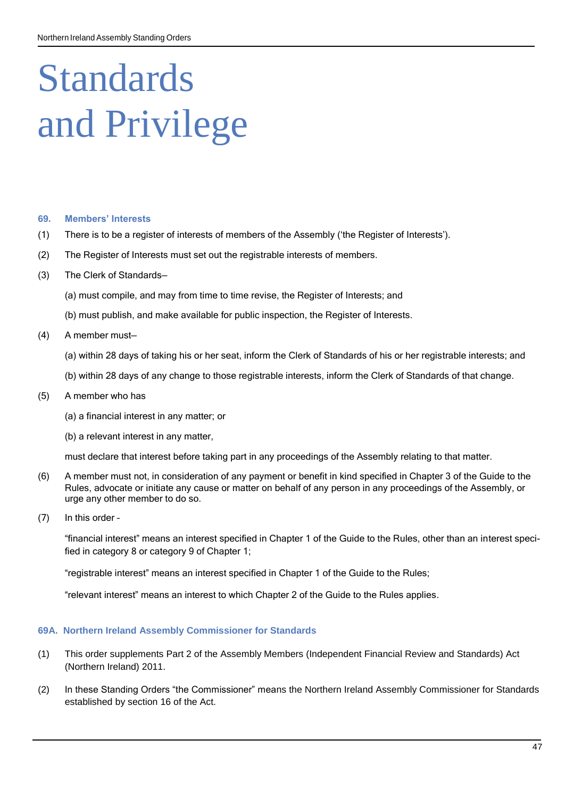# Standards and Privilege

#### **69. Members' Interests**

- (1) There is to be a register of interests of members of the Assembly ('the Register of Interests').
- (2) The Register of Interests must set out the registrable interests of members.
- (3) The Clerk of Standards—
	- (a) must compile, and may from time to time revise, the Register of Interests; and
	- (b) must publish, and make available for public inspection, the Register of Interests.
- (4) A member must—
	- (a) within 28 days of taking his or her seat, inform the Clerk of Standards of his or her registrable interests; and
	- (b) within 28 days of any change to those registrable interests, inform the Clerk of Standards of that change.
- (5) A member who has
	- (a) a financial interest in any matter; or
	- (b) a relevant interest in any matter,

must declare that interest before taking part in any proceedings of the Assembly relating to that matter.

- (6) A member must not, in consideration of any payment or benefit in kind specified in Chapter 3 of the Guide to the Rules, advocate or initiate any cause or matter on behalf of any person in any proceedings of the Assembly, or urge any other member to do so.
- (7) In this order –

"financial interest" means an interest specified in Chapter 1 of the Guide to the Rules, other than an interest specified in category 8 or category 9 of Chapter 1;

"registrable interest" means an interest specified in Chapter 1 of the Guide to the Rules;

"relevant interest" means an interest to which Chapter 2 of the Guide to the Rules applies.

#### **69A. Northern Ireland Assembly Commissioner for Standards**

- (1) This order supplements Part 2 of the Assembly Members (Independent Financial Review and Standards) Act (Northern Ireland) 2011.
- (2) In these Standing Orders "the Commissioner" means the Northern Ireland Assembly Commissioner for Standards established by section 16 of the Act.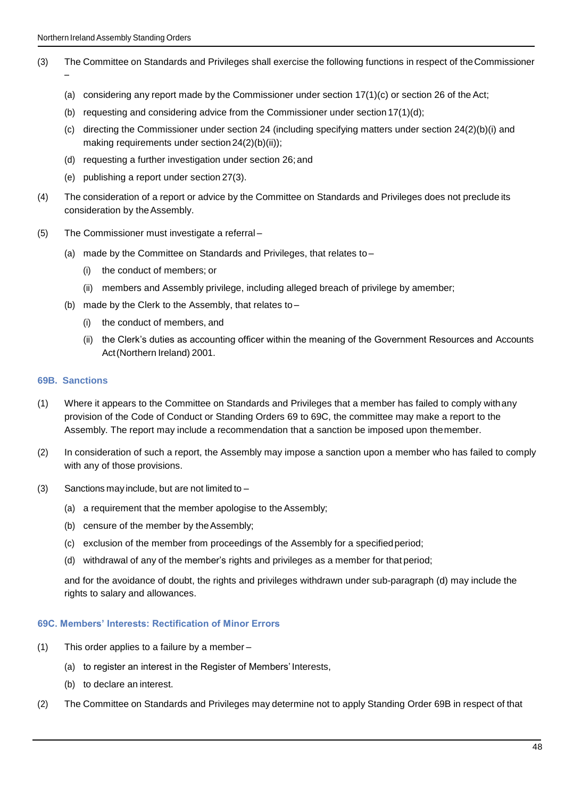–

- (3) The Committee on Standards and Privileges shall exercise the following functions in respect of theCommissioner
	- (a) considering any report made by the Commissioner under section 17(1)(c) or section 26 of the Act;
	- (b) requesting and considering advice from the Commissioner under section  $17(1)(d)$ ;
	- (c) directing the Commissioner under section 24 (including specifying matters under section 24(2)(b)(i) and making requirements under section 24(2)(b)(ii));
	- (d) requesting a further investigation under section 26; and
	- (e) publishing a report under section 27(3).
- (4) The consideration of a report or advice by the Committee on Standards and Privileges does not preclude its consideration by the Assembly.
- (5) The Commissioner must investigate a referral
	- (a) made by the Committee on Standards and Privileges, that relates to
		- (i) the conduct of members; or
		- (ii) members and Assembly privilege, including alleged breach of privilege by amember;
	- (b) made by the Clerk to the Assembly, that relates to
		- (i) the conduct of members, and
		- (ii) the Clerk's duties as accounting officer within the meaning of the Government Resources and Accounts Act(Northern Ireland) 2001.

#### **69B. Sanctions**

- (1) Where it appears to the Committee on Standards and Privileges that a member has failed to comply withany provision of the Code of Conduct or Standing Orders 69 to 69C, the committee may make a report to the Assembly. The report may include a recommendation that a sanction be imposed upon themember.
- (2) In consideration of such a report, the Assembly may impose a sanction upon a member who has failed to comply with any of those provisions.
- (3) Sanctions may include, but are not limited to  $-$ 
	- (a) a requirement that the member apologise to the Assembly;
	- (b) censure of the member by theAssembly;
	- (c) exclusion of the member from proceedings of the Assembly for a specifiedperiod;
	- (d) withdrawal of any of the member's rights and privileges as a member for that period;

and for the avoidance of doubt, the rights and privileges withdrawn under sub-paragraph (d) may include the rights to salary and allowances.

# **69C. Members' Interests: Rectification of Minor Errors**

- (1) This order applies to a failure by a member
	- (a) to register an interest in the Register of Members' Interests,
	- (b) to declare an interest.
- (2) The Committee on Standards and Privileges may determine not to apply Standing Order 69B in respect of that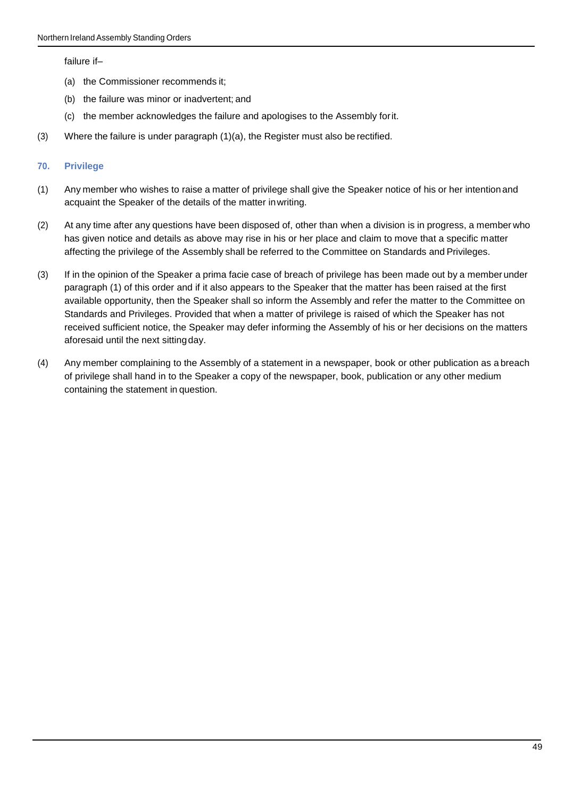failure if–

- (a) the Commissioner recommends it;
- (b) the failure was minor or inadvertent; and
- (c) the member acknowledges the failure and apologises to the Assembly forit.
- (3) Where the failure is under paragraph (1)(a), the Register must also be rectified.

#### **70. Privilege**

- (1) Any member who wishes to raise a matter of privilege shall give the Speaker notice of his or her intention and acquaint the Speaker of the details of the matter inwriting.
- (2) At any time after any questions have been disposed of, other than when a division is in progress, a member who has given notice and details as above may rise in his or her place and claim to move that a specific matter affecting the privilege of the Assembly shall be referred to the Committee on Standards and Privileges.
- (3) If in the opinion of the Speaker a prima facie case of breach of privilege has been made out by a member under paragraph (1) of this order and if it also appears to the Speaker that the matter has been raised at the first available opportunity, then the Speaker shall so inform the Assembly and refer the matter to the Committee on Standards and Privileges. Provided that when a matter of privilege is raised of which the Speaker has not received sufficient notice, the Speaker may defer informing the Assembly of his or her decisions on the matters aforesaid until the next sittingday.
- (4) Any member complaining to the Assembly of a statement in a newspaper, book or other publication as a breach of privilege shall hand in to the Speaker a copy of the newspaper, book, publication or any other medium containing the statement in question.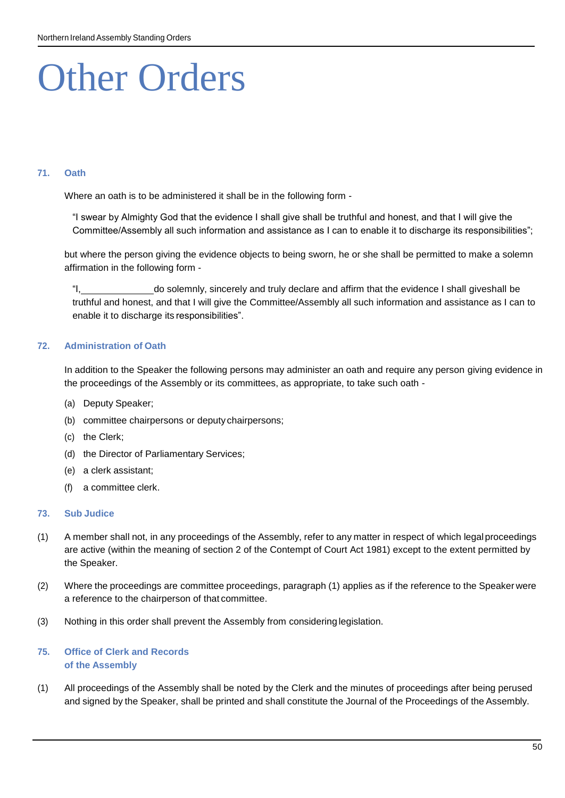# Other Orders

#### **71. Oath**

Where an oath is to be administered it shall be in the following form -

"I swear by Almighty God that the evidence I shall give shall be truthful and honest, and that I will give the Committee/Assembly all such information and assistance as I can to enable it to discharge its responsibilities";

but where the person giving the evidence objects to being sworn, he or she shall be permitted to make a solemn affirmation in the following form -

"I, do solemnly, sincerely and truly declare and affirm that the evidence I shall giveshall be truthful and honest, and that I will give the Committee/Assembly all such information and assistance as I can to enable it to discharge its responsibilities".

# **72. Administration of Oath**

In addition to the Speaker the following persons may administer an oath and require any person giving evidence in the proceedings of the Assembly or its committees, as appropriate, to take such oath -

- (a) Deputy Speaker;
- (b) committee chairpersons or deputy chairpersons;
- (c) the Clerk;
- (d) the Director of Parliamentary Services;
- (e) a clerk assistant;
- (f) a committee clerk.

# **73. Sub Judice**

- (1) A member shall not, in any proceedings of the Assembly, refer to any matter in respect of which legalproceedings are active (within the meaning of section 2 of the Contempt of Court Act 1981) except to the extent permitted by the Speaker.
- (2) Where the proceedings are committee proceedings, paragraph (1) applies as if the reference to the Speaker were a reference to the chairperson of that committee.
- (3) Nothing in this order shall prevent the Assembly from considering legislation.

# **75. Office of Clerk and Records of the Assembly**

(1) All proceedings of the Assembly shall be noted by the Clerk and the minutes of proceedings after being perused and signed by the Speaker, shall be printed and shall constitute the Journal of the Proceedings of the Assembly.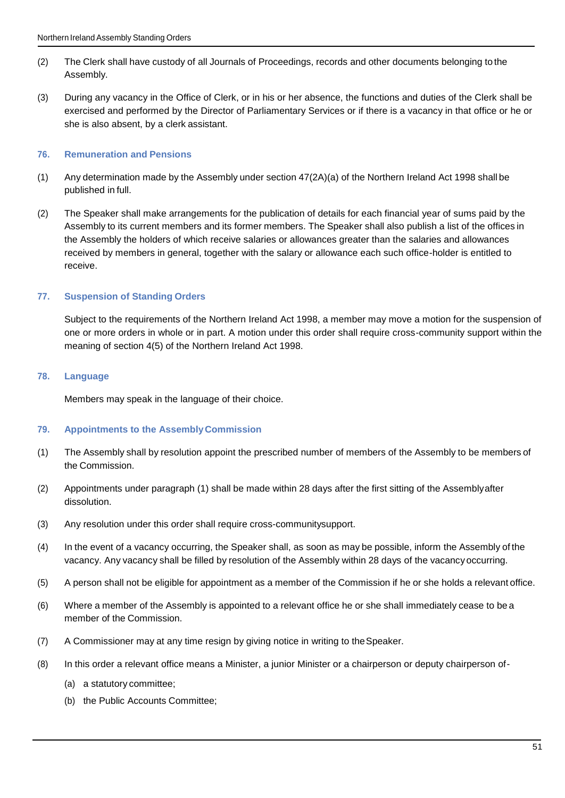- (2) The Clerk shall have custody of all Journals of Proceedings, records and other documents belonging to the Assembly.
- (3) During any vacancy in the Office of Clerk, or in his or her absence, the functions and duties of the Clerk shall be exercised and performed by the Director of Parliamentary Services or if there is a vacancy in that office or he or she is also absent, by a clerk assistant.

#### **76. Remuneration and Pensions**

- (1) Any determination made by the Assembly under section 47(2A)(a) of the Northern Ireland Act 1998 shall be published in full.
- (2) The Speaker shall make arrangements for the publication of details for each financial year of sums paid by the Assembly to its current members and its former members. The Speaker shall also publish a list of the offices in the Assembly the holders of which receive salaries or allowances greater than the salaries and allowances received by members in general, together with the salary or allowance each such office-holder is entitled to receive.

# **77. Suspension of Standing Orders**

Subject to the requirements of the Northern Ireland Act 1998, a member may move a motion for the suspension of one or more orders in whole or in part. A motion under this order shall require cross-community support within the meaning of section 4(5) of the Northern Ireland Act 1998.

# **78. Language**

Members may speak in the language of their choice.

# **79. Appointments to the AssemblyCommission**

- (1) The Assembly shall by resolution appoint the prescribed number of members of the Assembly to be members of the Commission.
- (2) Appointments under paragraph (1) shall be made within 28 days after the first sitting of the Assemblyafter dissolution.
- (3) Any resolution under this order shall require cross-communitysupport.
- (4) In the event of a vacancy occurring, the Speaker shall, as soon as may be possible, inform the Assembly of the vacancy. Any vacancy shall be filled by resolution of the Assembly within 28 days of the vacancy occurring.
- (5) A person shall not be eligible for appointment as a member of the Commission if he or she holds a relevant office.
- (6) Where a member of the Assembly is appointed to a relevant office he or she shall immediately cease to be a member of the Commission.
- (7) A Commissioner may at any time resign by giving notice in writing to theSpeaker.
- (8) In this order a relevant office means a Minister, a junior Minister or a chairperson or deputy chairperson of-
	- (a) a statutory committee;
	- (b) the Public Accounts Committee;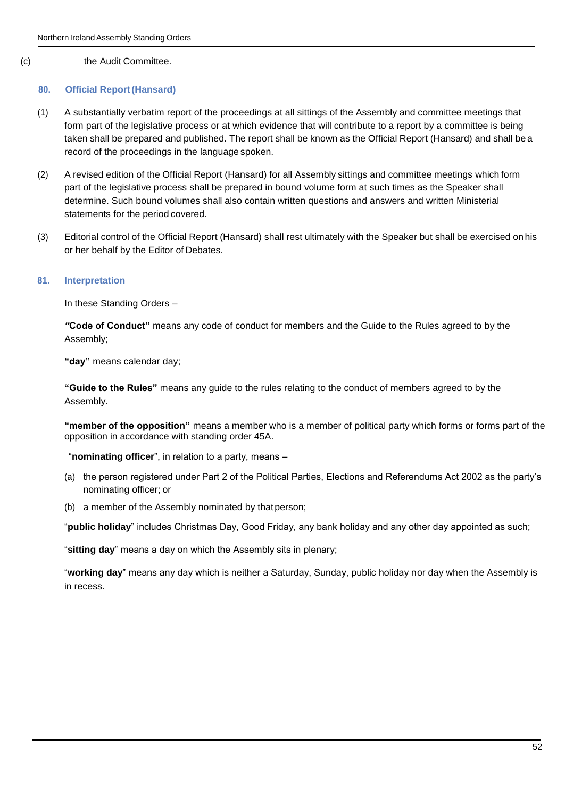#### (c) the Audit Committee.

#### **80. Official Report(Hansard)**

- (1) A substantially verbatim report of the proceedings at all sittings of the Assembly and committee meetings that form part of the legislative process or at which evidence that will contribute to a report by a committee is being taken shall be prepared and published. The report shall be known as the Official Report (Hansard) and shall be a record of the proceedings in the language spoken.
- (2) A revised edition of the Official Report (Hansard) for all Assembly sittings and committee meetings which form part of the legislative process shall be prepared in bound volume form at such times as the Speaker shall determine. Such bound volumes shall also contain written questions and answers and written Ministerial statements for the period covered.
- (3) Editorial control of the Official Report (Hansard) shall rest ultimately with the Speaker but shall be exercised on his or her behalf by the Editor of Debates.

# **81. Interpretation**

In these Standing Orders –

*"***Code of Conduct"** means any code of conduct for members and the Guide to the Rules agreed to by the Assembly;

**"day"** means calendar day;

**"Guide to the Rules"** means any guide to the rules relating to the conduct of members agreed to by the Assembly.

**"member of the opposition"** means a member who is a member of political party which forms or forms part of the opposition in accordance with standing order 45A.

"**nominating officer**", in relation to a party, means –

- (a) the person registered under Part 2 of the Political Parties, Elections and Referendums Act 2002 as the party's nominating officer; or
- (b) a member of the Assembly nominated by that person;

"**public holiday**" includes Christmas Day, Good Friday, any bank holiday and any other day appointed as such;

"**sitting day**" means a day on which the Assembly sits in plenary;

"**working day**" means any day which is neither a Saturday, Sunday, public holiday nor day when the Assembly is in recess.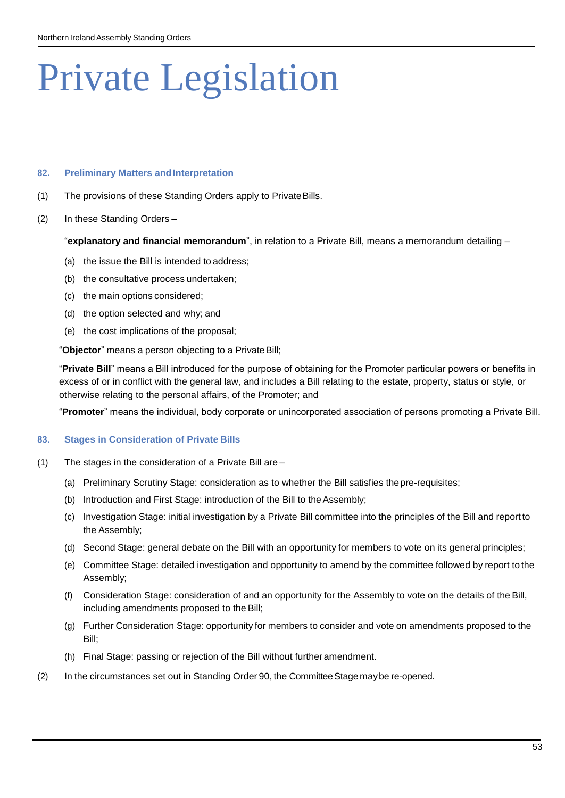# Private Legislation

#### **82. Preliminary Matters andInterpretation**

- (1) The provisions of these Standing Orders apply to PrivateBills.
- (2) In these Standing Orders –

"**explanatory and financial memorandum**", in relation to a Private Bill, means a memorandum detailing –

- (a) the issue the Bill is intended to address;
- (b) the consultative process undertaken;
- (c) the main options considered;
- (d) the option selected and why; and
- (e) the cost implications of the proposal;

"**Objector**" means a person objecting to a PrivateBill;

"**Private Bill**" means a Bill introduced for the purpose of obtaining for the Promoter particular powers or benefits in excess of or in conflict with the general law, and includes a Bill relating to the estate, property, status or style, or otherwise relating to the personal affairs, of the Promoter; and

"**Promoter**" means the individual, body corporate or unincorporated association of persons promoting a Private Bill.

# **83. Stages in Consideration of Private Bills**

- (1) The stages in the consideration of a Private Bill are
	- (a) Preliminary Scrutiny Stage: consideration as to whether the Bill satisfies thepre-requisites;
	- (b) Introduction and First Stage: introduction of the Bill to the Assembly;
	- (c) Investigation Stage: initial investigation by a Private Bill committee into the principles of the Bill and report to the Assembly;
	- (d) Second Stage: general debate on the Bill with an opportunity for members to vote on its general principles;
	- (e) Committee Stage: detailed investigation and opportunity to amend by the committee followed by report to the Assembly;
	- (f) Consideration Stage: consideration of and an opportunity for the Assembly to vote on the details of the Bill, including amendments proposed to the Bill;
	- (g) Further Consideration Stage: opportunity for members to consider and vote on amendments proposed to the Bill;
	- (h) Final Stage: passing or rejection of the Bill without further amendment.
- (2) In the circumstances set out in Standing Order 90, the CommitteeStage maybe re-opened.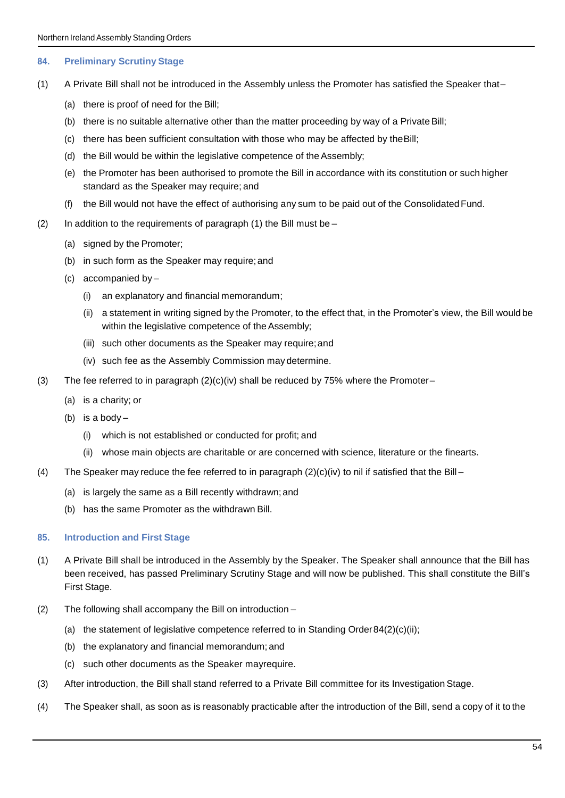#### **84. Preliminary Scrutiny Stage**

- (1) A Private Bill shall not be introduced in the Assembly unless the Promoter has satisfied the Speaker that–
	- (a) there is proof of need for the Bill;
	- (b) there is no suitable alternative other than the matter proceeding by way of a Private Bill;
	- (c) there has been sufficient consultation with those who may be affected by theBill;
	- (d) the Bill would be within the legislative competence of the Assembly;
	- (e) the Promoter has been authorised to promote the Bill in accordance with its constitution or such higher standard as the Speaker may require; and
	- (f) the Bill would not have the effect of authorising any sum to be paid out of the ConsolidatedFund.
- (2) In addition to the requirements of paragraph (1) the Bill must be
	- (a) signed by the Promoter;
	- (b) in such form as the Speaker may require;and
	- (c) accompanied by
		- (i) an explanatory and financial memorandum;
		- (ii) a statement in writing signed by the Promoter, to the effect that, in the Promoter's view, the Bill would be within the legislative competence of the Assembly;
		- (iii) such other documents as the Speaker may require; and
		- (iv) such fee as the Assembly Commission may determine.
- (3) The fee referred to in paragraph  $(2)(c)(iv)$  shall be reduced by 75% where the Promoter–
	- (a) is a charity; or
	- (b) is a body  $-$ 
		- (i) which is not established or conducted for profit; and
		- (ii) whose main objects are charitable or are concerned with science, literature or the finearts.
- (4) The Speaker may reduce the fee referred to in paragraph  $(2)(c)(iv)$  to nil if satisfied that the Bill
	- (a) is largely the same as a Bill recently withdrawn; and
	- (b) has the same Promoter as the withdrawn Bill.

#### **85. Introduction and First Stage**

- (1) A Private Bill shall be introduced in the Assembly by the Speaker. The Speaker shall announce that the Bill has been received, has passed Preliminary Scrutiny Stage and will now be published. This shall constitute the Bill's First Stage.
- (2) The following shall accompany the Bill on introduction
	- (a) the statement of legislative competence referred to in Standing Order84(2)(c)(ii);
	- (b) the explanatory and financial memorandum; and
	- (c) such other documents as the Speaker mayrequire.
- (3) After introduction, the Bill shall stand referred to a Private Bill committee for its Investigation Stage.
- (4) The Speaker shall, as soon as is reasonably practicable after the introduction of the Bill, send a copy of it to the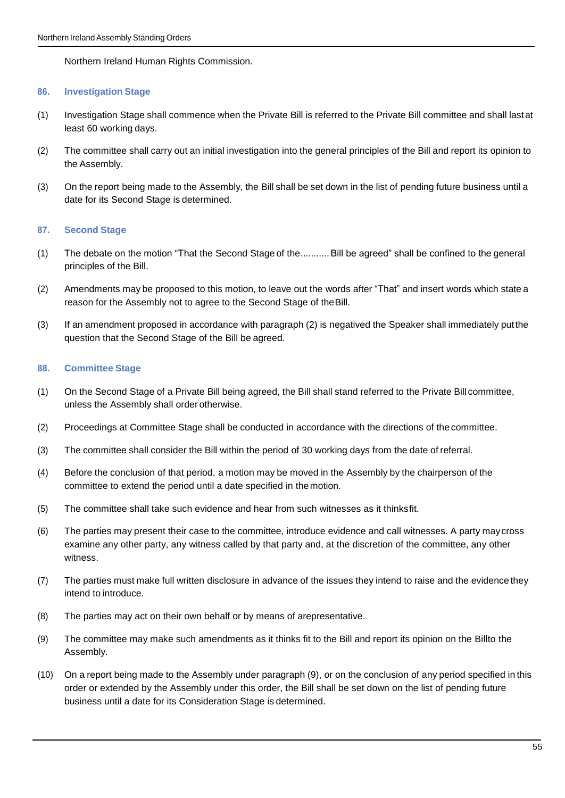Northern Ireland Human Rights Commission.

#### **86. Investigation Stage**

- (1) Investigation Stage shall commence when the Private Bill is referred to the Private Bill committee and shall lastat least 60 working days.
- (2) The committee shall carry out an initial investigation into the general principles of the Bill and report its opinion to the Assembly.
- (3) On the report being made to the Assembly, the Bill shall be set down in the list of pending future business until a date for its Second Stage is determined.

#### **87. Second Stage**

- (1) The debate on the motion "That the Second Stage of the...........Bill be agreed" shall be confined to the general principles of the Bill.
- (2) Amendments may be proposed to this motion, to leave out the words after "That" and insert words which state a reason for the Assembly not to agree to the Second Stage of theBill.
- (3) If an amendment proposed in accordance with paragraph (2) is negatived the Speaker shall immediately putthe question that the Second Stage of the Bill be agreed.

#### **88. Committee Stage**

- (1) On the Second Stage of a Private Bill being agreed, the Bill shall stand referred to the Private Bill committee, unless the Assembly shall order otherwise.
- (2) Proceedings at Committee Stage shall be conducted in accordance with the directions of the committee.
- (3) The committee shall consider the Bill within the period of 30 working days from the date of referral.
- (4) Before the conclusion of that period, a motion may be moved in the Assembly by the chairperson of the committee to extend the period until a date specified in themotion.
- (5) The committee shall take such evidence and hear from such witnesses as it thinksfit.
- (6) The parties may present their case to the committee, introduce evidence and call witnesses. A party maycross examine any other party, any witness called by that party and, at the discretion of the committee, any other witness.
- (7) The parties must make full written disclosure in advance of the issues they intend to raise and the evidence they intend to introduce.
- (8) The parties may act on their own behalf or by means of arepresentative.
- (9) The committee may make such amendments as it thinks fit to the Bill and report its opinion on the Billto the Assembly.
- (10) On a report being made to the Assembly under paragraph (9), or on the conclusion of any period specified in this order or extended by the Assembly under this order, the Bill shall be set down on the list of pending future business until a date for its Consideration Stage is determined.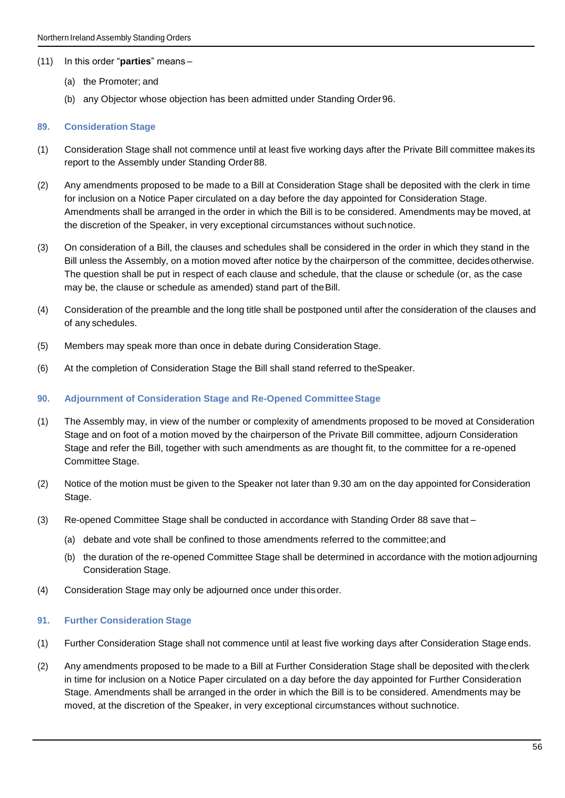#### (11) In this order "**parties**" means –

- (a) the Promoter; and
- (b) any Objector whose objection has been admitted under Standing Order96.

#### **89. Consideration Stage**

- (1) Consideration Stage shall not commence until at least five working days after the Private Bill committee makes its report to the Assembly under Standing Order88.
- (2) Any amendments proposed to be made to a Bill at Consideration Stage shall be deposited with the clerk in time for inclusion on a Notice Paper circulated on a day before the day appointed for Consideration Stage. Amendments shall be arranged in the order in which the Bill is to be considered. Amendments may be moved, at the discretion of the Speaker, in very exceptional circumstances without suchnotice.
- (3) On consideration of a Bill, the clauses and schedules shall be considered in the order in which they stand in the Bill unless the Assembly, on a motion moved after notice by the chairperson of the committee, decidesotherwise. The question shall be put in respect of each clause and schedule, that the clause or schedule (or, as the case may be, the clause or schedule as amended) stand part of theBill.
- (4) Consideration of the preamble and the long title shall be postponed until after the consideration of the clauses and of any schedules.
- (5) Members may speak more than once in debate during Consideration Stage.
- (6) At the completion of Consideration Stage the Bill shall stand referred to theSpeaker.

# **90. Adjournment of Consideration Stage and Re-Opened CommitteeStage**

- (1) The Assembly may, in view of the number or complexity of amendments proposed to be moved at Consideration Stage and on foot of a motion moved by the chairperson of the Private Bill committee, adjourn Consideration Stage and refer the Bill, together with such amendments as are thought fit, to the committee for a re-opened Committee Stage.
- (2) Notice of the motion must be given to the Speaker not later than 9.30 am on the day appointed for Consideration Stage.
- (3) Re-opened Committee Stage shall be conducted in accordance with Standing Order 88 save that
	- (a) debate and vote shall be confined to those amendments referred to the committee;and
	- (b) the duration of the re-opened Committee Stage shall be determined in accordance with the motion adjourning Consideration Stage.
- (4) Consideration Stage may only be adjourned once under thisorder.

# **91. Further Consideration Stage**

- (1) Further Consideration Stage shall not commence until at least five working days after Consideration Stage ends.
- (2) Any amendments proposed to be made to a Bill at Further Consideration Stage shall be deposited with theclerk in time for inclusion on a Notice Paper circulated on a day before the day appointed for Further Consideration Stage. Amendments shall be arranged in the order in which the Bill is to be considered. Amendments may be moved, at the discretion of the Speaker, in very exceptional circumstances without suchnotice.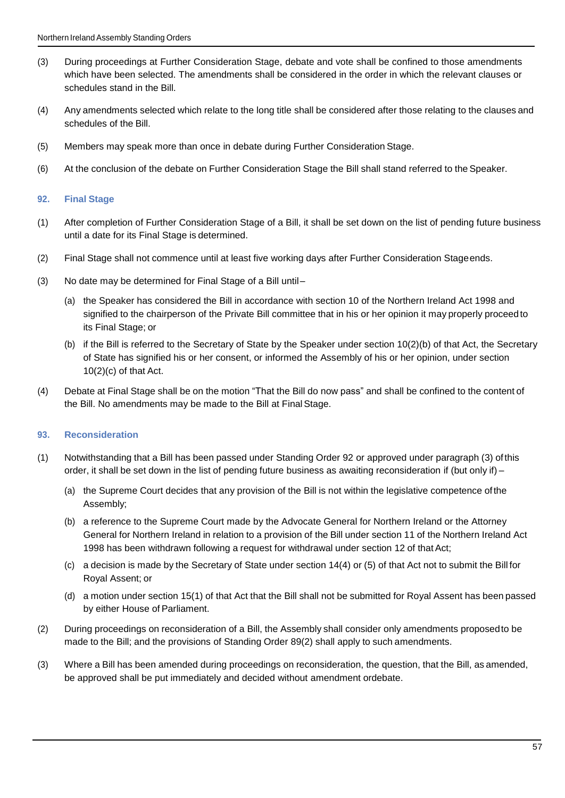- (3) During proceedings at Further Consideration Stage, debate and vote shall be confined to those amendments which have been selected. The amendments shall be considered in the order in which the relevant clauses or schedules stand in the Bill.
- (4) Any amendments selected which relate to the long title shall be considered after those relating to the clauses and schedules of the Bill.
- (5) Members may speak more than once in debate during Further Consideration Stage.
- (6) At the conclusion of the debate on Further Consideration Stage the Bill shall stand referred to the Speaker.

# **92. Final Stage**

- (1) After completion of Further Consideration Stage of a Bill, it shall be set down on the list of pending future business until a date for its Final Stage is determined.
- (2) Final Stage shall not commence until at least five working days after Further Consideration Stageends.
- (3) No date may be determined for Final Stage of a Bill until–
	- (a) the Speaker has considered the Bill in accordance with section 10 of the Northern Ireland Act 1998 and signified to the chairperson of the Private Bill committee that in his or her opinion it may properly proceed to its Final Stage; or
	- (b) if the Bill is referred to the Secretary of State by the Speaker under section 10(2)(b) of that Act, the Secretary of State has signified his or her consent, or informed the Assembly of his or her opinion, under section  $10(2)(c)$  of that Act.
- (4) Debate at Final Stage shall be on the motion "That the Bill do now pass" and shall be confined to the content of the Bill. No amendments may be made to the Bill at FinalStage.

# **93. Reconsideration**

- (1) Notwithstanding that a Bill has been passed under Standing Order 92 or approved under paragraph (3) ofthis order, it shall be set down in the list of pending future business as awaiting reconsideration if (but only if) –
	- (a) the Supreme Court decides that any provision of the Bill is not within the legislative competence ofthe Assembly;
	- (b) a reference to the Supreme Court made by the Advocate General for Northern Ireland or the Attorney General for Northern Ireland in relation to a provision of the Bill under section 11 of the Northern Ireland Act 1998 has been withdrawn following a request for withdrawal under section 12 of thatAct;
	- (c) a decision is made by the Secretary of State under section 14(4) or (5) of that Act not to submit the Bill for Royal Assent; or
	- (d) a motion under section 15(1) of that Act that the Bill shall not be submitted for Royal Assent has been passed by either House of Parliament.
- (2) During proceedings on reconsideration of a Bill, the Assembly shall consider only amendments proposedto be made to the Bill; and the provisions of Standing Order 89(2) shall apply to such amendments.
- (3) Where a Bill has been amended during proceedings on reconsideration, the question, that the Bill, as amended, be approved shall be put immediately and decided without amendment ordebate.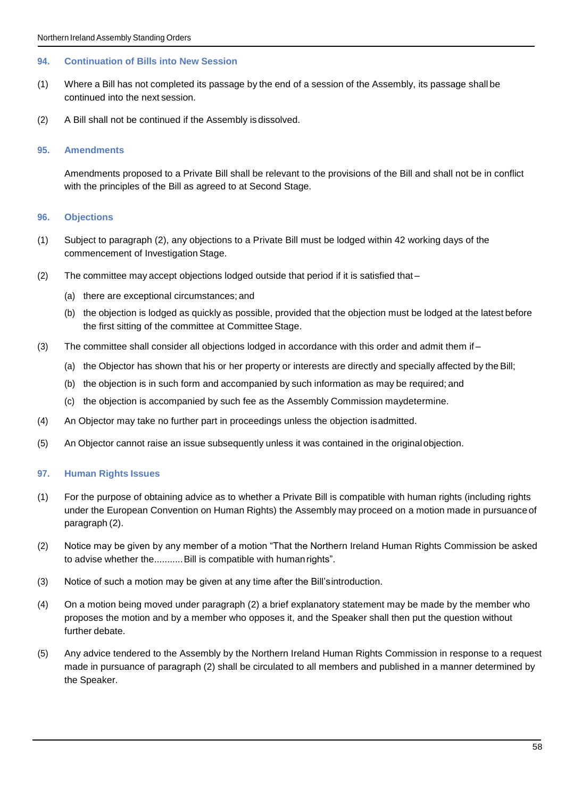# **94. Continuation of Bills into New Session**

- (1) Where a Bill has not completed its passage by the end of a session of the Assembly, its passage shall be continued into the next session.
- (2) A Bill shall not be continued if the Assembly is dissolved.

#### **95. Amendments**

Amendments proposed to a Private Bill shall be relevant to the provisions of the Bill and shall not be in conflict with the principles of the Bill as agreed to at Second Stage.

# **96. Objections**

- (1) Subject to paragraph (2), any objections to a Private Bill must be lodged within 42 working days of the commencement of Investigation Stage.
- (2) The committee may accept objections lodged outside that period if it is satisfied that
	- (a) there are exceptional circumstances; and
	- (b) the objection is lodged as quickly as possible, provided that the objection must be lodged at the latest before the first sitting of the committee at Committee Stage.
- (3) The committee shall consider all objections lodged in accordance with this order and admit them if
	- (a) the Objector has shown that his or her property or interests are directly and specially affected by the Bill;
	- (b) the objection is in such form and accompanied by such information as may be required; and
	- (c) the objection is accompanied by such fee as the Assembly Commission maydetermine.
- (4) An Objector may take no further part in proceedings unless the objection isadmitted.
- (5) An Objector cannot raise an issue subsequently unless it was contained in the original objection.

# **97. Human Rights Issues**

- (1) For the purpose of obtaining advice as to whether a Private Bill is compatible with human rights (including rights under the European Convention on Human Rights) the Assembly may proceed on a motion made in pursuance of paragraph (2).
- (2) Notice may be given by any member of a motion "That the Northern Ireland Human Rights Commission be asked to advise whether the...........Bill is compatible with humanrights".
- (3) Notice of such a motion may be given at any time after the Bill'sintroduction.
- (4) On a motion being moved under paragraph (2) a brief explanatory statement may be made by the member who proposes the motion and by a member who opposes it, and the Speaker shall then put the question without further debate.
- (5) Any advice tendered to the Assembly by the Northern Ireland Human Rights Commission in response to a request made in pursuance of paragraph (2) shall be circulated to all members and published in a manner determined by the Speaker.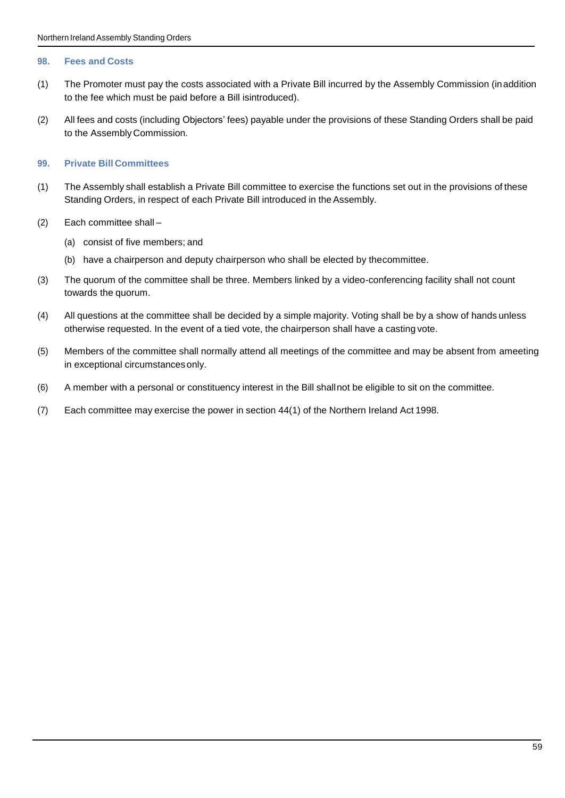# **98. Fees and Costs**

- (1) The Promoter must pay the costs associated with a Private Bill incurred by the Assembly Commission (inaddition to the fee which must be paid before a Bill isintroduced).
- (2) All fees and costs (including Objectors' fees) payable under the provisions of these Standing Orders shall be paid to the Assembly Commission.

# **99. Private Bill Committees**

- (1) The Assembly shall establish a Private Bill committee to exercise the functions set out in the provisions of these Standing Orders, in respect of each Private Bill introduced in the Assembly.
- (2) Each committee shall
	- (a) consist of five members; and
	- (b) have a chairperson and deputy chairperson who shall be elected by thecommittee.
- (3) The quorum of the committee shall be three. Members linked by a video-conferencing facility shall not count towards the quorum.
- (4) All questions at the committee shall be decided by a simple majority. Voting shall be by a show of hands unless otherwise requested. In the event of a tied vote, the chairperson shall have a casting vote.
- (5) Members of the committee shall normally attend all meetings of the committee and may be absent from ameeting in exceptional circumstances only.
- (6) A member with a personal or constituency interest in the Bill shallnot be eligible to sit on the committee.
- (7) Each committee may exercise the power in section 44(1) of the Northern Ireland Act 1998.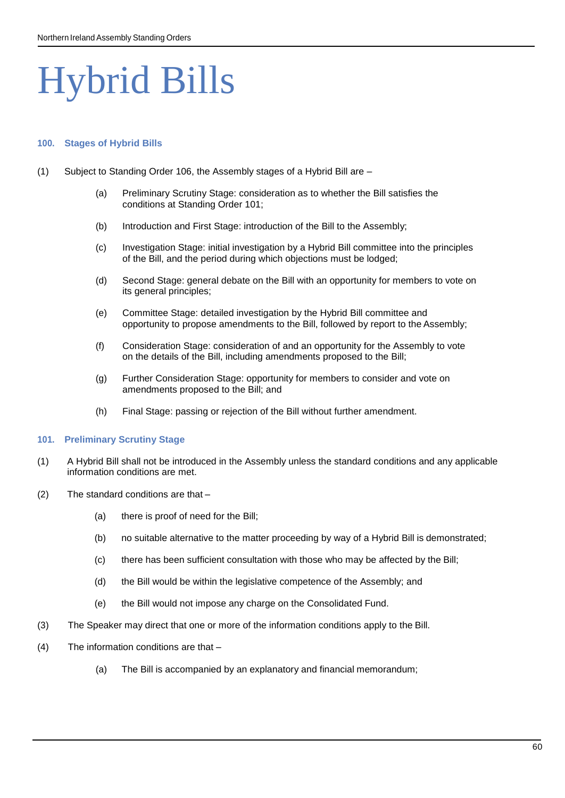# Hybrid Bills

# **100. Stages of Hybrid Bills**

- (1) Subject to Standing Order 106, the Assembly stages of a Hybrid Bill are
	- (a) Preliminary Scrutiny Stage: consideration as to whether the Bill satisfies the conditions at Standing Order 101;
	- (b) Introduction and First Stage: introduction of the Bill to the Assembly;
	- (c) Investigation Stage: initial investigation by a Hybrid Bill committee into the principles of the Bill, and the period during which objections must be lodged;
	- (d) Second Stage: general debate on the Bill with an opportunity for members to vote on its general principles;
	- (e) Committee Stage: detailed investigation by the Hybrid Bill committee and opportunity to propose amendments to the Bill, followed by report to the Assembly;
	- (f) Consideration Stage: consideration of and an opportunity for the Assembly to vote on the details of the Bill, including amendments proposed to the Bill;
	- (g) Further Consideration Stage: opportunity for members to consider and vote on amendments proposed to the Bill; and
	- (h) Final Stage: passing or rejection of the Bill without further amendment.

#### **101. Preliminary Scrutiny Stage**

- (1) A Hybrid Bill shall not be introduced in the Assembly unless the standard conditions and any applicable information conditions are met.
- (2) The standard conditions are that
	- (a) there is proof of need for the Bill;
	- (b) no suitable alternative to the matter proceeding by way of a Hybrid Bill is demonstrated;
	- (c) there has been sufficient consultation with those who may be affected by the Bill;
	- (d) the Bill would be within the legislative competence of the Assembly; and
	- (e) the Bill would not impose any charge on the Consolidated Fund.
- (3) The Speaker may direct that one or more of the information conditions apply to the Bill.
- (4) The information conditions are that
	- (a) The Bill is accompanied by an explanatory and financial memorandum;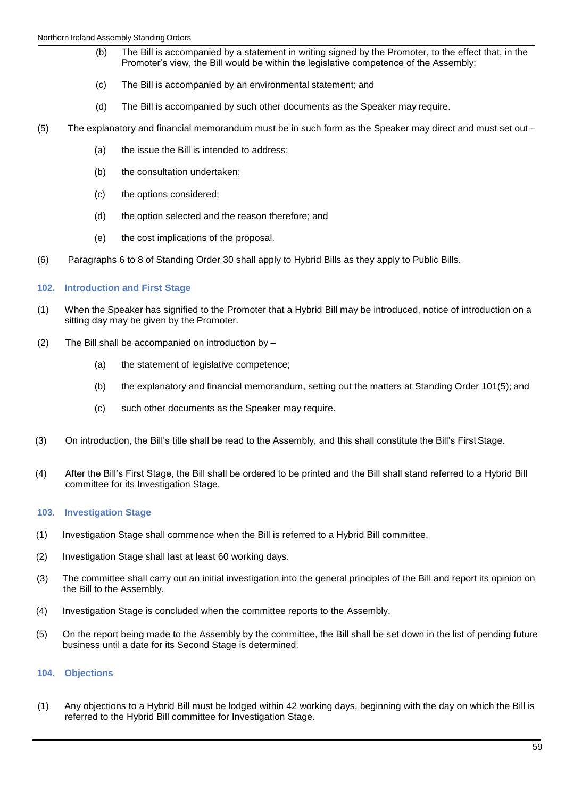#### Northern Ireland Assembly Standing Orders

- (b) The Bill is accompanied by a statement in writing signed by the Promoter, to the effect that, in the Promoter's view, the Bill would be within the legislative competence of the Assembly;
- (c) The Bill is accompanied by an environmental statement; and
- (d) The Bill is accompanied by such other documents as the Speaker may require.
- (5) The explanatory and financial memorandum must be in such form as the Speaker may direct and must set out
	- (a) the issue the Bill is intended to address;
	- (b) the consultation undertaken;
	- (c) the options considered;
	- (d) the option selected and the reason therefore; and
	- (e) the cost implications of the proposal.
- (6) Paragraphs 6 to 8 of Standing Order 30 shall apply to Hybrid Bills as they apply to Public Bills.

#### **102. Introduction and First Stage**

- (1) When the Speaker has signified to the Promoter that a Hybrid Bill may be introduced, notice of introduction on a sitting day may be given by the Promoter.
- (2) The Bill shall be accompanied on introduction by
	- (a) the statement of legislative competence;
	- (b) the explanatory and financial memorandum, setting out the matters at Standing Order 101(5); and
	- (c) such other documents as the Speaker may require.
- (3) On introduction, the Bill's title shall be read to the Assembly, and this shall constitute the Bill's FirstStage.
- (4) After the Bill's First Stage, the Bill shall be ordered to be printed and the Bill shall stand referred to a Hybrid Bill committee for its Investigation Stage.

# **103. Investigation Stage**

- (1) Investigation Stage shall commence when the Bill is referred to a Hybrid Bill committee.
- (2) Investigation Stage shall last at least 60 working days.
- (3) The committee shall carry out an initial investigation into the general principles of the Bill and report its opinion on the Bill to the Assembly.
- (4) Investigation Stage is concluded when the committee reports to the Assembly.
- (5) On the report being made to the Assembly by the committee, the Bill shall be set down in the list of pending future business until a date for its Second Stage is determined.

# **104. Objections**

(1) Any objections to a Hybrid Bill must be lodged within 42 working days, beginning with the day on which the Bill is referred to the Hybrid Bill committee for Investigation Stage.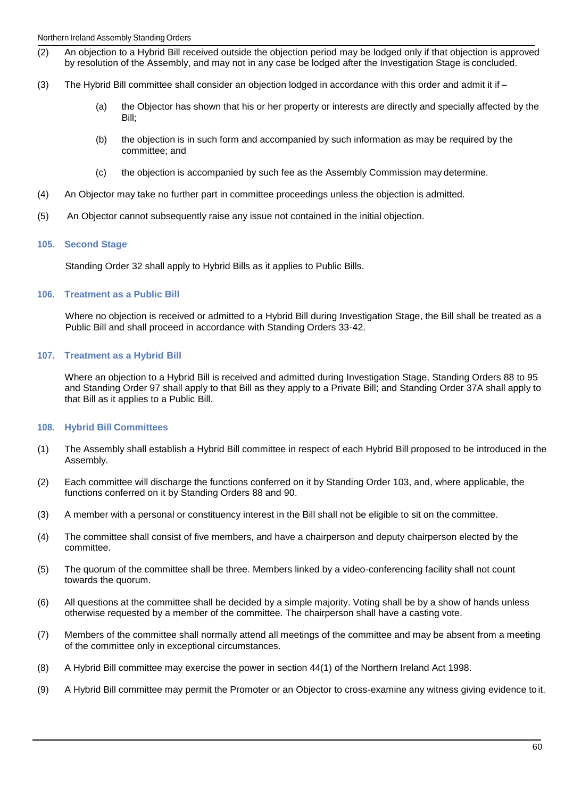- (2) An objection to a Hybrid Bill received outside the objection period may be lodged only if that objection is approved by resolution of the Assembly, and may not in any case be lodged after the Investigation Stage is concluded.
- (3) The Hybrid Bill committee shall consider an objection lodged in accordance with this order and admit it if  $-$ 
	- (a) the Objector has shown that his or her property or interests are directly and specially affected by the Bill;
	- (b) the objection is in such form and accompanied by such information as may be required by the committee; and
	- (c) the objection is accompanied by such fee as the Assembly Commission may determine.
- (4) An Objector may take no further part in committee proceedings unless the objection is admitted.
- (5) An Objector cannot subsequently raise any issue not contained in the initial objection.

#### **105. Second Stage**

Standing Order 32 shall apply to Hybrid Bills as it applies to Public Bills.

#### **106. Treatment as a Public Bill**

Where no objection is received or admitted to a Hybrid Bill during Investigation Stage, the Bill shall be treated as a Public Bill and shall proceed in accordance with Standing Orders 33-42.

#### **107. Treatment as a Hybrid Bill**

Where an objection to a Hybrid Bill is received and admitted during Investigation Stage, Standing Orders 88 to 95 and Standing Order 97 shall apply to that Bill as they apply to a Private Bill; and Standing Order 37A shall apply to that Bill as it applies to a Public Bill.

# **108. Hybrid Bill Committees**

- (1) The Assembly shall establish a Hybrid Bill committee in respect of each Hybrid Bill proposed to be introduced in the Assembly.
- (2) Each committee will discharge the functions conferred on it by Standing Order 103, and, where applicable, the functions conferred on it by Standing Orders 88 and 90.
- (3) A member with a personal or constituency interest in the Bill shall not be eligible to sit on the committee.
- (4) The committee shall consist of five members, and have a chairperson and deputy chairperson elected by the committee.
- (5) The quorum of the committee shall be three. Members linked by a video-conferencing facility shall not count towards the quorum.
- (6) All questions at the committee shall be decided by a simple majority. Voting shall be by a show of hands unless otherwise requested by a member of the committee. The chairperson shall have a casting vote.
- (7) Members of the committee shall normally attend all meetings of the committee and may be absent from a meeting of the committee only in exceptional circumstances.
- (8) A Hybrid Bill committee may exercise the power in section 44(1) of the Northern Ireland Act 1998.
- (9) A Hybrid Bill committee may permit the Promoter or an Objector to cross-examine any witness giving evidence to it.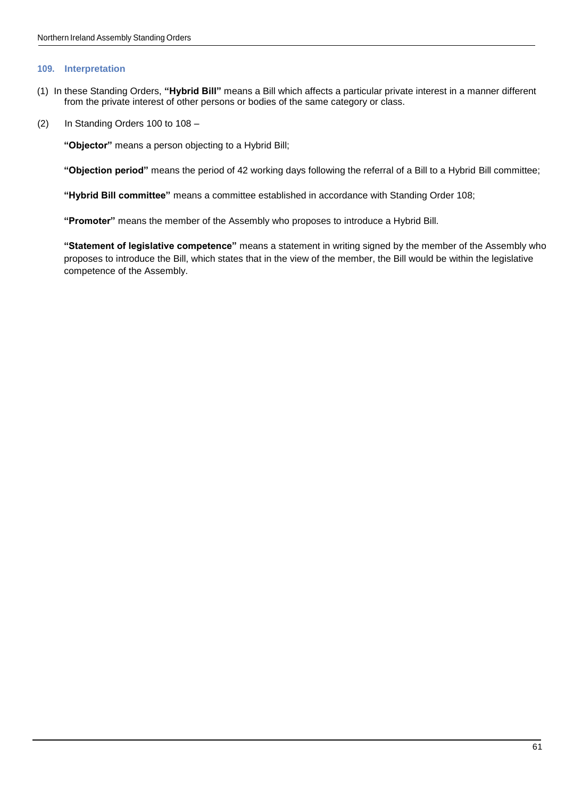# **109. Interpretation**

- (1) In these Standing Orders, **"Hybrid Bill"** means a Bill which affects a particular private interest in a manner different from the private interest of other persons or bodies of the same category or class.
- (2) In Standing Orders 100 to 108 –

**"Objector"** means a person objecting to a Hybrid Bill;

**"Objection period"** means the period of 42 working days following the referral of a Bill to a Hybrid Bill committee;

**"Hybrid Bill committee"** means a committee established in accordance with Standing Order 108;

**"Promoter"** means the member of the Assembly who proposes to introduce a Hybrid Bill.

**"Statement of legislative competence"** means a statement in writing signed by the member of the Assembly who proposes to introduce the Bill, which states that in the view of the member, the Bill would be within the legislative competence of the Assembly.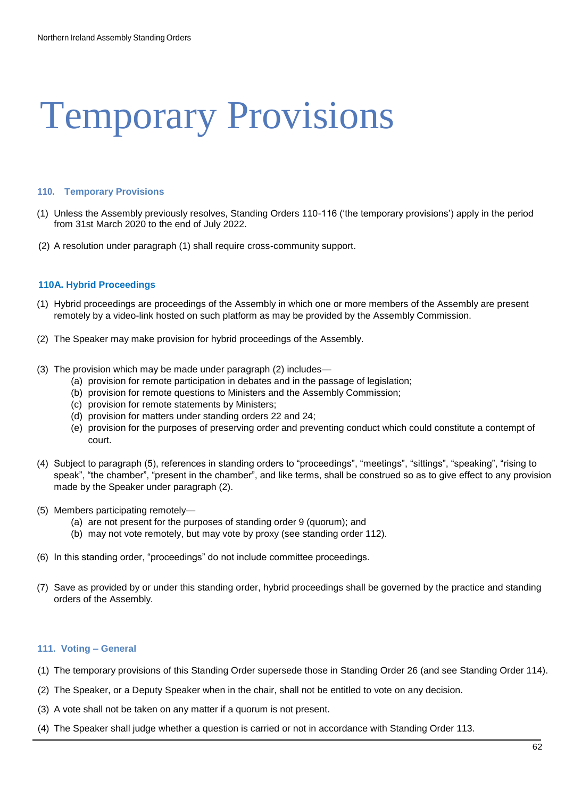# Temporary Provisions

#### **110. Temporary Provisions**

- (1) Unless the Assembly previously resolves, Standing Orders 110-116 ('the temporary provisions') apply in the period from 31st March 2020 to the end of July 2022.
- (2) A resolution under paragraph (1) shall require cross-community support.

# **110A. Hybrid Proceedings**

- (1) Hybrid proceedings are proceedings of the Assembly in which one or more members of the Assembly are present remotely by a video-link hosted on such platform as may be provided by the Assembly Commission.
- (2) The Speaker may make provision for hybrid proceedings of the Assembly.
- (3) The provision which may be made under paragraph (2) includes—
	- (a) provision for remote participation in debates and in the passage of legislation;
	- (b) provision for remote questions to Ministers and the Assembly Commission;
	- (c) provision for remote statements by Ministers;
	- (d) provision for matters under standing orders 22 and 24;
	- (e) provision for the purposes of preserving order and preventing conduct which could constitute a contempt of court.
- (4) Subject to paragraph (5), references in standing orders to "proceedings", "meetings", "sittings", "speaking", "rising to speak", "the chamber", "present in the chamber", and like terms, shall be construed so as to give effect to any provision made by the Speaker under paragraph (2).
- (5) Members participating remotely—
	- (a) are not present for the purposes of standing order 9 (quorum); and
	- (b) may not vote remotely, but may vote by proxy (see standing order 112).
- (6) In this standing order, "proceedings" do not include committee proceedings.
- (7) Save as provided by or under this standing order, hybrid proceedings shall be governed by the practice and standing orders of the Assembly.

# **111. Voting – General**

- (1) The temporary provisions of this Standing Order supersede those in Standing Order 26 (and see Standing Order 114).
- (2) The Speaker, or a Deputy Speaker when in the chair, shall not be entitled to vote on any decision.
- (3) A vote shall not be taken on any matter if a quorum is not present.
- (4) The Speaker shall judge whether a question is carried or not in accordance with Standing Order 113.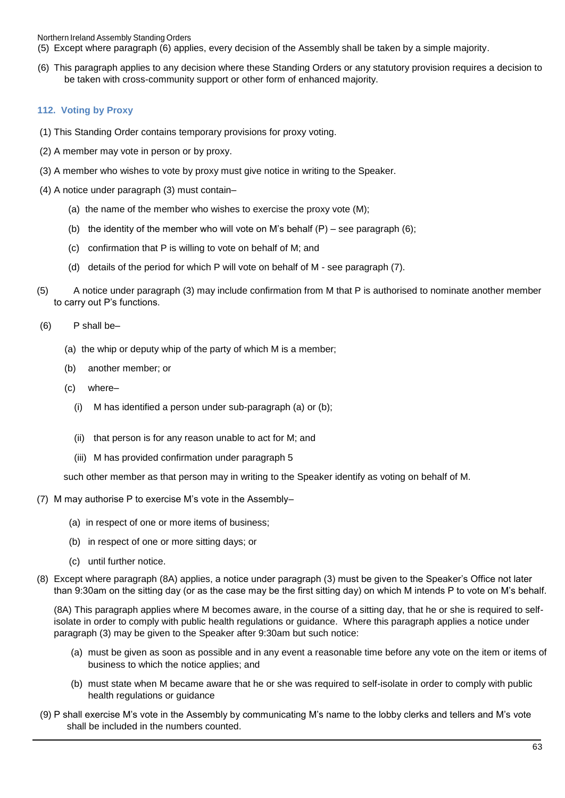Northern Ireland Assembly Standing Orders

- (5) Except where paragraph (6) applies, every decision of the Assembly shall be taken by a simple majority.
- (6) This paragraph applies to any decision where these Standing Orders or any statutory provision requires a decision to be taken with cross-community support or other form of enhanced majority.

# **112. Voting by Proxy**

- (1) This Standing Order contains temporary provisions for proxy voting.
- (2) A member may vote in person or by proxy.
- (3) A member who wishes to vote by proxy must give notice in writing to the Speaker.
- (4) A notice under paragraph (3) must contain–
	- (a) the name of the member who wishes to exercise the proxy vote (M);
	- (b) the identity of the member who will vote on M's behalf  $(P)$  see paragraph (6);
	- (c) confirmation that P is willing to vote on behalf of M; and
	- (d) details of the period for which P will vote on behalf of M see paragraph (7).
- (5) A notice under paragraph (3) may include confirmation from M that P is authorised to nominate another member to carry out P's functions.
- (6) P shall be–
	- (a) the whip or deputy whip of the party of which M is a member;
	- (b) another member; or
	- (c) where–
		- (i) M has identified a person under sub-paragraph (a) or (b);
		- (ii) that person is for any reason unable to act for M; and
		- (iii) M has provided confirmation under paragraph 5

such other member as that person may in writing to the Speaker identify as voting on behalf of M.

- (7) M may authorise P to exercise M's vote in the Assembly–
	- (a) in respect of one or more items of business;
	- (b) in respect of one or more sitting days; or
	- (c) until further notice.
- (8) Except where paragraph (8A) applies, a notice under paragraph (3) must be given to the Speaker's Office not later than 9:30am on the sitting day (or as the case may be the first sitting day) on which M intends P to vote on M's behalf.

(8A) This paragraph applies where M becomes aware, in the course of a sitting day, that he or she is required to selfisolate in order to comply with public health regulations or guidance. Where this paragraph applies a notice under paragraph (3) may be given to the Speaker after 9:30am but such notice:

- (a) must be given as soon as possible and in any event a reasonable time before any vote on the item or items of business to which the notice applies; and
- (b) must state when M became aware that he or she was required to self-isolate in order to comply with public health regulations or guidance
- (9) P shall exercise M's vote in the Assembly by communicating M's name to the lobby clerks and tellers and M's vote shall be included in the numbers counted.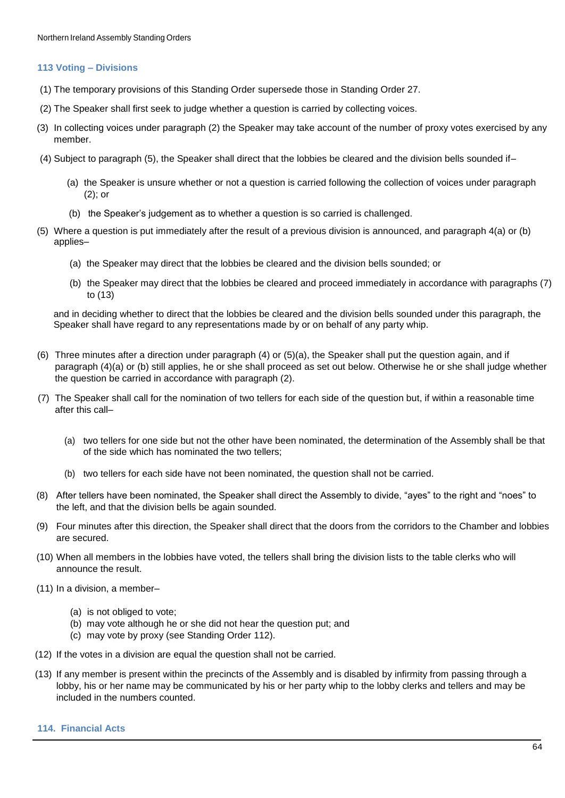#### **113 Voting – Divisions**

- (1) The temporary provisions of this Standing Order supersede those in Standing Order 27.
- (2) The Speaker shall first seek to judge whether a question is carried by collecting voices.
- (3) In collecting voices under paragraph (2) the Speaker may take account of the number of proxy votes exercised by any member.
- (4) Subject to paragraph (5), the Speaker shall direct that the lobbies be cleared and the division bells sounded if–
	- (a) the Speaker is unsure whether or not a question is carried following the collection of voices under paragraph (2); or
	- (b) the Speaker's judgement as to whether a question is so carried is challenged.
- (5) Where a question is put immediately after the result of a previous division is announced, and paragraph 4(a) or (b) applies–
	- (a) the Speaker may direct that the lobbies be cleared and the division bells sounded; or
	- (b) the Speaker may direct that the lobbies be cleared and proceed immediately in accordance with paragraphs (7) to (13)

and in deciding whether to direct that the lobbies be cleared and the division bells sounded under this paragraph, the Speaker shall have regard to any representations made by or on behalf of any party whip.

- (6) Three minutes after a direction under paragraph (4) or (5)(a), the Speaker shall put the question again, and if paragraph (4)(a) or (b) still applies, he or she shall proceed as set out below. Otherwise he or she shall judge whether the question be carried in accordance with paragraph (2).
- (7) The Speaker shall call for the nomination of two tellers for each side of the question but, if within a reasonable time after this call–
	- (a) two tellers for one side but not the other have been nominated, the determination of the Assembly shall be that of the side which has nominated the two tellers;
	- (b) two tellers for each side have not been nominated, the question shall not be carried.
- (8) After tellers have been nominated, the Speaker shall direct the Assembly to divide, "ayes" to the right and "noes" to the left, and that the division bells be again sounded.
- (9) Four minutes after this direction, the Speaker shall direct that the doors from the corridors to the Chamber and lobbies are secured.
- (10) When all members in the lobbies have voted, the tellers shall bring the division lists to the table clerks who will announce the result.
- (11) In a division, a member–
	- (a) is not obliged to vote;
	- (b) may vote although he or she did not hear the question put; and
	- (c) may vote by proxy (see Standing Order 112).
- (12) If the votes in a division are equal the question shall not be carried.
- (13) If any member is present within the precincts of the Assembly and is disabled by infirmity from passing through a lobby, his or her name may be communicated by his or her party whip to the lobby clerks and tellers and may be included in the numbers counted.
- **114. Financial Acts**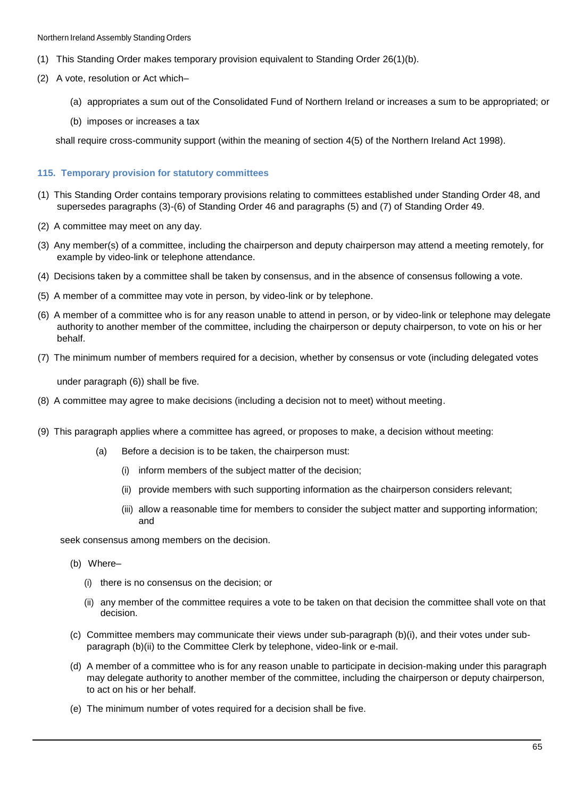- (1) This Standing Order makes temporary provision equivalent to Standing Order 26(1)(b).
- (2) A vote, resolution or Act which–
	- (a) appropriates a sum out of the Consolidated Fund of Northern Ireland or increases a sum to be appropriated; or
	- (b) imposes or increases a tax

shall require cross-community support (within the meaning of section 4(5) of the Northern Ireland Act 1998).

#### **115. Temporary provision for statutory committees**

- (1) This Standing Order contains temporary provisions relating to committees established under Standing Order 48, and supersedes paragraphs (3)-(6) of Standing Order 46 and paragraphs (5) and (7) of Standing Order 49.
- (2) A committee may meet on any day.
- (3) Any member(s) of a committee, including the chairperson and deputy chairperson may attend a meeting remotely, for example by video-link or telephone attendance.
- (4) Decisions taken by a committee shall be taken by consensus, and in the absence of consensus following a vote.
- (5) A member of a committee may vote in person, by video-link or by telephone.
- (6) A member of a committee who is for any reason unable to attend in person, or by video-link or telephone may delegate authority to another member of the committee, including the chairperson or deputy chairperson, to vote on his or her behalf.
- (7) The minimum number of members required for a decision, whether by consensus or vote (including delegated votes

under paragraph (6)) shall be five*.*

- (8) A committee may agree to make decisions (including a decision not to meet) without meeting.
- (9) This paragraph applies where a committee has agreed, or proposes to make, a decision without meeting:
	- (a) Before a decision is to be taken, the chairperson must:
		- (i) inform members of the subject matter of the decision;
		- (ii) provide members with such supporting information as the chairperson considers relevant;
		- (iii) allow a reasonable time for members to consider the subject matter and supporting information; and

seek consensus among members on the decision.

- (b) Where–
	- (i) there is no consensus on the decision; or
	- (ii) any member of the committee requires a vote to be taken on that decision the committee shall vote on that decision.
- (c) Committee members may communicate their views under sub-paragraph (b)(i), and their votes under subparagraph (b)(ii) to the Committee Clerk by telephone, video-link or e-mail.
- (d) A member of a committee who is for any reason unable to participate in decision-making under this paragraph may delegate authority to another member of the committee, including the chairperson or deputy chairperson, to act on his or her behalf.
- (e) The minimum number of votes required for a decision shall be five.